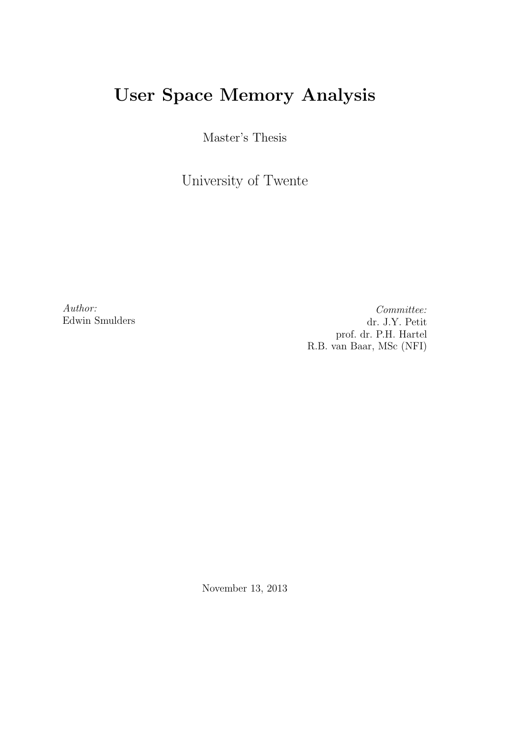# User Space Memory Analysis

Master's Thesis

University of Twente

Author: Edwin Smulders

Committee: dr. J.Y. Petit prof. dr. P.H. Hartel R.B. van Baar, MSc (NFI)

November 13, 2013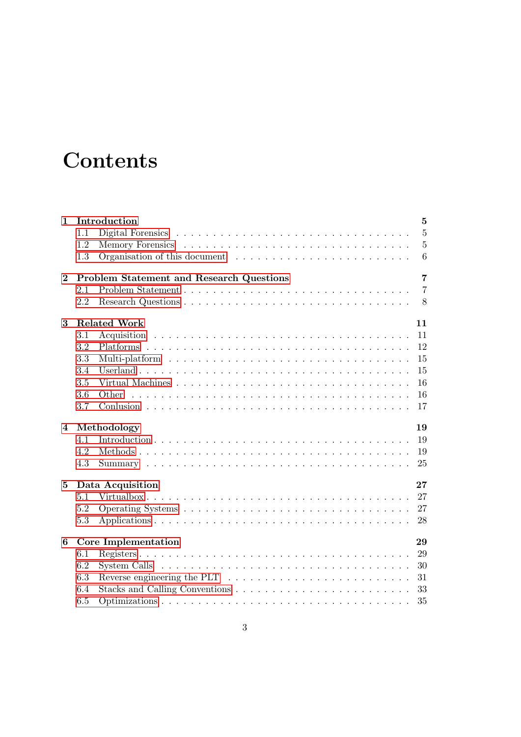# **Contents**

| $\mathbf{1}$   |                        | Introduction                                                                          | $\overline{5}$ |  |  |  |  |  |
|----------------|------------------------|---------------------------------------------------------------------------------------|----------------|--|--|--|--|--|
|                | 1.1                    |                                                                                       | $\overline{5}$ |  |  |  |  |  |
|                | 1.2                    |                                                                                       | $\overline{5}$ |  |  |  |  |  |
|                | 1.3                    |                                                                                       | 6              |  |  |  |  |  |
| $\bf{2}$       |                        | Problem Statement and Research Questions                                              | $\overline{7}$ |  |  |  |  |  |
|                | 2.1                    |                                                                                       | $\overline{7}$ |  |  |  |  |  |
|                | 2.2                    |                                                                                       | 8              |  |  |  |  |  |
| 3              |                        | <b>Related Work</b>                                                                   | 11             |  |  |  |  |  |
|                | 3.1                    |                                                                                       | 11             |  |  |  |  |  |
|                | 3.2                    |                                                                                       | 12             |  |  |  |  |  |
|                | 3.3                    |                                                                                       | 15             |  |  |  |  |  |
|                | 3.4                    |                                                                                       | 15             |  |  |  |  |  |
|                | 3.5                    |                                                                                       | 16             |  |  |  |  |  |
|                | 3.6                    | Other                                                                                 | 16             |  |  |  |  |  |
|                | 3.7                    |                                                                                       | 17             |  |  |  |  |  |
| $\overline{4}$ |                        | Methodology                                                                           | 19             |  |  |  |  |  |
|                | 4.1                    |                                                                                       | 19             |  |  |  |  |  |
|                | 4.2                    |                                                                                       | 19             |  |  |  |  |  |
|                | 4.3                    |                                                                                       | 25             |  |  |  |  |  |
| 5              | 27<br>Data Acquisition |                                                                                       |                |  |  |  |  |  |
|                | 5.1                    |                                                                                       | 27             |  |  |  |  |  |
|                | 5.2                    |                                                                                       | 27             |  |  |  |  |  |
|                | 5.3                    |                                                                                       | 28             |  |  |  |  |  |
| 6              |                        | Core Implementation                                                                   | 29             |  |  |  |  |  |
|                | 6.1                    |                                                                                       | 29             |  |  |  |  |  |
|                | 6.2                    |                                                                                       | 30             |  |  |  |  |  |
|                | 6.3                    | Reverse engineering the PLT $\ldots \ldots \ldots \ldots \ldots \ldots \ldots \ldots$ | 31             |  |  |  |  |  |
|                | 6.4                    |                                                                                       | 33             |  |  |  |  |  |
|                | 6.5                    |                                                                                       | 35             |  |  |  |  |  |
|                |                        |                                                                                       |                |  |  |  |  |  |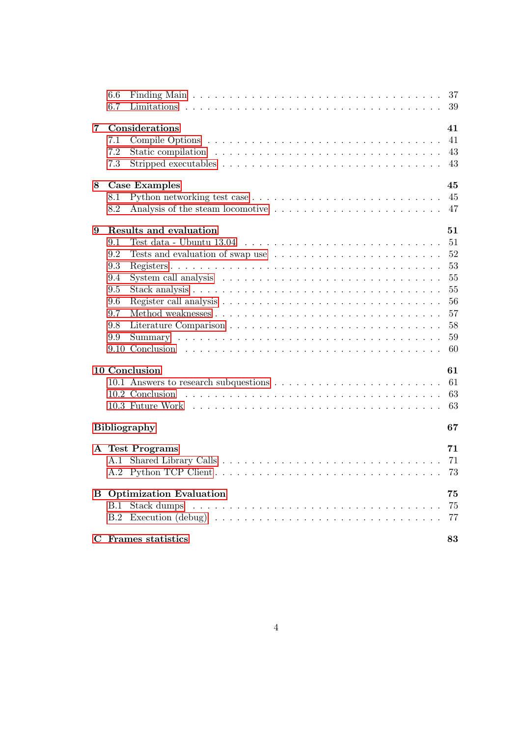|   | 6.6<br>6.7 | Finding Main $\ldots \ldots \ldots \ldots \ldots \ldots \ldots \ldots \ldots \ldots \ldots \ldots$ |  |  | 37<br>39 |
|---|------------|----------------------------------------------------------------------------------------------------|--|--|----------|
| 7 |            | Considerations                                                                                     |  |  | 41       |
|   | 7.1        |                                                                                                    |  |  | 41       |
|   | 7.2        |                                                                                                    |  |  | 43       |
|   | 7.3        | Stripped executables $\dots \dots \dots \dots \dots \dots \dots \dots \dots \dots \dots$           |  |  | 43       |
|   |            |                                                                                                    |  |  |          |
| 8 |            | <b>Case Examples</b>                                                                               |  |  | 45       |
|   | 8.1        |                                                                                                    |  |  | 45       |
|   | 8.2        |                                                                                                    |  |  | 47       |
| 9 |            | Results and evaluation                                                                             |  |  | 51       |
|   | 9.1        |                                                                                                    |  |  | 51       |
|   | 9.2        |                                                                                                    |  |  | 52       |
|   | 9.3        |                                                                                                    |  |  | 53       |
|   | 9.4        | System call analysis $\dots \dots \dots \dots \dots \dots \dots \dots \dots \dots \dots$           |  |  | 55       |
|   | 9.5        |                                                                                                    |  |  | 55       |
|   | 9.6        |                                                                                                    |  |  | 56       |
|   | 9.7        |                                                                                                    |  |  | 57       |
|   | 9.8        |                                                                                                    |  |  | 58       |
|   | 9.9        |                                                                                                    |  |  | 59       |
|   |            |                                                                                                    |  |  | 60       |
|   |            | 10 Conclusion                                                                                      |  |  | 61       |
|   |            |                                                                                                    |  |  | 61       |
|   |            |                                                                                                    |  |  | 63       |
|   |            |                                                                                                    |  |  | 63       |
|   |            | <b>Bibliography</b>                                                                                |  |  | 67       |
|   |            |                                                                                                    |  |  |          |
|   |            | A Test Programs                                                                                    |  |  | 71       |
|   |            |                                                                                                    |  |  | 71       |
|   |            |                                                                                                    |  |  | 73       |
| В |            | <b>Optimization Evaluation</b>                                                                     |  |  | 75       |
|   | B.1        |                                                                                                    |  |  | 75       |
|   |            |                                                                                                    |  |  | 77       |
|   |            | C Frames statistics                                                                                |  |  | 83       |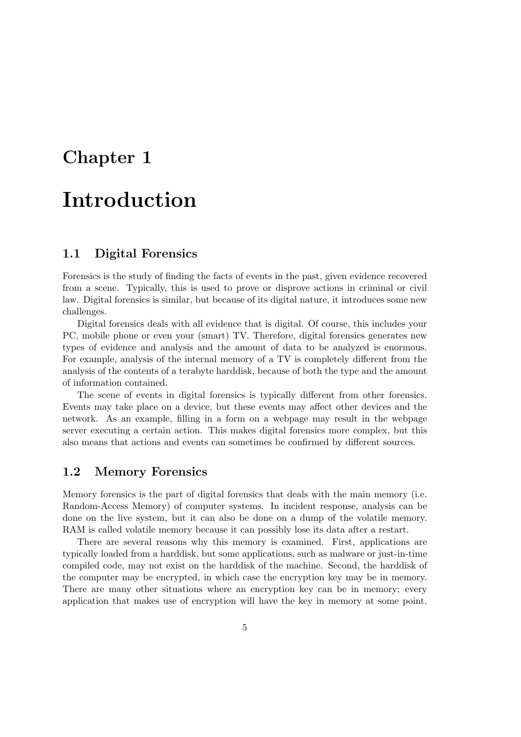## <span id="page-4-0"></span>Chapter 1

# Introduction

## <span id="page-4-1"></span>1.1 Digital Forensics

Forensics is the study of finding the facts of events in the past, given evidence recovered from a scene. Typically, this is used to prove or disprove actions in criminal or civil law. Digital forensics is similar, but because of its digital nature, it introduces some new challenges.

Digital forensics deals with all evidence that is digital. Of course, this includes your PC, mobile phone or even your (smart) TV. Therefore, digital forensics generates new types of evidence and analysis and the amount of data to be analyzed is enormous. For example, analysis of the internal memory of a TV is completely different from the analysis of the contents of a terabyte harddisk, because of both the type and the amount of information contained.

The scene of events in digital forensics is typically different from other forensics. Events may take place on a device, but these events may affect other devices and the network. As an example, filling in a form on a webpage may result in the webpage server executing a certain action. This makes digital forensics more complex, but this also means that actions and events can sometimes be confirmed by different sources.

### <span id="page-4-2"></span>1.2 Memory Forensics

Memory forensics is the part of digital forensics that deals with the main memory (i.e. Random-Access Memory) of computer systems. In incident response, analysis can be done on the live system, but it can also be done on a dump of the volatile memory. RAM is called volatile memory because it can possibly lose its data after a restart.

There are several reasons why this memory is examined. First, applications are typically loaded from a harddisk, but some applications, such as malware or just-in-time compiled code, may not exist on the harddisk of the machine. Second, the harddisk of the computer may be encrypted, in which case the encryption key may be in memory. There are many other situations where an encryption key can be in memory; every application that makes use of encryption will have the key in memory at some point.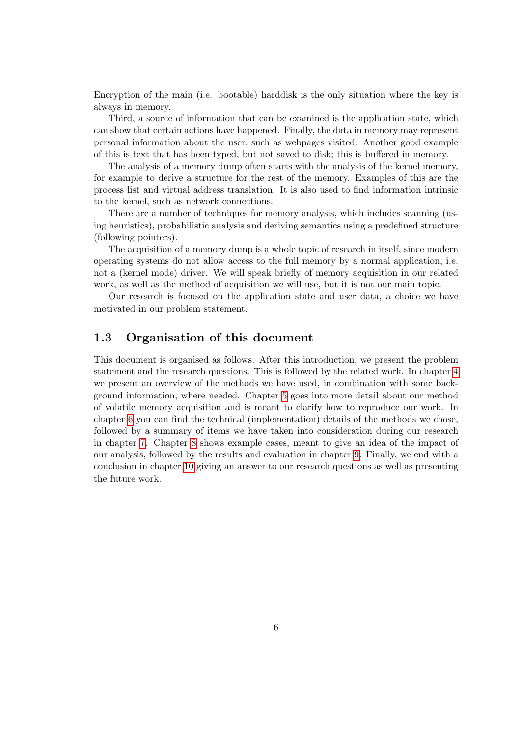Encryption of the main (i.e. bootable) harddisk is the only situation where the key is always in memory.

Third, a source of information that can be examined is the application state, which can show that certain actions have happened. Finally, the data in memory may represent personal information about the user, such as webpages visited. Another good example of this is text that has been typed, but not saved to disk; this is buffered in memory.

The analysis of a memory dump often starts with the analysis of the kernel memory, for example to derive a structure for the rest of the memory. Examples of this are the process list and virtual address translation. It is also used to find information intrinsic to the kernel, such as network connections.

There are a number of techniques for memory analysis, which includes scanning (using heuristics), probabilistic analysis and deriving semantics using a predefined structure (following pointers).

The acquisition of a memory dump is a whole topic of research in itself, since modern operating systems do not allow access to the full memory by a normal application, i.e. not a (kernel mode) driver. We will speak briefly of memory acquisition in our related work, as well as the method of acquisition we will use, but it is not our main topic.

Our research is focused on the application state and user data, a choice we have motivated in our problem statement.

## <span id="page-5-0"></span>1.3 Organisation of this document

This document is organised as follows. After this introduction, we present the problem statement and the research questions. This is followed by the related work. In chapter [4](#page-18-0) we present an overview of the methods we have used, in combination with some background information, where needed. Chapter [5](#page-26-0) goes into more detail about our method of volatile memory acquisition and is meant to clarify how to reproduce our work. In chapter [6](#page-28-0) you can find the technical (implementation) details of the methods we chose, followed by a summary of items we have taken into consideration during our research in chapter [7.](#page-40-0) Chapter [8](#page-44-0) shows example cases, meant to give an idea of the impact of our analysis, followed by the results and evaluation in chapter [9.](#page-50-0) Finally, we end with a conclusion in chapter [10](#page-60-0) giving an answer to our research questions as well as presenting the future work.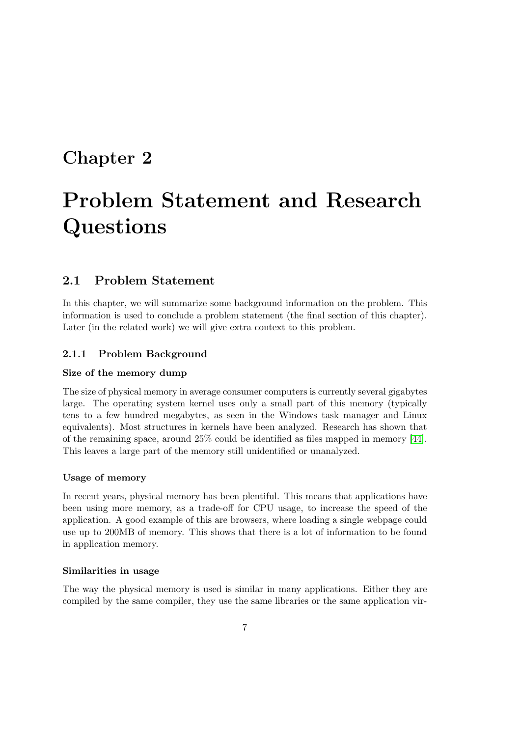## <span id="page-6-0"></span>Chapter 2

# Problem Statement and Research Questions

## <span id="page-6-1"></span>2.1 Problem Statement

In this chapter, we will summarize some background information on the problem. This information is used to conclude a problem statement (the final section of this chapter). Later (in the related work) we will give extra context to this problem.

### 2.1.1 Problem Background

#### Size of the memory dump

The size of physical memory in average consumer computers is currently several gigabytes large. The operating system kernel uses only a small part of this memory (typically tens to a few hundred megabytes, as seen in the Windows task manager and Linux equivalents). Most structures in kernels have been analyzed. Research has shown that of the remaining space, around 25% could be identified as files mapped in memory [\[44\]](#page-68-0). This leaves a large part of the memory still unidentified or unanalyzed.

#### Usage of memory

In recent years, physical memory has been plentiful. This means that applications have been using more memory, as a trade-off for CPU usage, to increase the speed of the application. A good example of this are browsers, where loading a single webpage could use up to 200MB of memory. This shows that there is a lot of information to be found in application memory.

#### Similarities in usage

The way the physical memory is used is similar in many applications. Either they are compiled by the same compiler, they use the same libraries or the same application vir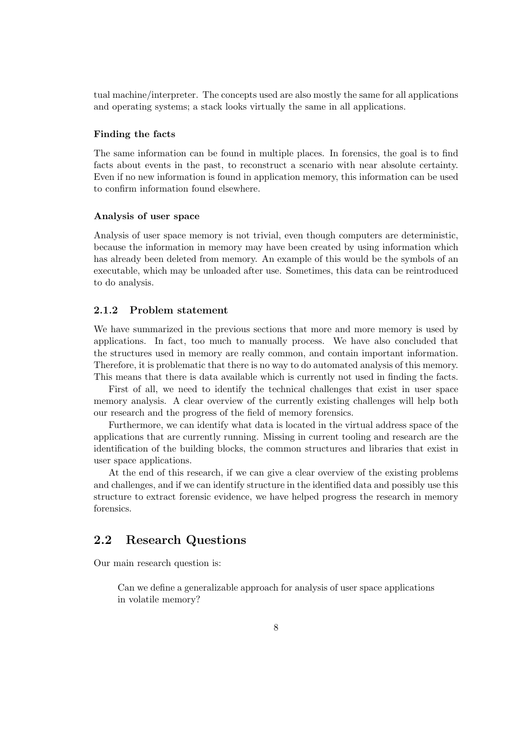tual machine/interpreter. The concepts used are also mostly the same for all applications and operating systems; a stack looks virtually the same in all applications.

#### Finding the facts

The same information can be found in multiple places. In forensics, the goal is to find facts about events in the past, to reconstruct a scenario with near absolute certainty. Even if no new information is found in application memory, this information can be used to confirm information found elsewhere.

#### Analysis of user space

Analysis of user space memory is not trivial, even though computers are deterministic, because the information in memory may have been created by using information which has already been deleted from memory. An example of this would be the symbols of an executable, which may be unloaded after use. Sometimes, this data can be reintroduced to do analysis.

#### 2.1.2 Problem statement

We have summarized in the previous sections that more and more memory is used by applications. In fact, too much to manually process. We have also concluded that the structures used in memory are really common, and contain important information. Therefore, it is problematic that there is no way to do automated analysis of this memory. This means that there is data available which is currently not used in finding the facts.

First of all, we need to identify the technical challenges that exist in user space memory analysis. A clear overview of the currently existing challenges will help both our research and the progress of the field of memory forensics.

Furthermore, we can identify what data is located in the virtual address space of the applications that are currently running. Missing in current tooling and research are the identification of the building blocks, the common structures and libraries that exist in user space applications.

At the end of this research, if we can give a clear overview of the existing problems and challenges, and if we can identify structure in the identified data and possibly use this structure to extract forensic evidence, we have helped progress the research in memory forensics.

## <span id="page-7-0"></span>2.2 Research Questions

Our main research question is:

Can we define a generalizable approach for analysis of user space applications in volatile memory?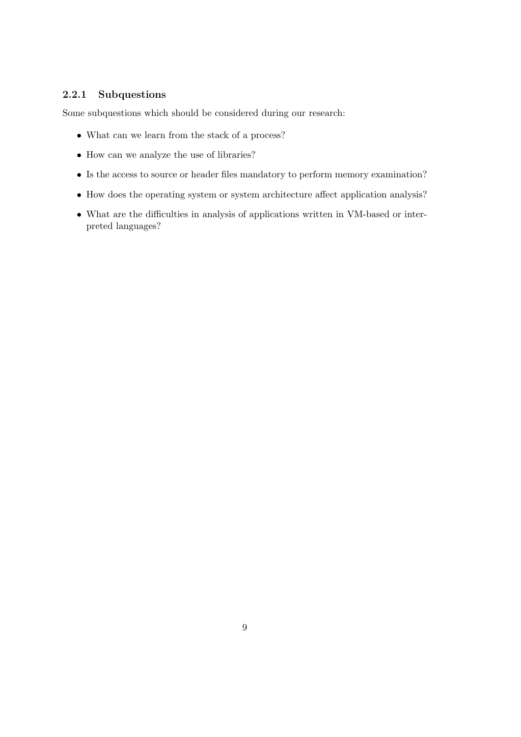## 2.2.1 Subquestions

Some subquestions which should be considered during our research:

- What can we learn from the stack of a process?
- How can we analyze the use of libraries?
- Is the access to source or header files mandatory to perform memory examination?
- How does the operating system or system architecture affect application analysis?
- What are the difficulties in analysis of applications written in VM-based or interpreted languages?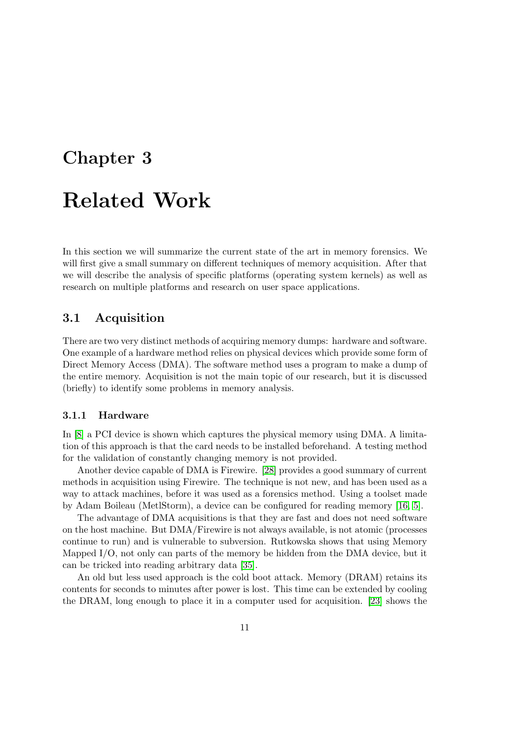## <span id="page-10-0"></span>Chapter 3

# Related Work

In this section we will summarize the current state of the art in memory forensics. We will first give a small summary on different techniques of memory acquisition. After that we will describe the analysis of specific platforms (operating system kernels) as well as research on multiple platforms and research on user space applications.

### <span id="page-10-1"></span>3.1 Acquisition

There are two very distinct methods of acquiring memory dumps: hardware and software. One example of a hardware method relies on physical devices which provide some form of Direct Memory Access (DMA). The software method uses a program to make a dump of the entire memory. Acquisition is not the main topic of our research, but it is discussed (briefly) to identify some problems in memory analysis.

#### 3.1.1 Hardware

In [\[8\]](#page-66-1) a PCI device is shown which captures the physical memory using DMA. A limitation of this approach is that the card needs to be installed beforehand. A testing method for the validation of constantly changing memory is not provided.

Another device capable of DMA is Firewire. [\[28\]](#page-67-0) provides a good summary of current methods in acquisition using Firewire. The technique is not new, and has been used as a way to attack machines, before it was used as a forensics method. Using a toolset made by Adam Boileau (MetlStorm), a device can be configured for reading memory [\[16,](#page-67-1) [5\]](#page-66-2).

The advantage of DMA acquisitions is that they are fast and does not need software on the host machine. But DMA/Firewire is not always available, is not atomic (processes continue to run) and is vulnerable to subversion. Rutkowska shows that using Memory Mapped I/O, not only can parts of the memory be hidden from the DMA device, but it can be tricked into reading arbitrary data [\[35\]](#page-68-1).

An old but less used approach is the cold boot attack. Memory (DRAM) retains its contents for seconds to minutes after power is lost. This time can be extended by cooling the DRAM, long enough to place it in a computer used for acquisition. [\[23\]](#page-67-2) shows the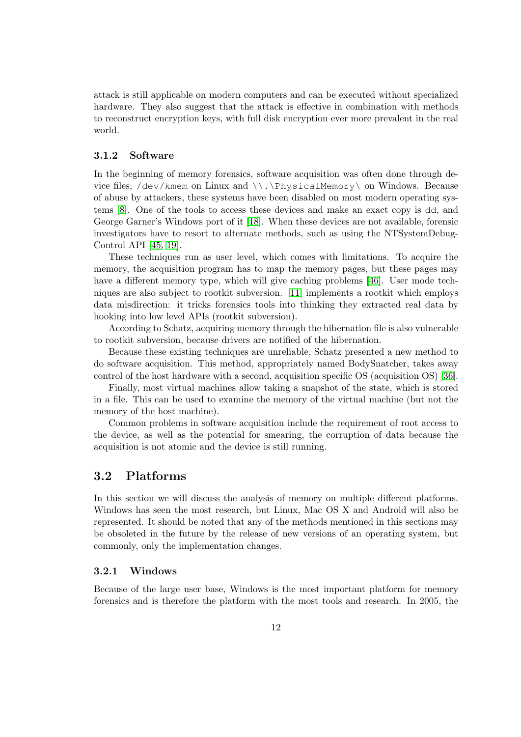attack is still applicable on modern computers and can be executed without specialized hardware. They also suggest that the attack is effective in combination with methods to reconstruct encryption keys, with full disk encryption ever more prevalent in the real world.

#### 3.1.2 Software

In the beginning of memory forensics, software acquisition was often done through device files; /dev/kmem on Linux and \\.\PhysicalMemory\ on Windows. Because of abuse by attackers, these systems have been disabled on most modern operating systems [\[8\]](#page-66-1). One of the tools to access these devices and make an exact copy is dd, and George Garner's Windows port of it [\[18\]](#page-67-3). When these devices are not available, forensic investigators have to resort to alternate methods, such as using the NTSystemDebug-Control API [\[45,](#page-68-2) [19\]](#page-67-4).

These techniques run as user level, which comes with limitations. To acquire the memory, the acquisition program has to map the memory pages, but these pages may have a different memory type, which will give caching problems [\[46\]](#page-68-3). User mode techniques are also subject to rootkit subversion. [\[11\]](#page-66-3) implements a rootkit which employs data misdirection: it tricks forensics tools into thinking they extracted real data by hooking into low level APIs (rootkit subversion).

According to Schatz, acquiring memory through the hibernation file is also vulnerable to rootkit subversion, because drivers are notified of the hibernation.

Because these existing techniques are unreliable, Schatz presented a new method to do software acquisition. This method, appropriately named BodySnatcher, takes away control of the host hardware with a second, acquisition specific OS (acquisition OS) [\[36\]](#page-68-4).

Finally, most virtual machines allow taking a snapshot of the state, which is stored in a file. This can be used to examine the memory of the virtual machine (but not the memory of the host machine).

Common problems in software acquisition include the requirement of root access to the device, as well as the potential for smearing, the corruption of data because the acquisition is not atomic and the device is still running.

## <span id="page-11-0"></span>3.2 Platforms

In this section we will discuss the analysis of memory on multiple different platforms. Windows has seen the most research, but Linux, Mac OS X and Android will also be represented. It should be noted that any of the methods mentioned in this sections may be obsoleted in the future by the release of new versions of an operating system, but commonly, only the implementation changes.

#### 3.2.1 Windows

Because of the large user base, Windows is the most important platform for memory forensics and is therefore the platform with the most tools and research. In 2005, the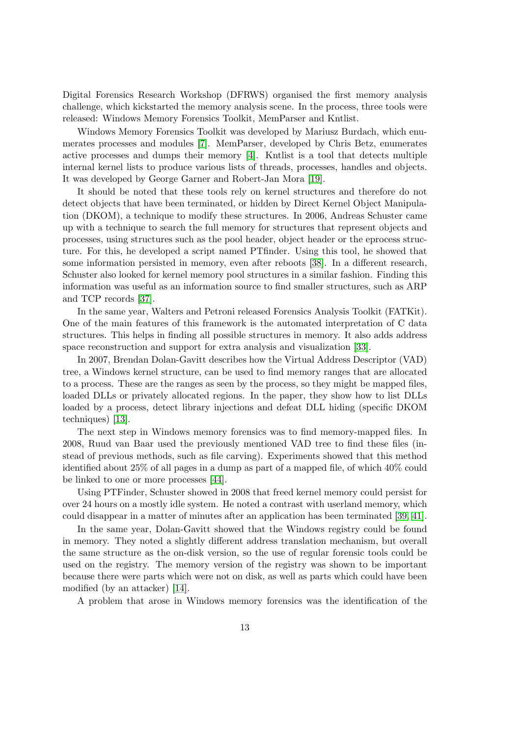Digital Forensics Research Workshop (DFRWS) organised the first memory analysis challenge, which kickstarted the memory analysis scene. In the process, three tools were released: Windows Memory Forensics Toolkit, MemParser and Kntlist.

Windows Memory Forensics Toolkit was developed by Mariusz Burdach, which enumerates processes and modules [\[7\]](#page-66-4). MemParser, developed by Chris Betz, enumerates active processes and dumps their memory [\[4\]](#page-66-5). Kntlist is a tool that detects multiple internal kernel lists to produce various lists of threads, processes, handles and objects. It was developed by George Garner and Robert-Jan Mora [\[19\]](#page-67-4).

It should be noted that these tools rely on kernel structures and therefore do not detect objects that have been terminated, or hidden by Direct Kernel Object Manipulation (DKOM), a technique to modify these structures. In 2006, Andreas Schuster came up with a technique to search the full memory for structures that represent objects and processes, using structures such as the pool header, object header or the eprocess structure. For this, he developed a script named PTfinder. Using this tool, he showed that some information persisted in memory, even after reboots [\[38\]](#page-68-5). In a different research, Schuster also looked for kernel memory pool structures in a similar fashion. Finding this information was useful as an information source to find smaller structures, such as ARP and TCP records [\[37\]](#page-68-6).

In the same year, Walters and Petroni released Forensics Analysis Toolkit (FATKit). One of the main features of this framework is the automated interpretation of C data structures. This helps in finding all possible structures in memory. It also adds address space reconstruction and support for extra analysis and visualization [\[33\]](#page-68-7).

In 2007, Brendan Dolan-Gavitt describes how the Virtual Address Descriptor (VAD) tree, a Windows kernel structure, can be used to find memory ranges that are allocated to a process. These are the ranges as seen by the process, so they might be mapped files, loaded DLLs or privately allocated regions. In the paper, they show how to list DLLs loaded by a process, detect library injections and defeat DLL hiding (specific DKOM techniques) [\[13\]](#page-66-6).

The next step in Windows memory forensics was to find memory-mapped files. In 2008, Ruud van Baar used the previously mentioned VAD tree to find these files (instead of previous methods, such as file carving). Experiments showed that this method identified about 25% of all pages in a dump as part of a mapped file, of which 40% could be linked to one or more processes [\[44\]](#page-68-0).

Using PTFinder, Schuster showed in 2008 that freed kernel memory could persist for over 24 hours on a mostly idle system. He noted a contrast with userland memory, which could disappear in a matter of minutes after an application has been terminated [\[39,](#page-68-8) [41\]](#page-68-9).

In the same year, Dolan-Gavitt showed that the Windows registry could be found in memory. They noted a slightly different address translation mechanism, but overall the same structure as the on-disk version, so the use of regular forensic tools could be used on the registry. The memory version of the registry was shown to be important because there were parts which were not on disk, as well as parts which could have been modified (by an attacker) [\[14\]](#page-66-7).

A problem that arose in Windows memory forensics was the identification of the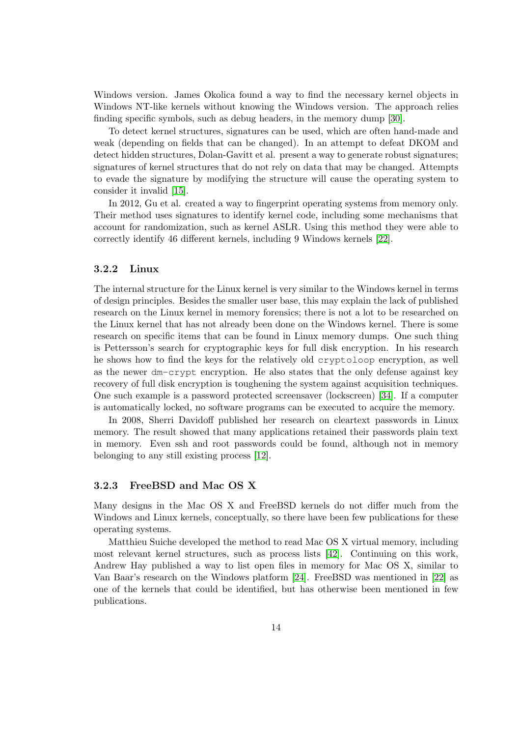Windows version. James Okolica found a way to find the necessary kernel objects in Windows NT-like kernels without knowing the Windows version. The approach relies finding specific symbols, such as debug headers, in the memory dump [\[30\]](#page-67-5).

To detect kernel structures, signatures can be used, which are often hand-made and weak (depending on fields that can be changed). In an attempt to defeat DKOM and detect hidden structures, Dolan-Gavitt et al. present a way to generate robust signatures; signatures of kernel structures that do not rely on data that may be changed. Attempts to evade the signature by modifying the structure will cause the operating system to consider it invalid [\[15\]](#page-67-6).

In 2012, Gu et al. created a way to fingerprint operating systems from memory only. Their method uses signatures to identify kernel code, including some mechanisms that account for randomization, such as kernel ASLR. Using this method they were able to correctly identify 46 different kernels, including 9 Windows kernels [\[22\]](#page-67-7).

#### 3.2.2 Linux

The internal structure for the Linux kernel is very similar to the Windows kernel in terms of design principles. Besides the smaller user base, this may explain the lack of published research on the Linux kernel in memory forensics; there is not a lot to be researched on the Linux kernel that has not already been done on the Windows kernel. There is some research on specific items that can be found in Linux memory dumps. One such thing is Pettersson's search for cryptographic keys for full disk encryption. In his research he shows how to find the keys for the relatively old cryptoloop encryption, as well as the newer dm-crypt encryption. He also states that the only defense against key recovery of full disk encryption is toughening the system against acquisition techniques. One such example is a password protected screensaver (lockscreen) [\[34\]](#page-68-10). If a computer is automatically locked, no software programs can be executed to acquire the memory.

In 2008, Sherri Davidoff published her research on cleartext passwords in Linux memory. The result showed that many applications retained their passwords plain text in memory. Even ssh and root passwords could be found, although not in memory belonging to any still existing process [\[12\]](#page-66-8).

#### 3.2.3 FreeBSD and Mac OS X

Many designs in the Mac OS X and FreeBSD kernels do not differ much from the Windows and Linux kernels, conceptually, so there have been few publications for these operating systems.

Matthieu Suiche developed the method to read Mac OS X virtual memory, including most relevant kernel structures, such as process lists [\[42\]](#page-68-11). Continuing on this work, Andrew Hay published a way to list open files in memory for Mac OS X, similar to Van Baar's research on the Windows platform [\[24\]](#page-67-8). FreeBSD was mentioned in [\[22\]](#page-67-7) as one of the kernels that could be identified, but has otherwise been mentioned in few publications.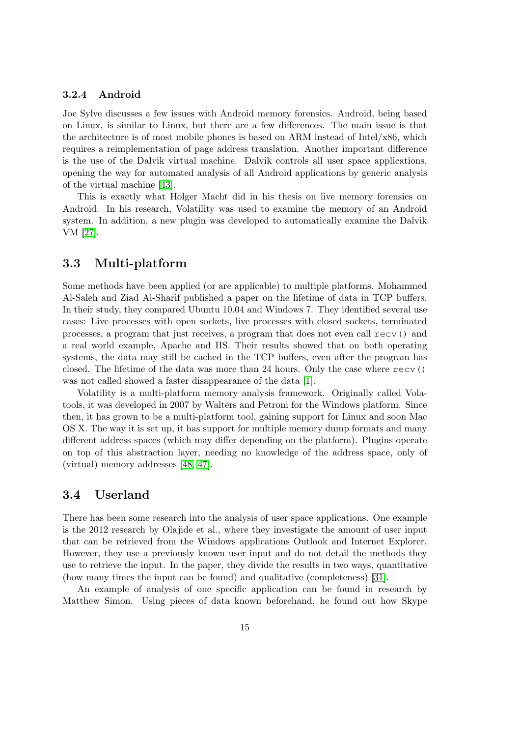### 3.2.4 Android

Joe Sylve discusses a few issues with Android memory forensics. Android, being based on Linux, is similar to Linux, but there are a few differences. The main issue is that the architecture is of most mobile phones is based on ARM instead of Intel/x86, which requires a reimplementation of page address translation. Another important difference is the use of the Dalvik virtual machine. Dalvik controls all user space applications, opening the way for automated analysis of all Android applications by generic analysis of the virtual machine [\[43\]](#page-68-12).

This is exactly what Holger Macht did in his thesis on live memory forensics on Android. In his research, Volatility was used to examine the memory of an Android system. In addition, a new plugin was developed to automatically examine the Dalvik VM [\[27\]](#page-67-9).

### <span id="page-14-0"></span>3.3 Multi-platform

Some methods have been applied (or are applicable) to multiple platforms. Mohammed Al-Saleh and Ziad Al-Sharif published a paper on the lifetime of data in TCP buffers. In their study, they compared Ubuntu 10.04 and Windows 7. They identified several use cases: Live processes with open sockets, live processes with closed sockets, terminated processes, a program that just receives, a program that does not even call recv() and a real world example, Apache and IIS. Their results showed that on both operating systems, the data may still be cached in the TCP buffers, even after the program has closed. The lifetime of the data was more than 24 hours. Only the case where recv() was not called showed a faster disappearance of the data [\[1\]](#page-66-9).

Volatility is a multi-platform memory analysis framework. Originally called Volatools, it was developed in 2007 by Walters and Petroni for the Windows platform. Since then, it has grown to be a multi-platform tool, gaining support for Linux and soon Mac OS X. The way it is set up, it has support for multiple memory dump formats and many different address spaces (which may differ depending on the platform). Plugins operate on top of this abstraction layer, needing no knowledge of the address space, only of (virtual) memory addresses [\[48,](#page-68-13) [47\]](#page-68-14).

## <span id="page-14-1"></span>3.4 Userland

There has been some research into the analysis of user space applications. One example is the 2012 research by Olajide et al., where they investigate the amount of user input that can be retrieved from the Windows applications Outlook and Internet Explorer. However, they use a previously known user input and do not detail the methods they use to retrieve the input. In the paper, they divide the results in two ways, quantitative (how many times the input can be found) and qualitative (completeness) [\[31\]](#page-67-10).

An example of analysis of one specific application can be found in research by Matthew Simon. Using pieces of data known beforehand, he found out how Skype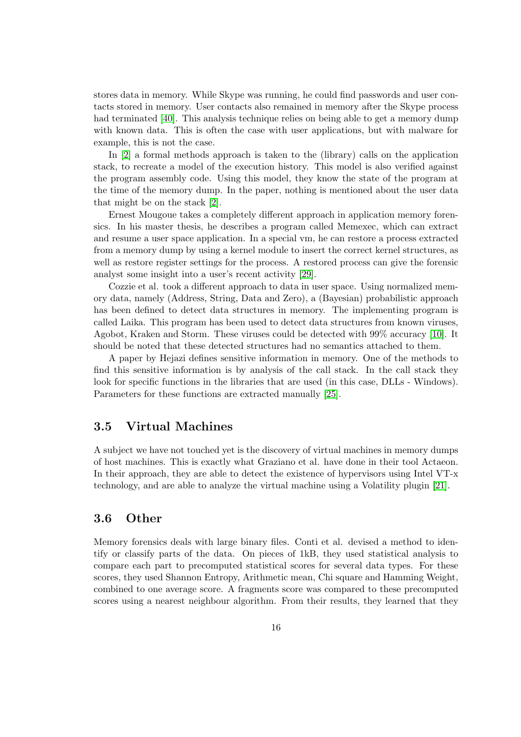stores data in memory. While Skype was running, he could find passwords and user contacts stored in memory. User contacts also remained in memory after the Skype process had terminated [\[40\]](#page-68-15). This analysis technique relies on being able to get a memory dump with known data. This is often the case with user applications, but with malware for example, this is not the case.

In [\[2\]](#page-66-10) a formal methods approach is taken to the (library) calls on the application stack, to recreate a model of the execution history. This model is also verified against the program assembly code. Using this model, they know the state of the program at the time of the memory dump. In the paper, nothing is mentioned about the user data that might be on the stack [\[2\]](#page-66-10).

Ernest Mougoue takes a completely different approach in application memory forensics. In his master thesis, he describes a program called Memexec, which can extract and resume a user space application. In a special vm, he can restore a process extracted from a memory dump by using a kernel module to insert the correct kernel structures, as well as restore register settings for the process. A restored process can give the forensic analyst some insight into a user's recent activity [\[29\]](#page-67-11).

Cozzie et al. took a different approach to data in user space. Using normalized memory data, namely (Address, String, Data and Zero), a (Bayesian) probabilistic approach has been defined to detect data structures in memory. The implementing program is called Laika. This program has been used to detect data structures from known viruses, Agobot, Kraken and Storm. These viruses could be detected with 99% accuracy [\[10\]](#page-66-11). It should be noted that these detected structures had no semantics attached to them.

A paper by Hejazi defines sensitive information in memory. One of the methods to find this sensitive information is by analysis of the call stack. In the call stack they look for specific functions in the libraries that are used (in this case, DLLs - Windows). Parameters for these functions are extracted manually [\[25\]](#page-67-12).

## <span id="page-15-0"></span>3.5 Virtual Machines

A subject we have not touched yet is the discovery of virtual machines in memory dumps of host machines. This is exactly what Graziano et al. have done in their tool Actaeon. In their approach, they are able to detect the existence of hypervisors using Intel VT-x technology, and are able to analyze the virtual machine using a Volatility plugin [\[21\]](#page-67-13).

## <span id="page-15-1"></span>3.6 Other

Memory forensics deals with large binary files. Conti et al. devised a method to identify or classify parts of the data. On pieces of 1kB, they used statistical analysis to compare each part to precomputed statistical scores for several data types. For these scores, they used Shannon Entropy, Arithmetic mean, Chi square and Hamming Weight, combined to one average score. A fragments score was compared to these precomputed scores using a nearest neighbour algorithm. From their results, they learned that they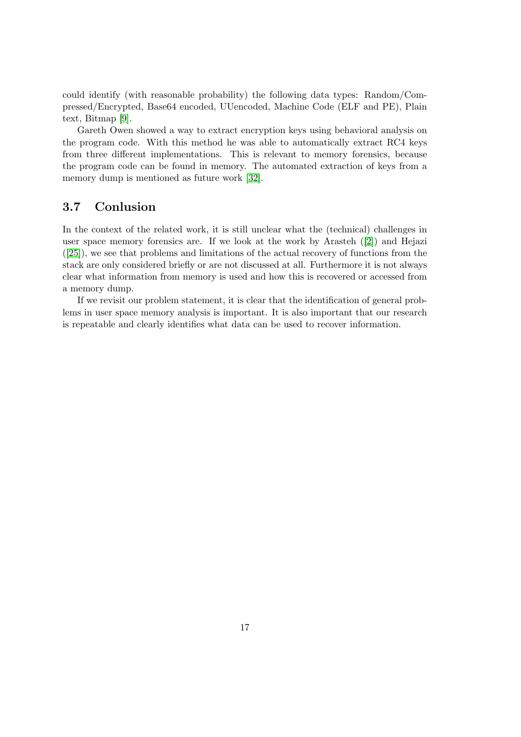could identify (with reasonable probability) the following data types: Random/Compressed/Encrypted, Base64 encoded, UUencoded, Machine Code (ELF and PE), Plain text, Bitmap [\[9\]](#page-66-12).

Gareth Owen showed a way to extract encryption keys using behavioral analysis on the program code. With this method he was able to automatically extract RC4 keys from three different implementations. This is relevant to memory forensics, because the program code can be found in memory. The automated extraction of keys from a memory dump is mentioned as future work [\[32\]](#page-67-14).

## <span id="page-16-0"></span>3.7 Conlusion

In the context of the related work, it is still unclear what the (technical) challenges in user space memory forensics are. If we look at the work by Arasteh ([\[2\]](#page-66-10)) and Hejazi ([\[25\]](#page-67-12)), we see that problems and limitations of the actual recovery of functions from the stack are only considered briefly or are not discussed at all. Furthermore it is not always clear what information from memory is used and how this is recovered or accessed from a memory dump.

If we revisit our problem statement, it is clear that the identification of general problems in user space memory analysis is important. It is also important that our research is repeatable and clearly identifies what data can be used to recover information.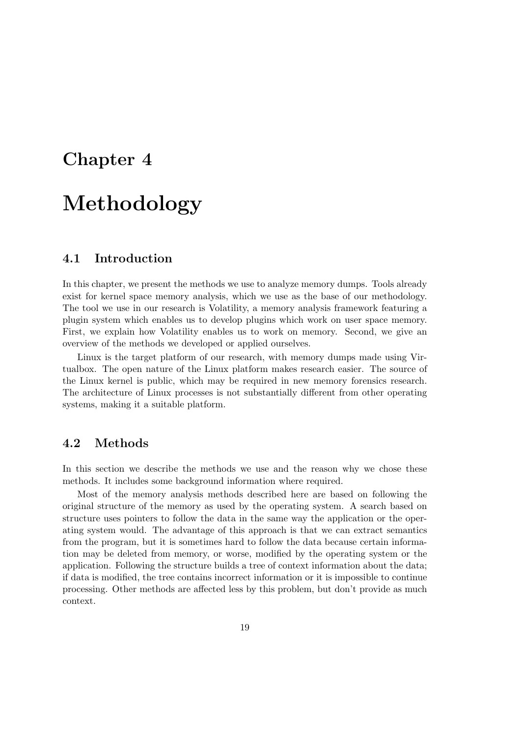## <span id="page-18-0"></span>Chapter 4

# Methodology

## <span id="page-18-1"></span>4.1 Introduction

In this chapter, we present the methods we use to analyze memory dumps. Tools already exist for kernel space memory analysis, which we use as the base of our methodology. The tool we use in our research is Volatility, a memory analysis framework featuring a plugin system which enables us to develop plugins which work on user space memory. First, we explain how Volatility enables us to work on memory. Second, we give an overview of the methods we developed or applied ourselves.

Linux is the target platform of our research, with memory dumps made using Virtualbox. The open nature of the Linux platform makes research easier. The source of the Linux kernel is public, which may be required in new memory forensics research. The architecture of Linux processes is not substantially different from other operating systems, making it a suitable platform.

## <span id="page-18-2"></span>4.2 Methods

In this section we describe the methods we use and the reason why we chose these methods. It includes some background information where required.

Most of the memory analysis methods described here are based on following the original structure of the memory as used by the operating system. A search based on structure uses pointers to follow the data in the same way the application or the operating system would. The advantage of this approach is that we can extract semantics from the program, but it is sometimes hard to follow the data because certain information may be deleted from memory, or worse, modified by the operating system or the application. Following the structure builds a tree of context information about the data; if data is modified, the tree contains incorrect information or it is impossible to continue processing. Other methods are affected less by this problem, but don't provide as much context.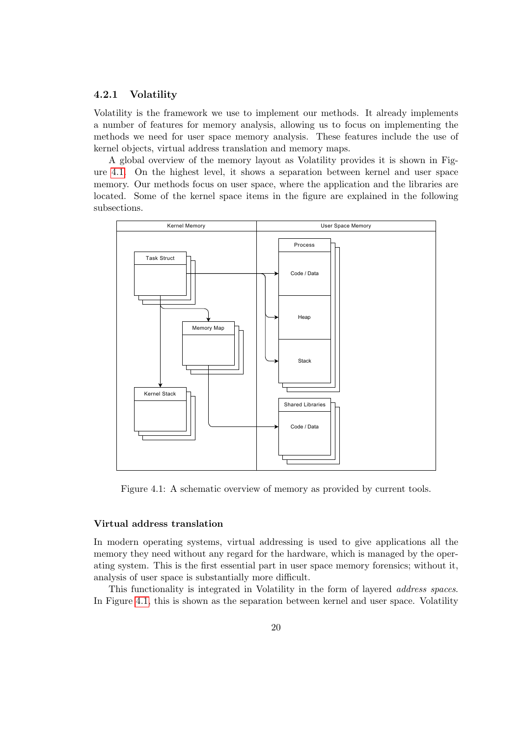#### 4.2.1 Volatility

Volatility is the framework we use to implement our methods. It already implements a number of features for memory analysis, allowing us to focus on implementing the methods we need for user space memory analysis. These features include the use of kernel objects, virtual address translation and memory maps.

A global overview of the memory layout as Volatility provides it is shown in Figure [4.1.](#page-19-0) On the highest level, it shows a separation between kernel and user space memory. Our methods focus on user space, where the application and the libraries are located. Some of the kernel space items in the figure are explained in the following subsections.



<span id="page-19-0"></span>Figure 4.1: A schematic overview of memory as provided by current tools.

#### Virtual address translation

In modern operating systems, virtual addressing is used to give applications all the memory they need without any regard for the hardware, which is managed by the operating system. This is the first essential part in user space memory forensics; without it, analysis of user space is substantially more difficult.

This functionality is integrated in Volatility in the form of layered address spaces. In Figure [4.1,](#page-19-0) this is shown as the separation between kernel and user space. Volatility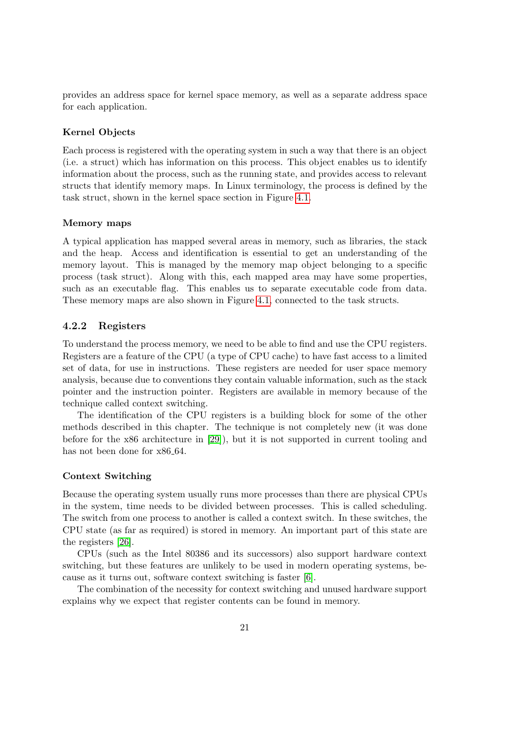provides an address space for kernel space memory, as well as a separate address space for each application.

#### Kernel Objects

Each process is registered with the operating system in such a way that there is an object (i.e. a struct) which has information on this process. This object enables us to identify information about the process, such as the running state, and provides access to relevant structs that identify memory maps. In Linux terminology, the process is defined by the task struct, shown in the kernel space section in Figure [4.1.](#page-19-0)

#### Memory maps

A typical application has mapped several areas in memory, such as libraries, the stack and the heap. Access and identification is essential to get an understanding of the memory layout. This is managed by the memory map object belonging to a specific process (task struct). Along with this, each mapped area may have some properties, such as an executable flag. This enables us to separate executable code from data. These memory maps are also shown in Figure [4.1,](#page-19-0) connected to the task structs.

#### 4.2.2 Registers

To understand the process memory, we need to be able to find and use the CPU registers. Registers are a feature of the CPU (a type of CPU cache) to have fast access to a limited set of data, for use in instructions. These registers are needed for user space memory analysis, because due to conventions they contain valuable information, such as the stack pointer and the instruction pointer. Registers are available in memory because of the technique called context switching.

The identification of the CPU registers is a building block for some of the other methods described in this chapter. The technique is not completely new (it was done before for the x86 architecture in [\[29\]](#page-67-11)), but it is not supported in current tooling and has not been done for  $x86-64$ .

#### Context Switching

Because the operating system usually runs more processes than there are physical CPUs in the system, time needs to be divided between processes. This is called scheduling. The switch from one process to another is called a context switch. In these switches, the CPU state (as far as required) is stored in memory. An important part of this state are the registers [\[26\]](#page-67-15).

CPUs (such as the Intel 80386 and its successors) also support hardware context switching, but these features are unlikely to be used in modern operating systems, because as it turns out, software context switching is faster [\[6\]](#page-66-13).

The combination of the necessity for context switching and unused hardware support explains why we expect that register contents can be found in memory.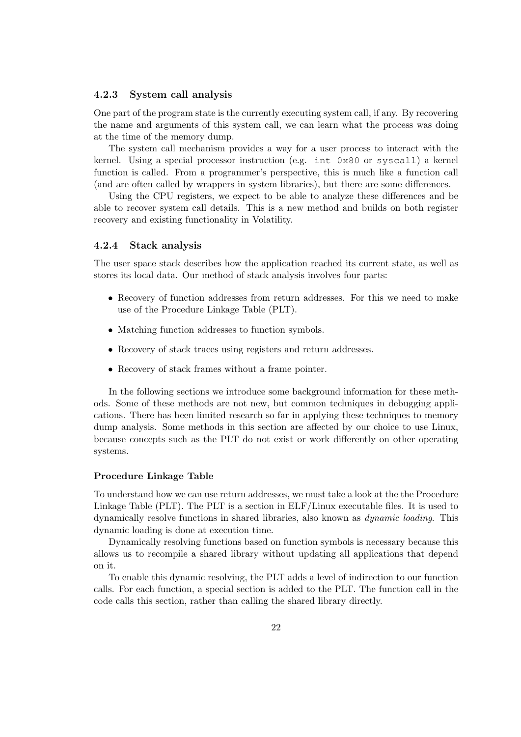#### 4.2.3 System call analysis

One part of the program state is the currently executing system call, if any. By recovering the name and arguments of this system call, we can learn what the process was doing at the time of the memory dump.

The system call mechanism provides a way for a user process to interact with the kernel. Using a special processor instruction (e.g. int 0x80 or syscall) a kernel function is called. From a programmer's perspective, this is much like a function call (and are often called by wrappers in system libraries), but there are some differences.

Using the CPU registers, we expect to be able to analyze these differences and be able to recover system call details. This is a new method and builds on both register recovery and existing functionality in Volatility.

#### 4.2.4 Stack analysis

The user space stack describes how the application reached its current state, as well as stores its local data. Our method of stack analysis involves four parts:

- Recovery of function addresses from return addresses. For this we need to make use of the Procedure Linkage Table (PLT).
- Matching function addresses to function symbols.
- Recovery of stack traces using registers and return addresses.
- Recovery of stack frames without a frame pointer.

In the following sections we introduce some background information for these methods. Some of these methods are not new, but common techniques in debugging applications. There has been limited research so far in applying these techniques to memory dump analysis. Some methods in this section are affected by our choice to use Linux, because concepts such as the PLT do not exist or work differently on other operating systems.

#### Procedure Linkage Table

To understand how we can use return addresses, we must take a look at the the Procedure Linkage Table (PLT). The PLT is a section in ELF/Linux executable files. It is used to dynamically resolve functions in shared libraries, also known as dynamic loading. This dynamic loading is done at execution time.

Dynamically resolving functions based on function symbols is necessary because this allows us to recompile a shared library without updating all applications that depend on it.

To enable this dynamic resolving, the PLT adds a level of indirection to our function calls. For each function, a special section is added to the PLT. The function call in the code calls this section, rather than calling the shared library directly.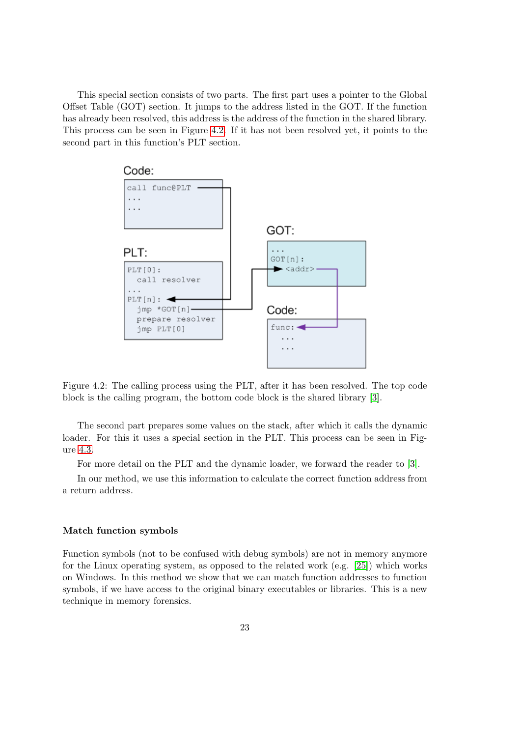This special section consists of two parts. The first part uses a pointer to the Global Offset Table (GOT) section. It jumps to the address listed in the GOT. If the function has already been resolved, this address is the address of the function in the shared library. This process can be seen in Figure [4.2.](#page-22-0) If it has not been resolved yet, it points to the second part in this function's PLT section.



<span id="page-22-0"></span>Figure 4.2: The calling process using the PLT, after it has been resolved. The top code block is the calling program, the bottom code block is the shared library [\[3\]](#page-66-14).

The second part prepares some values on the stack, after which it calls the dynamic loader. For this it uses a special section in the PLT. This process can be seen in Figure [4.3.](#page-23-0)

For more detail on the PLT and the dynamic loader, we forward the reader to [\[3\]](#page-66-14).

In our method, we use this information to calculate the correct function address from a return address.

#### Match function symbols

Function symbols (not to be confused with debug symbols) are not in memory anymore for the Linux operating system, as opposed to the related work (e.g. [\[25\]](#page-67-12)) which works on Windows. In this method we show that we can match function addresses to function symbols, if we have access to the original binary executables or libraries. This is a new technique in memory forensics.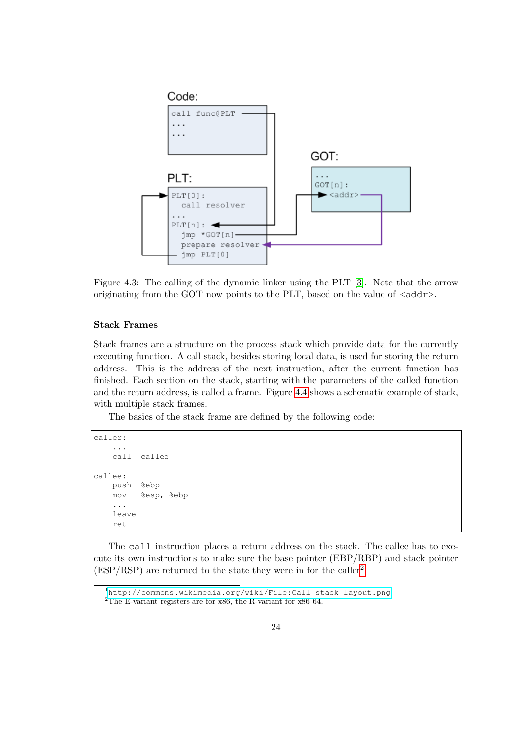

<span id="page-23-0"></span>Figure 4.3: The calling of the dynamic linker using the PLT [\[3\]](#page-66-14). Note that the arrow originating from the GOT now points to the PLT, based on the value of  $\langle \text{addr}\rangle$ .

#### Stack Frames

Stack frames are a structure on the process stack which provide data for the currently executing function. A call stack, besides storing local data, is used for storing the return address. This is the address of the next instruction, after the current function has finished. Each section on the stack, starting with the parameters of the called function and the return address, is called a frame. Figure [4.4](#page-24-1) shows a schematic example of stack, with multiple stack frames.

The basics of the stack frame are defined by the following code:

```
caller:
    ...
   call callee
callee:
   push %ebp
   mov %esp, %ebp
    ...
    leave
    ret
```
The call instruction places a return address on the stack. The callee has to execute its own instructions to make sure the base pointer (EBP/RBP) and stack pointer  $(ESP/RSP)$  are returned to the state they were in for the caller<sup>[2](#page-23-1)</sup>.

<span id="page-23-2"></span><sup>1</sup>[http://commons.wikimedia.org/wiki/File:Call\\_stack\\_layout.png](http://commons.wikimedia.org/wiki/File:Call_stack_layout.png)

<span id="page-23-1"></span><sup>&</sup>lt;sup>2</sup>The E-variant registers are for x86, the R-variant for x86<sub>-64</sub>.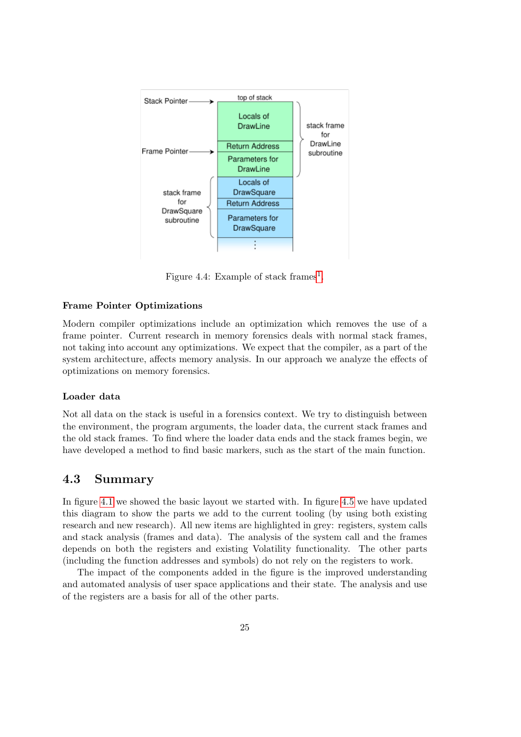

<span id="page-24-1"></span>Figure 4.4: Example of stack frames<sup>[1](#page-23-2)</sup>.

#### Frame Pointer Optimizations

Modern compiler optimizations include an optimization which removes the use of a frame pointer. Current research in memory forensics deals with normal stack frames, not taking into account any optimizations. We expect that the compiler, as a part of the system architecture, affects memory analysis. In our approach we analyze the effects of optimizations on memory forensics.

#### Loader data

Not all data on the stack is useful in a forensics context. We try to distinguish between the environment, the program arguments, the loader data, the current stack frames and the old stack frames. To find where the loader data ends and the stack frames begin, we have developed a method to find basic markers, such as the start of the main function.

## <span id="page-24-0"></span>4.3 Summary

In figure [4.1](#page-19-0) we showed the basic layout we started with. In figure [4.5](#page-25-0) we have updated this diagram to show the parts we add to the current tooling (by using both existing research and new research). All new items are highlighted in grey: registers, system calls and stack analysis (frames and data). The analysis of the system call and the frames depends on both the registers and existing Volatility functionality. The other parts (including the function addresses and symbols) do not rely on the registers to work.

The impact of the components added in the figure is the improved understanding and automated analysis of user space applications and their state. The analysis and use of the registers are a basis for all of the other parts.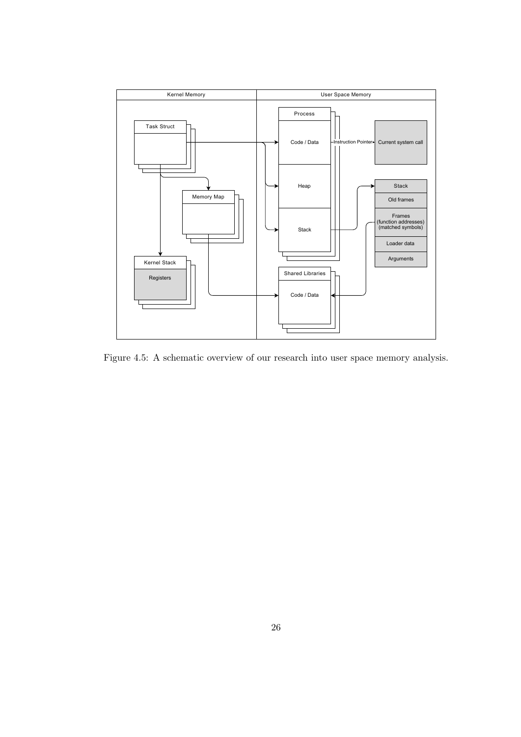

<span id="page-25-0"></span>Figure 4.5: A schematic overview of our research into user space memory analysis.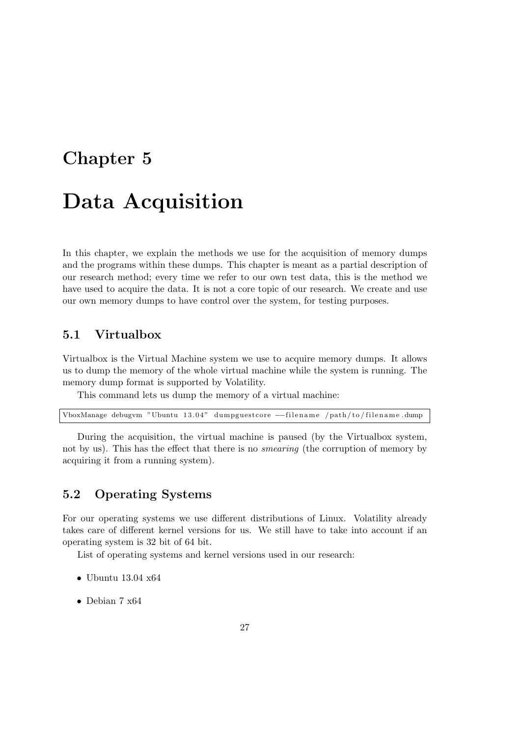## <span id="page-26-0"></span>Chapter 5

# Data Acquisition

In this chapter, we explain the methods we use for the acquisition of memory dumps and the programs within these dumps. This chapter is meant as a partial description of our research method; every time we refer to our own test data, this is the method we have used to acquire the data. It is not a core topic of our research. We create and use our own memory dumps to have control over the system, for testing purposes.

## <span id="page-26-1"></span>5.1 Virtualbox

Virtualbox is the Virtual Machine system we use to acquire memory dumps. It allows us to dump the memory of the whole virtual machine while the system is running. The memory dump format is supported by Volatility.

This command lets us dump the memory of a virtual machine:

|  |  |  |  |  |  |  | VboxManage debugym "Ubuntu 13.04" dumpguestcore -- filename /path/to/filename.dump |
|--|--|--|--|--|--|--|------------------------------------------------------------------------------------|
|--|--|--|--|--|--|--|------------------------------------------------------------------------------------|

During the acquisition, the virtual machine is paused (by the Virtualbox system, not by us). This has the effect that there is no *smearing* (the corruption of memory by acquiring it from a running system).

## <span id="page-26-2"></span>5.2 Operating Systems

For our operating systems we use different distributions of Linux. Volatility already takes care of different kernel versions for us. We still have to take into account if an operating system is 32 bit of 64 bit.

List of operating systems and kernel versions used in our research:

- Ubuntu 13.04  $x64$
- Debian 7 x64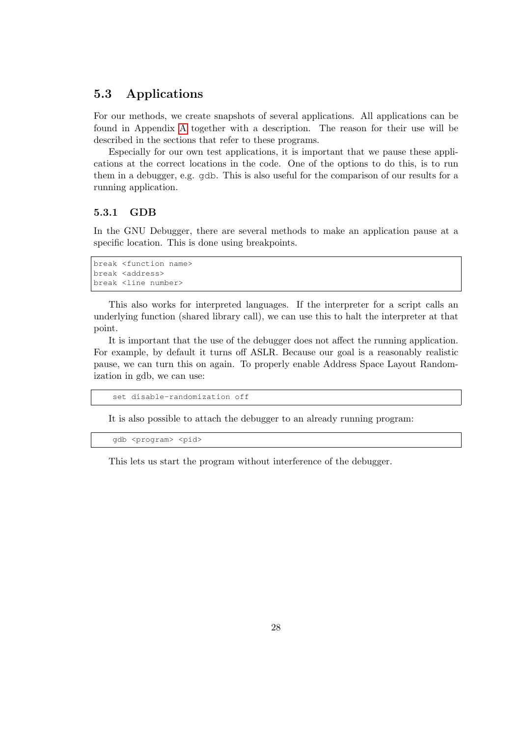## <span id="page-27-0"></span>5.3 Applications

For our methods, we create snapshots of several applications. All applications can be found in Appendix [A](#page-70-0) together with a description. The reason for their use will be described in the sections that refer to these programs.

Especially for our own test applications, it is important that we pause these applications at the correct locations in the code. One of the options to do this, is to run them in a debugger, e.g. gdb. This is also useful for the comparison of our results for a running application.

#### 5.3.1 GDB

In the GNU Debugger, there are several methods to make an application pause at a specific location. This is done using breakpoints.

```
break <function name>
break <address>
break <line number>
```
This also works for interpreted languages. If the interpreter for a script calls an underlying function (shared library call), we can use this to halt the interpreter at that point.

It is important that the use of the debugger does not affect the running application. For example, by default it turns off ASLR. Because our goal is a reasonably realistic pause, we can turn this on again. To properly enable Address Space Layout Randomization in gdb, we can use:

set disable-randomization off

It is also possible to attach the debugger to an already running program:

gdb <program> <pid>

This lets us start the program without interference of the debugger.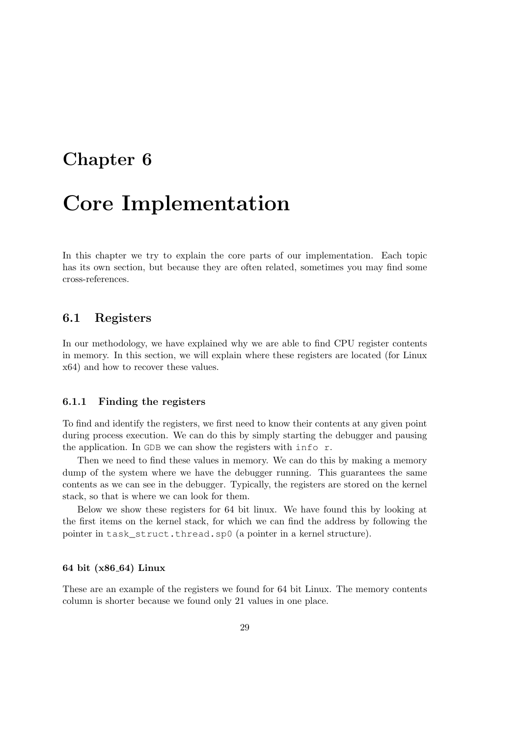## <span id="page-28-0"></span>Chapter 6

# Core Implementation

In this chapter we try to explain the core parts of our implementation. Each topic has its own section, but because they are often related, sometimes you may find some cross-references.

## <span id="page-28-1"></span>6.1 Registers

In our methodology, we have explained why we are able to find CPU register contents in memory. In this section, we will explain where these registers are located (for Linux x64) and how to recover these values.

#### 6.1.1 Finding the registers

To find and identify the registers, we first need to know their contents at any given point during process execution. We can do this by simply starting the debugger and pausing the application. In GDB we can show the registers with info r.

Then we need to find these values in memory. We can do this by making a memory dump of the system where we have the debugger running. This guarantees the same contents as we can see in the debugger. Typically, the registers are stored on the kernel stack, so that is where we can look for them.

Below we show these registers for 64 bit linux. We have found this by looking at the first items on the kernel stack, for which we can find the address by following the pointer in task\_struct.thread.sp0 (a pointer in a kernel structure).

#### 64 bit (x86 64) Linux

These are an example of the registers we found for 64 bit Linux. The memory contents column is shorter because we found only 21 values in one place.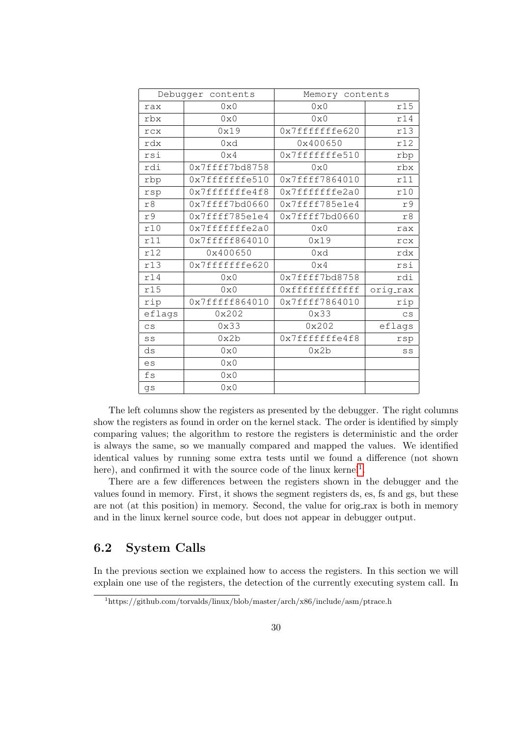|        | Debugger contents | Memory contents |                          |  |  |
|--------|-------------------|-----------------|--------------------------|--|--|
| rax    | $0\times 0$       | $0 \times 0$    | r15                      |  |  |
| rbx    | $0\times 0$       | $0 \times 0$    | r14                      |  |  |
| rcx    | 0x19              | 0x7fffffffe620  | r13                      |  |  |
| rdx    | 0xd               | 0x400650        | r12                      |  |  |
| rsi    | $0\times 4$       | 0x7fffffffe510  | rbp<br>rbx               |  |  |
| rdi    | 0x7ffff7bd8758    | $0 \times 0$    |                          |  |  |
| rbp    | 0x7fffffffe510    | 0x7ffff7864010  | r11                      |  |  |
| rsp    | 0x7fffffffe4f8    | 0x7fffffffe2a0  | r10                      |  |  |
| r8     | 0x7ffff7bd0660    | 0x7ffff785e1e4  | r9                       |  |  |
| r9     | 0x7ffff785e1e4    | 0x7ffff7bd0660  | r8                       |  |  |
| r10    | 0x7fffffffe2a0    | $0\times0$      | rax                      |  |  |
| r11    | 0x7fffff664010    | 0x19            | rcx                      |  |  |
| r12    | 0x400650          | 0xd             | rdx                      |  |  |
| r13    | 0x7fffffffe620    | $0\times 4$     | rsi                      |  |  |
| r14    | 0x0               | 0x7ffff7bd8758  | rdi                      |  |  |
| r15    | 0x0               | Oxffffffffffff  | orig_rax                 |  |  |
| rip    | 0x7fffff864010    | 0x7ffff7864010  | rip                      |  |  |
| eflags | 0x202             | 0x33            | $\mathsf{CS}\phantom{0}$ |  |  |
| CS     | 0x33              | 0x202           | eflags                   |  |  |
| SS     | 0x2b              | 0x7fffffffe4f8  | rsp                      |  |  |
| ds     | 0x0               | 0x2b            | SS                       |  |  |
| es     | $0 \times 0$      |                 |                          |  |  |
| fs     | $0 \times 0$      |                 |                          |  |  |
| qs     | 0x0               |                 |                          |  |  |

The left columns show the registers as presented by the debugger. The right columns show the registers as found in order on the kernel stack. The order is identified by simply comparing values; the algorithm to restore the registers is deterministic and the order is always the same, so we manually compared and mapped the values. We identified identical values by running some extra tests until we found a difference (not shown here), and confirmed it with the source code of the linux kernel<sup>[1](#page-29-1)</sup>.

There are a few differences between the registers shown in the debugger and the values found in memory. First, it shows the segment registers ds, es, fs and gs, but these are not (at this position) in memory. Second, the value for orig rax is both in memory and in the linux kernel source code, but does not appear in debugger output.

## <span id="page-29-0"></span>6.2 System Calls

In the previous section we explained how to access the registers. In this section we will explain one use of the registers, the detection of the currently executing system call. In

<span id="page-29-1"></span><sup>1</sup>https://github.com/torvalds/linux/blob/master/arch/x86/include/asm/ptrace.h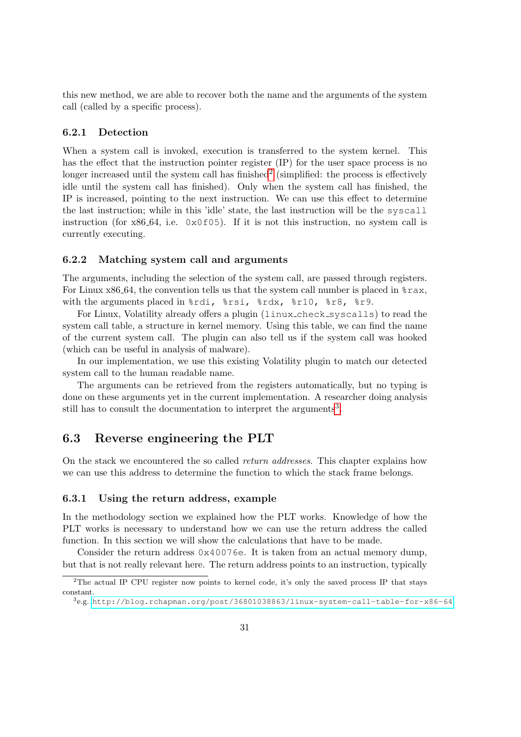this new method, we are able to recover both the name and the arguments of the system call (called by a specific process).

#### 6.2.1 Detection

When a system call is invoked, execution is transferred to the system kernel. This has the effect that the instruction pointer register (IP) for the user space process is no longer increased until the system call has finished<sup>[2](#page-30-1)</sup> (simplified: the process is effectively idle until the system call has finished). Only when the system call has finished, the IP is increased, pointing to the next instruction. We can use this effect to determine the last instruction; while in this 'idle' state, the last instruction will be the syscall instruction (for  $x86.64$ , i.e.  $0x0f05$ ). If it is not this instruction, no system call is currently executing.

#### 6.2.2 Matching system call and arguments

The arguments, including the selection of the system call, are passed through registers. For Linux  $x86.64$ , the convention tells us that the system call number is placed in  $z_{\text{max}}$ , with the arguments placed in %rdi, %rsi, %rdx, %r10, %r8, %r9.

For Linux, Volatility already offers a plugin (linux check syscalls) to read the system call table, a structure in kernel memory. Using this table, we can find the name of the current system call. The plugin can also tell us if the system call was hooked (which can be useful in analysis of malware).

In our implementation, we use this existing Volatility plugin to match our detected system call to the human readable name.

The arguments can be retrieved from the registers automatically, but no typing is done on these arguments yet in the current implementation. A researcher doing analysis still has to consult the documentation to interpret the arguments<sup>[3](#page-30-2)</sup>.

## <span id="page-30-0"></span>6.3 Reverse engineering the PLT

On the stack we encountered the so called return addresses. This chapter explains how we can use this address to determine the function to which the stack frame belongs.

#### 6.3.1 Using the return address, example

In the methodology section we explained how the PLT works. Knowledge of how the PLT works is necessary to understand how we can use the return address the called function. In this section we will show the calculations that have to be made.

Consider the return address  $0 \times 40076$ e. It is taken from an actual memory dump, but that is not really relevant here. The return address points to an instruction, typically

<span id="page-30-1"></span><sup>&</sup>lt;sup>2</sup>The actual IP CPU register now points to kernel code, it's only the saved process IP that stays constant.

<span id="page-30-2"></span><sup>3</sup> e.g. <http://blog.rchapman.org/post/36801038863/linux-system-call-table-for-x86-64>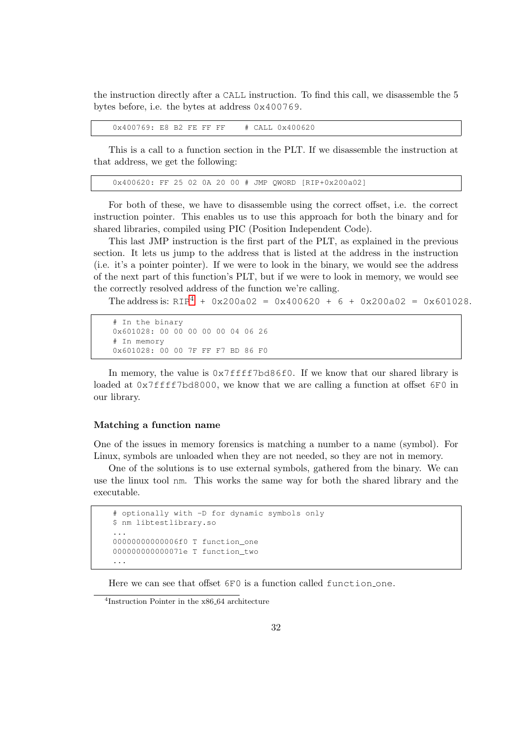the instruction directly after a CALL instruction. To find this call, we disassemble the 5 bytes before, i.e. the bytes at address 0x400769.

0x400769: E8 B2 FE FF FF # CALL 0x400620

This is a call to a function section in the PLT. If we disassemble the instruction at that address, we get the following:

0x400620: FF 25 02 0A 20 00 # JMP QWORD [RIP+0x200a02]

For both of these, we have to disassemble using the correct offset, i.e. the correct instruction pointer. This enables us to use this approach for both the binary and for shared libraries, compiled using PIC (Position Independent Code).

This last JMP instruction is the first part of the PLT, as explained in the previous section. It lets us jump to the address that is listed at the address in the instruction (i.e. it's a pointer pointer). If we were to look in the binary, we would see the address of the next part of this function's PLT, but if we were to look in memory, we would see the correctly resolved address of the function we're calling.

The address is:  $RIP<sup>4</sup> + 0x200a02 = 0x400620 + 6 + 0x200a02 = 0x601028$  $RIP<sup>4</sup> + 0x200a02 = 0x400620 + 6 + 0x200a02 = 0x601028$  $RIP<sup>4</sup> + 0x200a02 = 0x400620 + 6 + 0x200a02 = 0x601028$ .

```
# In the binary
0x601028: 00 00 00 00 00 04 06 26
# In memory
0x601028: 00 00 7F FF F7 BD 86 F0
```
In memory, the value is  $0 \times 7$  ffff7bd86f0. If we know that our shared library is loaded at  $0 \times 7$  ffff7bd8000, we know that we are calling a function at offset 6F0 in our library.

#### Matching a function name

One of the issues in memory forensics is matching a number to a name (symbol). For Linux, symbols are unloaded when they are not needed, so they are not in memory.

One of the solutions is to use external symbols, gathered from the binary. We can use the linux tool nm. This works the same way for both the shared library and the executable.

```
# optionally with -D for dynamic symbols only
$ nm libtestlibrary.so
...
00000000000006f0 T function_one
000000000000071e T function_two
...
```
Here we can see that offset  $6F0$  is a function called function one.

<span id="page-31-0"></span><sup>4</sup> Instruction Pointer in the x86 64 architecture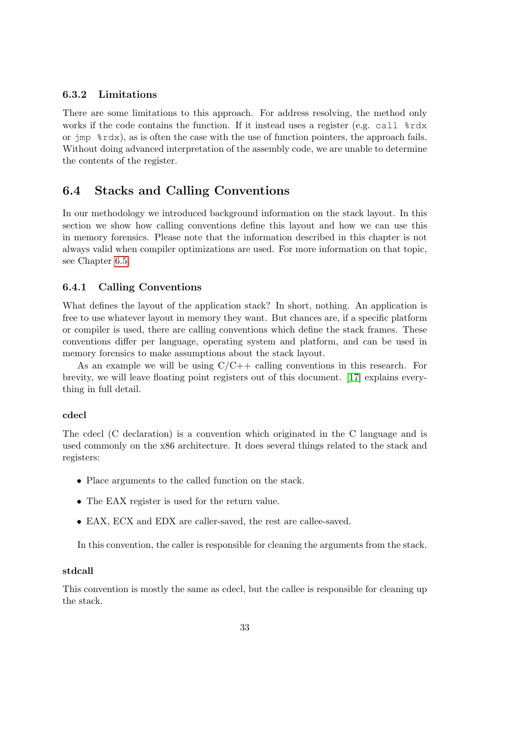#### 6.3.2 Limitations

There are some limitations to this approach. For address resolving, the method only works if the code contains the function. If it instead uses a register (e.g. call  $\text{\$rdx$}$ or jmp %rdx), as is often the case with the use of function pointers, the approach fails. Without doing advanced interpretation of the assembly code, we are unable to determine the contents of the register.

## <span id="page-32-0"></span>6.4 Stacks and Calling Conventions

In our methodology we introduced background information on the stack layout. In this section we show how calling conventions define this layout and how we can use this in memory forensics. Please note that the information described in this chapter is not always valid when compiler optimizations are used. For more information on that topic, see Chapter [6.5.](#page-34-0)

#### 6.4.1 Calling Conventions

What defines the layout of the application stack? In short, nothing. An application is free to use whatever layout in memory they want. But chances are, if a specific platform or compiler is used, there are calling conventions which define the stack frames. These conventions differ per language, operating system and platform, and can be used in memory forensics to make assumptions about the stack layout.

As an example we will be using  $C/C++$  calling conventions in this research. For brevity, we will leave floating point registers out of this document. [\[17\]](#page-67-16) explains everything in full detail.

#### cdecl

The cdecl (C declaration) is a convention which originated in the C language and is used commonly on the x86 architecture. It does several things related to the stack and registers:

- Place arguments to the called function on the stack.
- The EAX register is used for the return value.
- EAX, ECX and EDX are caller-saved, the rest are callee-saved.

In this convention, the caller is responsible for cleaning the arguments from the stack.

#### stdcall

This convention is mostly the same as cdecl, but the callee is responsible for cleaning up the stack.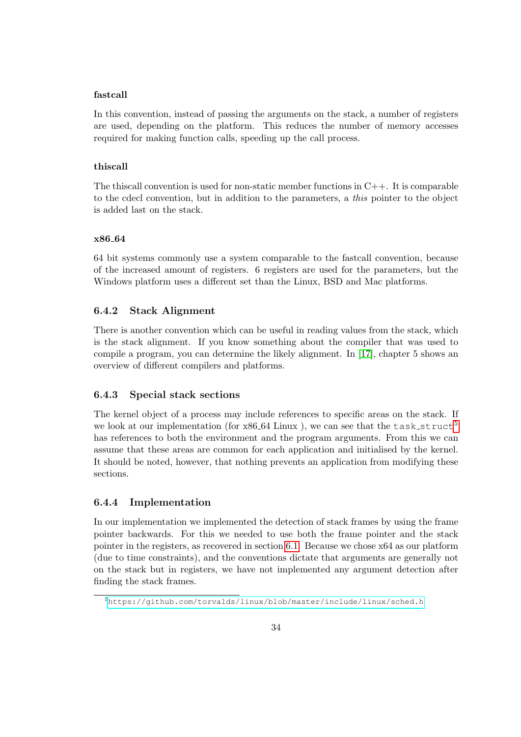#### fastcall

In this convention, instead of passing the arguments on the stack, a number of registers are used, depending on the platform. This reduces the number of memory accesses required for making function calls, speeding up the call process.

#### thiscall

The this convention is used for non-static member functions in  $C_{++}$ . It is comparable to the cdecl convention, but in addition to the parameters, a this pointer to the object is added last on the stack.

#### x86 64

64 bit systems commonly use a system comparable to the fastcall convention, because of the increased amount of registers. 6 registers are used for the parameters, but the Windows platform uses a different set than the Linux, BSD and Mac platforms.

#### 6.4.2 Stack Alignment

There is another convention which can be useful in reading values from the stack, which is the stack alignment. If you know something about the compiler that was used to compile a program, you can determine the likely alignment. In [\[17\]](#page-67-16), chapter 5 shows an overview of different compilers and platforms.

#### 6.4.3 Special stack sections

The kernel object of a process may include references to specific areas on the stack. If we look at our implementation (for  $x86.64$  Linux), we can see that the task struct<sup>[5](#page-33-0)</sup> has references to both the environment and the program arguments. From this we can assume that these areas are common for each application and initialised by the kernel. It should be noted, however, that nothing prevents an application from modifying these sections.

#### 6.4.4 Implementation

In our implementation we implemented the detection of stack frames by using the frame pointer backwards. For this we needed to use both the frame pointer and the stack pointer in the registers, as recovered in section [6.1.](#page-28-1) Because we chose x64 as our platform (due to time constraints), and the conventions dictate that arguments are generally not on the stack but in registers, we have not implemented any argument detection after finding the stack frames.

<span id="page-33-0"></span><sup>5</sup><https://github.com/torvalds/linux/blob/master/include/linux/sched.h>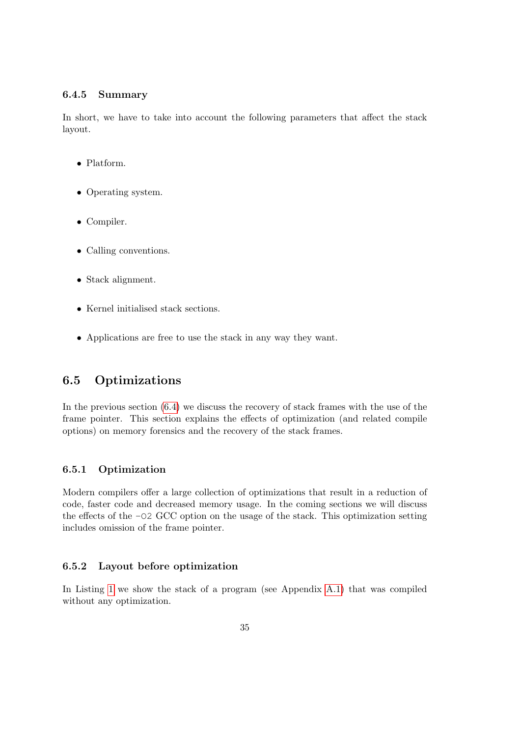#### 6.4.5 Summary

In short, we have to take into account the following parameters that affect the stack layout.

- Platform.
- Operating system.
- Compiler.
- Calling conventions.
- Stack alignment.
- Kernel initialised stack sections.
- Applications are free to use the stack in any way they want.

## <span id="page-34-0"></span>6.5 Optimizations

In the previous section [\(6.4\)](#page-32-0) we discuss the recovery of stack frames with the use of the frame pointer. This section explains the effects of optimization (and related compile options) on memory forensics and the recovery of the stack frames.

#### 6.5.1 Optimization

Modern compilers offer a large collection of optimizations that result in a reduction of code, faster code and decreased memory usage. In the coming sections we will discuss the effects of the -O2 GCC option on the usage of the stack. This optimization setting includes omission of the frame pointer.

#### 6.5.2 Layout before optimization

In Listing [1](#page-35-0) we show the stack of a program (see Appendix [A.1\)](#page-70-1) that was compiled without any optimization.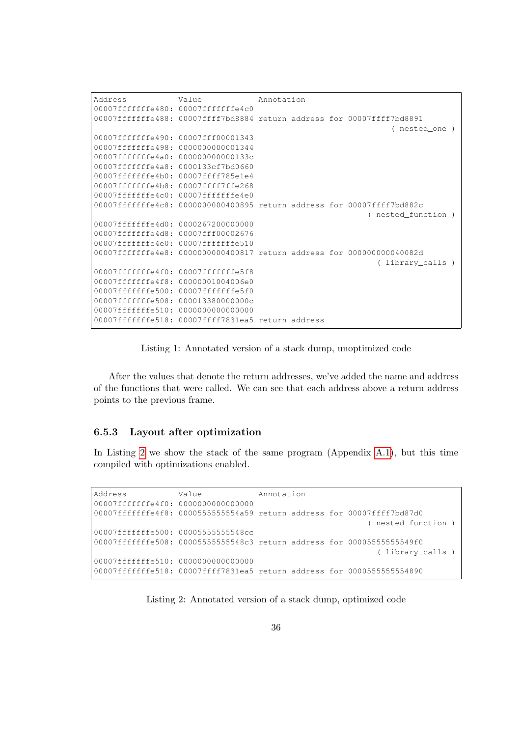```
Address Value Annotation
00007fffffffe480: 00007fffffffe4c0
00007fffffffe488: 00007ffff7bd8884 return address for 00007ffff7bd8891
                                                               ( nested_one )
00007fffffffe490: 00007fff00001343
00007fffffffe498: 0000000000001344
00007fffffffe4a0: 000000000000133c
00007fffffffe4a8: 0000133cf7bd0660
00007fffffffe4b0: 00007ffff785e1e4
00007fffffffe4b8: 00007ffff7ffe268
00007fffffffe4c0: 00007fffffffe4e0
00007fffffffe4c8: 0000000000400895 return address for 00007ffff7bd882c
                                                          ( nested_function )
00007fffffffe4d0: 0000267200000000
00007fffffffe4d8: 00007fff00002676
00007fffffffe4e0: 00007fffffffe510
00007fffffffe4e8: 0000000000400817 return address for 000000000040082d
                                                            ( library_calls )
00007fffffffe4f0: 00007fffffffe5f8
00007fffffffe4f8: 00000001004006e0
00007fffffffe500: 00007fffffffe5f0
00007fffffffe508: 000013380000000c
00007fffffffe510: 0000000000000000
00007fffffffe518: 00007ffff7831ea5 return address
```
Listing 1: Annotated version of a stack dump, unoptimized code

After the values that denote the return addresses, we've added the name and address of the functions that were called. We can see that each address above a return address points to the previous frame.

#### 6.5.3 Layout after optimization

In Listing [2](#page-35-1) we show the stack of the same program (Appendix [A.1\)](#page-70-1), but this time compiled with optimizations enabled.

<span id="page-35-1"></span>Address **Value** Annotation 00007fffffffe4f0: 0000000000000000 00007fffffffe4f8: 0000555555554a59 return address for 00007ffff7bd87d0 ( nested\_function ) 00007fffffffe500: 00005555555548cc 00007fffffffe508: 00005555555548c3 return address for 00005555555549f0 ( library\_calls ) 00007fffffffe510: 0000000000000000 00007fffffffe518: 00007ffff7831ea5 return address for 0000555555554890

Listing 2: Annotated version of a stack dump, optimized code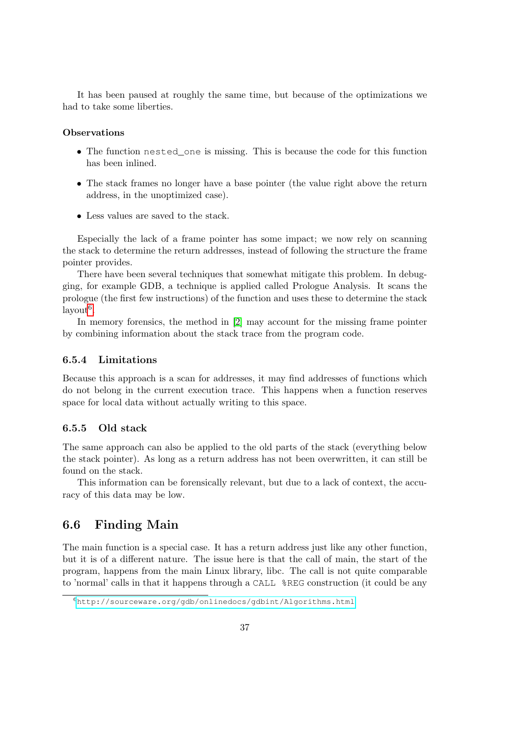It has been paused at roughly the same time, but because of the optimizations we had to take some liberties.

### **Observations**

- The function nested\_one is missing. This is because the code for this function has been inlined.
- The stack frames no longer have a base pointer (the value right above the return address, in the unoptimized case).
- Less values are saved to the stack.

Especially the lack of a frame pointer has some impact; we now rely on scanning the stack to determine the return addresses, instead of following the structure the frame pointer provides.

There have been several techniques that somewhat mitigate this problem. In debugging, for example GDB, a technique is applied called Prologue Analysis. It scans the prologue (the first few instructions) of the function and uses these to determine the stack  $\mathrm{ layout}^6$  $\mathrm{ layout}^6$ .

In memory forensics, the method in [\[2\]](#page-66-0) may account for the missing frame pointer by combining information about the stack trace from the program code.

### 6.5.4 Limitations

Because this approach is a scan for addresses, it may find addresses of functions which do not belong in the current execution trace. This happens when a function reserves space for local data without actually writing to this space.

### <span id="page-36-2"></span>6.5.5 Old stack

The same approach can also be applied to the old parts of the stack (everything below the stack pointer). As long as a return address has not been overwritten, it can still be found on the stack.

This information can be forensically relevant, but due to a lack of context, the accuracy of this data may be low.

# <span id="page-36-1"></span>6.6 Finding Main

The main function is a special case. It has a return address just like any other function, but it is of a different nature. The issue here is that the call of main, the start of the program, happens from the main Linux library, libc. The call is not quite comparable to 'normal' calls in that it happens through a CALL %REG construction (it could be any

<span id="page-36-0"></span> $6$ <http://sourceware.org/gdb/onlinedocs/gdbint/Algorithms.html>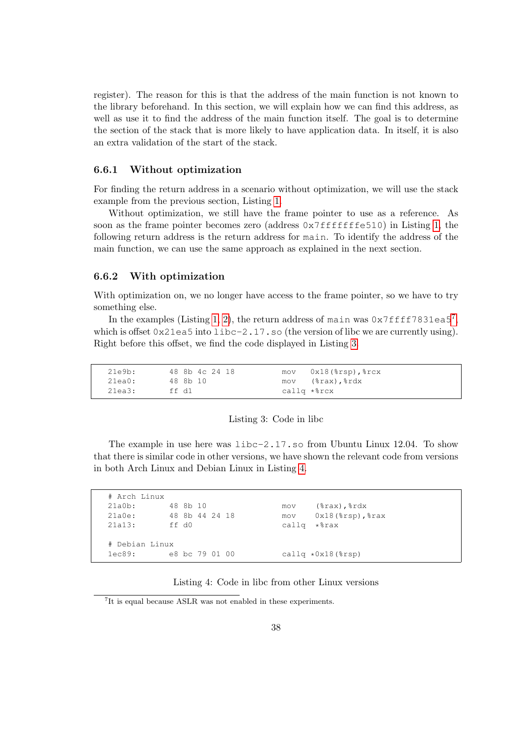register). The reason for this is that the address of the main function is not known to the library beforehand. In this section, we will explain how we can find this address, as well as use it to find the address of the main function itself. The goal is to determine the section of the stack that is more likely to have application data. In itself, it is also an extra validation of the start of the stack.

### 6.6.1 Without optimization

For finding the return address in a scenario without optimization, we will use the stack example from the previous section, Listing [1.](#page-35-0)

Without optimization, we still have the frame pointer to use as a reference. As soon as the frame pointer becomes zero (address  $0 \times 7$  fffffffe510) in Listing [1,](#page-35-0) the following return address is the return address for main. To identify the address of the main function, we can use the same approach as explained in the next section.

### 6.6.2 With optimization

With optimization on, we no longer have access to the frame pointer, so we have to try something else.

In the examples (Listing [1,](#page-35-0) [2\)](#page-35-1), the return address of main was  $0 \times 7$  $0 \times 7$  ffff7831ea5<sup>7</sup>, which is offset  $0 \times 21 = a5$  into  $1 \times b = -2.17$ . so (the version of libc we are currently using). Right before this offset, we find the code displayed in Listing [3.](#page-37-1)

<span id="page-37-1"></span>

| 21e9b:    | 48 8b 4c 24 18 | $mov$ $0x18$ $(*rsp)$ , $*rcx$ |
|-----------|----------------|--------------------------------|
| $21ea0$ : | 48 8b 10       | mov (%rax),%rdx                |
| 21ea3:    | ff d1          | callg *%rcx                    |

#### Listing 3: Code in libc

The example in use here was  $\text{libc-2.17}$ . so from Ubuntu Linux 12.04. To show that there is similar code in other versions, we have shown the relevant code from versions in both Arch Linux and Debian Linux in Listing [4.](#page-37-2)

<span id="page-37-2"></span>

| # Arch Linux   |                |                                       |  |
|----------------|----------------|---------------------------------------|--|
| 21a0b:         | 48 8b 10       | $(\text{grav})$ , $\text{rdx}$<br>mov |  |
| 21a0e:         | 48 8b 44 24 18 | $0x18$ ( $8rsp$ ), $8rxx$<br>mov      |  |
| 21a13:         | ff d0          | *%rax<br>callg                        |  |
|                |                |                                       |  |
| # Debian Linux |                |                                       |  |
| lec89:         | e8 bc 79 01 00 | callg $*0x18$ ( $srsp$ )              |  |

Listing 4: Code in libc from other Linux versions

<span id="page-37-0"></span><sup>7</sup> It is equal because ASLR was not enabled in these experiments.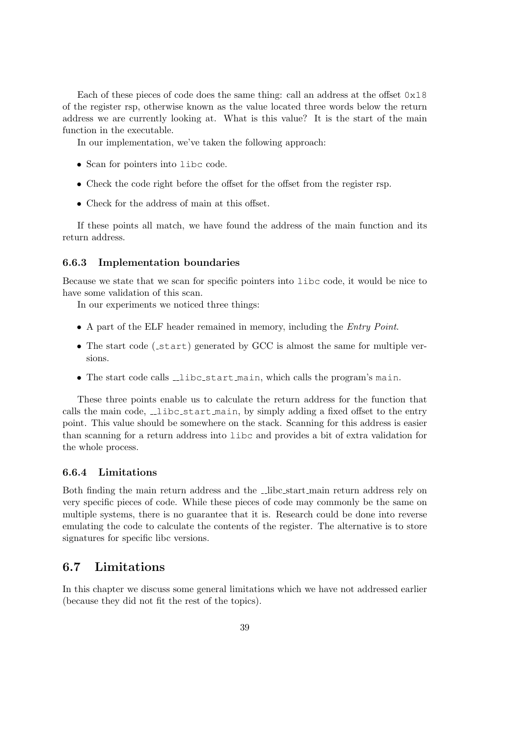Each of these pieces of code does the same thing: call an address at the offset  $0 \times 18$ of the register rsp, otherwise known as the value located three words below the return address we are currently looking at. What is this value? It is the start of the main function in the executable.

In our implementation, we've taken the following approach:

- Scan for pointers into libc code.
- Check the code right before the offset for the offset from the register rsp.
- Check for the address of main at this offset.

If these points all match, we have found the address of the main function and its return address.

### 6.6.3 Implementation boundaries

Because we state that we scan for specific pointers into libc code, it would be nice to have some validation of this scan.

In our experiments we noticed three things:

- A part of the ELF header remained in memory, including the *Entry Point*.
- The start code (\_start) generated by GCC is almost the same for multiple versions.
- The start code calls  $\Box$ libc\_start\_main, which calls the program's main.

These three points enable us to calculate the return address for the function that calls the main code,  $\text{\textendash}$  libc start main, by simply adding a fixed offset to the entry point. This value should be somewhere on the stack. Scanning for this address is easier than scanning for a return address into libc and provides a bit of extra validation for the whole process.

### 6.6.4 Limitations

Both finding the main return address and the  $\Box$ libc start main return address rely on very specific pieces of code. While these pieces of code may commonly be the same on multiple systems, there is no guarantee that it is. Research could be done into reverse emulating the code to calculate the contents of the register. The alternative is to store signatures for specific libc versions.

# <span id="page-38-0"></span>6.7 Limitations

In this chapter we discuss some general limitations which we have not addressed earlier (because they did not fit the rest of the topics).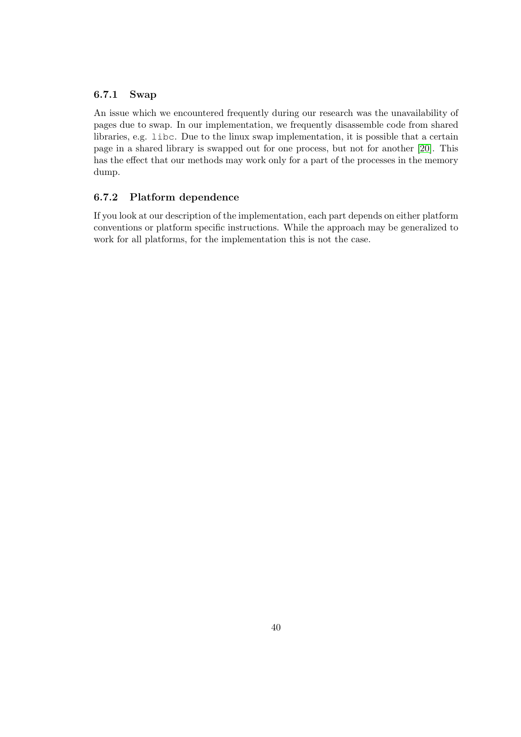### 6.7.1 Swap

An issue which we encountered frequently during our research was the unavailability of pages due to swap. In our implementation, we frequently disassemble code from shared libraries, e.g. libc. Due to the linux swap implementation, it is possible that a certain page in a shared library is swapped out for one process, but not for another [\[20\]](#page-67-0). This has the effect that our methods may work only for a part of the processes in the memory dump.

### 6.7.2 Platform dependence

If you look at our description of the implementation, each part depends on either platform conventions or platform specific instructions. While the approach may be generalized to work for all platforms, for the implementation this is not the case.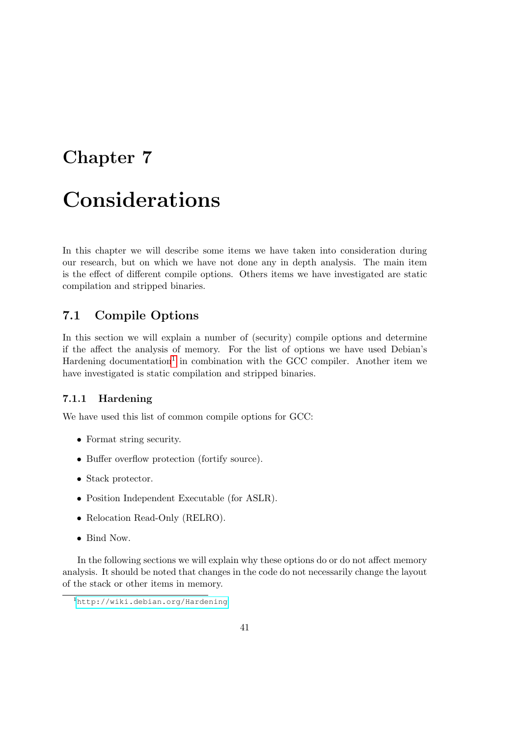# <span id="page-40-1"></span>Chapter 7

# Considerations

In this chapter we will describe some items we have taken into consideration during our research, but on which we have not done any in depth analysis. The main item is the effect of different compile options. Others items we have investigated are static compilation and stripped binaries.

# 7.1 Compile Options

In this section we will explain a number of (security) compile options and determine if the affect the analysis of memory. For the list of options we have used Debian's Hardening documentation<sup>[1](#page-40-0)</sup> in combination with the GCC compiler. Another item we have investigated is static compilation and stripped binaries.

## 7.1.1 Hardening

We have used this list of common compile options for GCC:

- Format string security.
- Buffer overflow protection (fortify source).
- Stack protector.
- Position Independent Executable (for ASLR).
- Relocation Read-Only (RELRO).
- Bind Now.

In the following sections we will explain why these options do or do not affect memory analysis. It should be noted that changes in the code do not necessarily change the layout of the stack or other items in memory.

<span id="page-40-0"></span><sup>1</sup><http://wiki.debian.org/Hardening>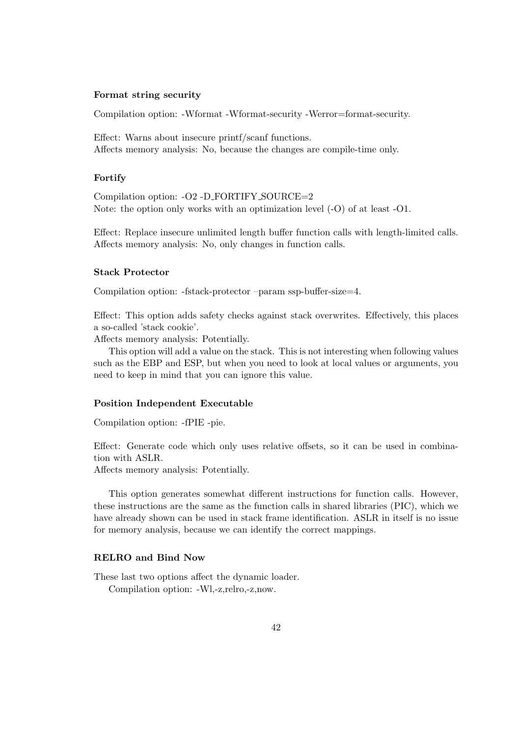### Format string security

Compilation option: -Wformat -Wformat-security -Werror=format-security.

Effect: Warns about insecure printf/scanf functions. Affects memory analysis: No, because the changes are compile-time only.

### Fortify

Compilation option: -O2 -D FORTIFY SOURCE=2 Note: the option only works with an optimization level (-O) of at least -O1.

Effect: Replace insecure unlimited length buffer function calls with length-limited calls. Affects memory analysis: No, only changes in function calls.

#### Stack Protector

Compilation option: -fstack-protector –param ssp-buffer-size=4.

Effect: This option adds safety checks against stack overwrites. Effectively, this places a so-called 'stack cookie'.

Affects memory analysis: Potentially.

This option will add a value on the stack. This is not interesting when following values such as the EBP and ESP, but when you need to look at local values or arguments, you need to keep in mind that you can ignore this value.

#### Position Independent Executable

Compilation option: -fPIE -pie.

Effect: Generate code which only uses relative offsets, so it can be used in combination with ASLR.

Affects memory analysis: Potentially.

This option generates somewhat different instructions for function calls. However, these instructions are the same as the function calls in shared libraries (PIC), which we have already shown can be used in stack frame identification. ASLR in itself is no issue for memory analysis, because we can identify the correct mappings.

#### RELRO and Bind Now

These last two options affect the dynamic loader. Compilation option: -Wl,-z,relro,-z,now.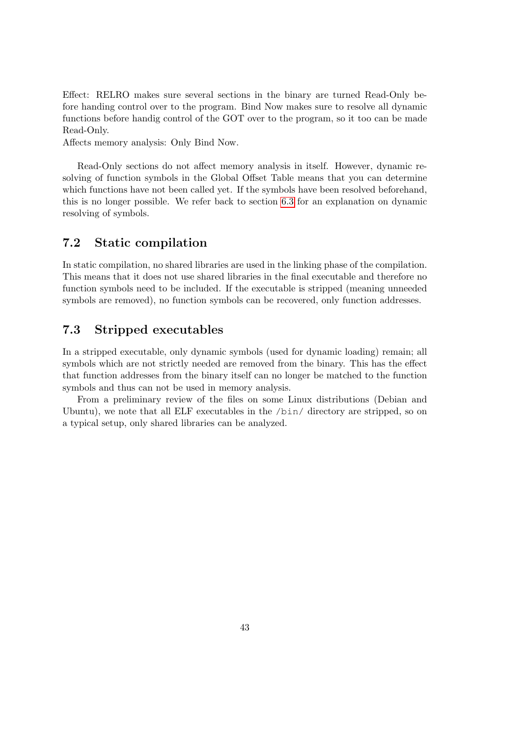Effect: RELRO makes sure several sections in the binary are turned Read-Only before handing control over to the program. Bind Now makes sure to resolve all dynamic functions before handig control of the GOT over to the program, so it too can be made Read-Only.

Affects memory analysis: Only Bind Now.

Read-Only sections do not affect memory analysis in itself. However, dynamic resolving of function symbols in the Global Offset Table means that you can determine which functions have not been called yet. If the symbols have been resolved beforehand, this is no longer possible. We refer back to section [6.3](#page-30-0) for an explanation on dynamic resolving of symbols.

# 7.2 Static compilation

In static compilation, no shared libraries are used in the linking phase of the compilation. This means that it does not use shared libraries in the final executable and therefore no function symbols need to be included. If the executable is stripped (meaning unneeded symbols are removed), no function symbols can be recovered, only function addresses.

# 7.3 Stripped executables

In a stripped executable, only dynamic symbols (used for dynamic loading) remain; all symbols which are not strictly needed are removed from the binary. This has the effect that function addresses from the binary itself can no longer be matched to the function symbols and thus can not be used in memory analysis.

From a preliminary review of the files on some Linux distributions (Debian and Ubuntu), we note that all ELF executables in the /bin/ directory are stripped, so on a typical setup, only shared libraries can be analyzed.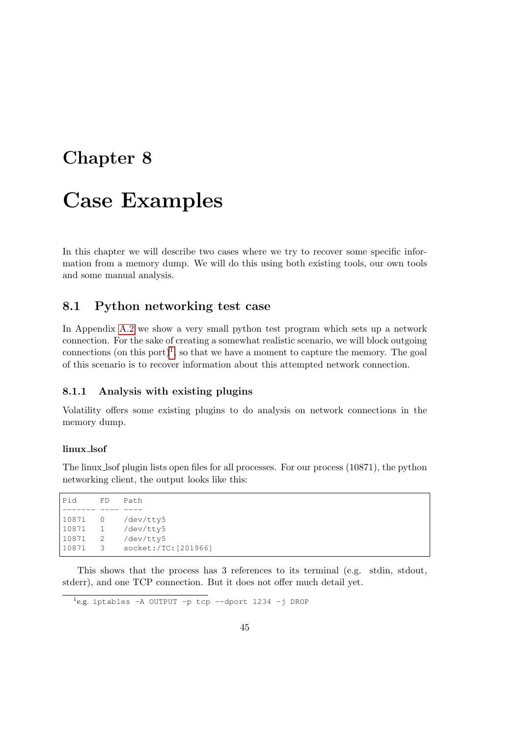# Chapter 8

# Case Examples

In this chapter we will describe two cases where we try to recover some specific information from a memory dump. We will do this using both existing tools, our own tools and some manual analysis.

# <span id="page-44-1"></span>8.1 Python networking test case

In Appendix [A.2](#page-72-0) we show a very small python test program which sets up a network connection. For the sake of creating a somewhat realistic scenario, we will block outgoing connections (on this port)<sup>[1](#page-44-0)</sup>, so that we have a moment to capture the memory. The goal of this scenario is to recover information about this attempted network connection.

### 8.1.1 Analysis with existing plugins

Volatility offers some existing plugins to do analysis on network connections in the memory dump.

#### linux lsof

The linux lsof plugin lists open files for all processes. For our process (10871), the python networking client, the output looks like this:

This shows that the process has 3 references to its terminal (e.g. stdin, stdout, stderr), and one TCP connection. But it does not offer much detail yet.

<span id="page-44-0"></span>1 e.g. iptables -A OUTPUT -p tcp --dport 1234 -j DROP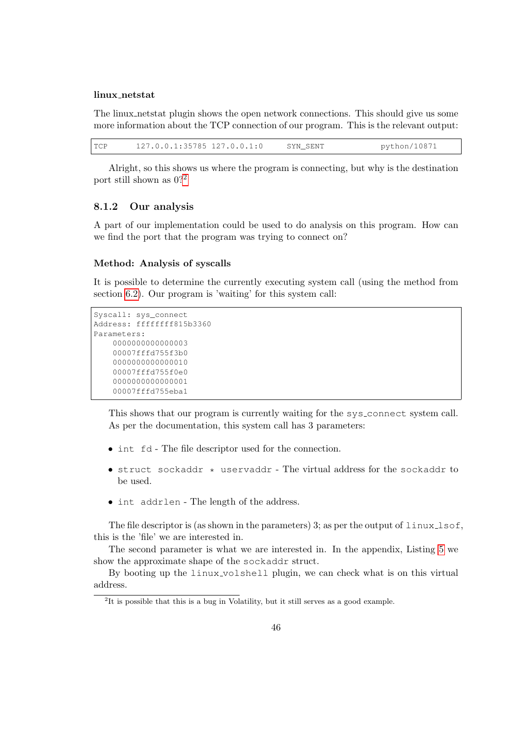### linux\_netstat

The linux netstat plugin shows the open network connections. This should give us some more information about the TCP connection of our program. This is the relevant output:

| <b>TCP</b> | $127.0.0.1:35785$ $127.0.0.1:0$ |  | SYN SENT | python/10871 |
|------------|---------------------------------|--|----------|--------------|
|------------|---------------------------------|--|----------|--------------|

Alright, so this shows us where the program is connecting, but why is the destination port still shown as  $0$ ?<sup>[2](#page-45-0)</sup>

### 8.1.2 Our analysis

A part of our implementation could be used to do analysis on this program. How can we find the port that the program was trying to connect on?

### Method: Analysis of syscalls

It is possible to determine the currently executing system call (using the method from section [6.2\)](#page-29-0). Our program is 'waiting' for this system call:

```
Syscall: sys_connect
Address: ffffffff815b3360
Parameters:
    0000000000000003
    00007fffd755f3b0
    0000000000000010
    00007fffd755f0e0
    0000000000000001
    00007fffd755eba1
```
This shows that our program is currently waiting for the sys connect system call. As per the documentation, this system call has 3 parameters:

- int fd The file descriptor used for the connection.
- struct sockaddr \* uservaddr The virtual address for the sockaddr to be used.
- int addrlen The length of the address.

The file descriptor is (as shown in the parameters) 3; as per the output of  $\lim_{x\to a}$  is of, this is the 'file' we are interested in.

The second parameter is what we are interested in. In the appendix, Listing [5](#page-46-0) we show the approximate shape of the sockaddr struct.

By booting up the linux volshell plugin, we can check what is on this virtual address.

<span id="page-45-0"></span><sup>&</sup>lt;sup>2</sup>It is possible that this is a bug in Volatility, but it still serves as a good example.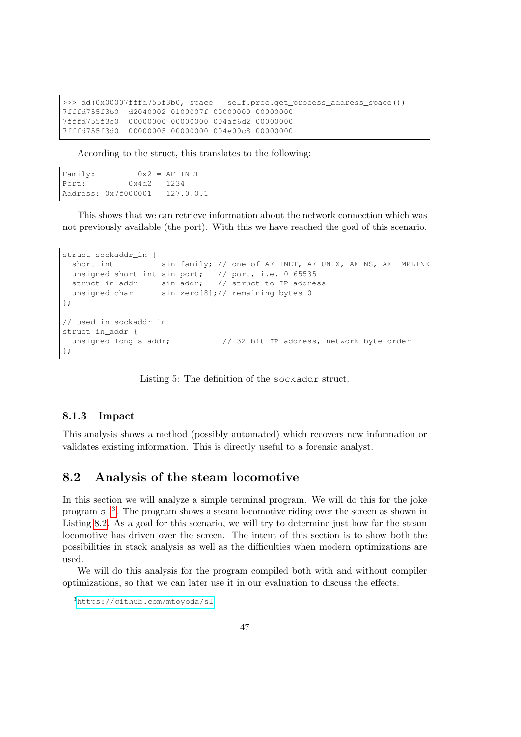```
>>> dd(0x00007fffd755f3b0, space = self.proc.get_process_address_space())
7fffd755f3b0 d2040002 0100007f 00000000 00000000
7fffd755f3c0 00000000 00000000 004af6d2 00000000
7fffd755f3d0 00000005 00000000 004e09c8 00000000
```
According to the struct, this translates to the following:

```
Family: 0x2 = AF_INETPort: 0x4d2 = 1234Address: 0x7f000001 = 127.0.0.1
```
This shows that we can retrieve information about the network connection which was not previously available (the port). With this we have reached the goal of this scenario.

```
struct sockaddr in {
 short int sin_family; // one of AF_INET, AF_UNIX, AF_NS, AF_IMPLINK
 unsigned short int sin_port; // port, i.e. 0-65535
 struct in_addr sin_addr; // struct to IP address
 unsigned char sin_zero[8];// remaining bytes 0
};
// used in sockaddr_in
struct in addr {
 unsigned long s_addr; \frac{1}{2} // 32 bit IP address, network byte order
};
```
Listing 5: The definition of the sockaddr struct.

### 8.1.3 Impact

This analysis shows a method (possibly automated) which recovers new information or validates existing information. This is directly useful to a forensic analyst.

# 8.2 Analysis of the steam locomotive

In this section we will analyze a simple terminal program. We will do this for the joke program  $s1<sup>3</sup>$  $s1<sup>3</sup>$  $s1<sup>3</sup>$ . The program shows a steam locomotive riding over the screen as shown in Listing [8.2.](#page-0-0) As a goal for this scenario, we will try to determine just how far the steam locomotive has driven over the screen. The intent of this section is to show both the possibilities in stack analysis as well as the difficulties when modern optimizations are used.

We will do this analysis for the program compiled both with and without compiler optimizations, so that we can later use it in our evaluation to discuss the effects.

<span id="page-46-1"></span><sup>3</sup><https://github.com/mtoyoda/sl>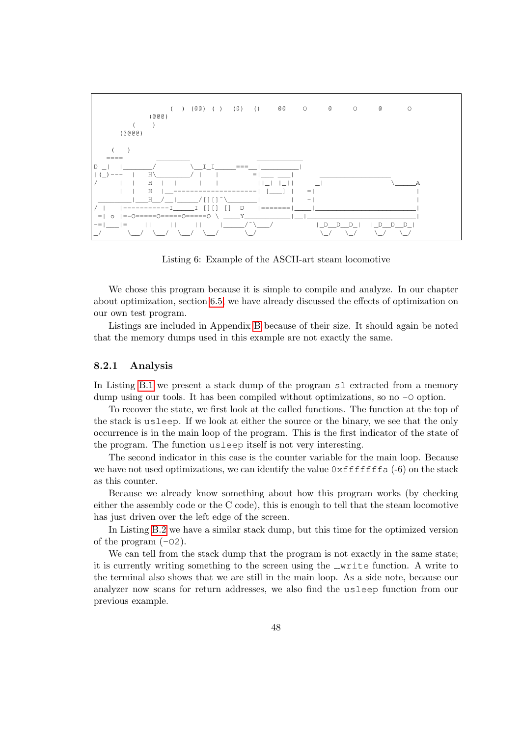

Listing 6: Example of the ASCII-art steam locomotive

We chose this program because it is simple to compile and analyze. In our chapter about optimization, section [6.5,](#page-34-0) we have already discussed the effects of optimization on our own test program.

Listings are included in Appendix [B](#page-74-0) because of their size. It should again be noted that the memory dumps used in this example are not exactly the same.

### 8.2.1 Analysis

In Listing [B.1](#page-74-1) we present a stack dump of the program sl extracted from a memory dump using our tools. It has been compiled without optimizations, so no  $-0$  option.

To recover the state, we first look at the called functions. The function at the top of the stack is usleep. If we look at either the source or the binary, we see that the only occurrence is in the main loop of the program. This is the first indicator of the state of the program. The function usleep itself is not very interesting.

The second indicator in this case is the counter variable for the main loop. Because we have not used optimizations, we can identify the value  $0 \times$ ffffffa  $(-6)$  on the stack as this counter.

Because we already know something about how this program works (by checking either the assembly code or the C code), this is enough to tell that the steam locomotive has just driven over the left edge of the screen.

In Listing [B.2](#page-74-2) we have a similar stack dump, but this time for the optimized version of the program  $(-02)$ .

We can tell from the stack dump that the program is not exactly in the same state; it is currently writing something to the screen using the  $\text{curve}$  function. A write to the terminal also shows that we are still in the main loop. As a side note, because our analyzer now scans for return addresses, we also find the usleep function from our previous example.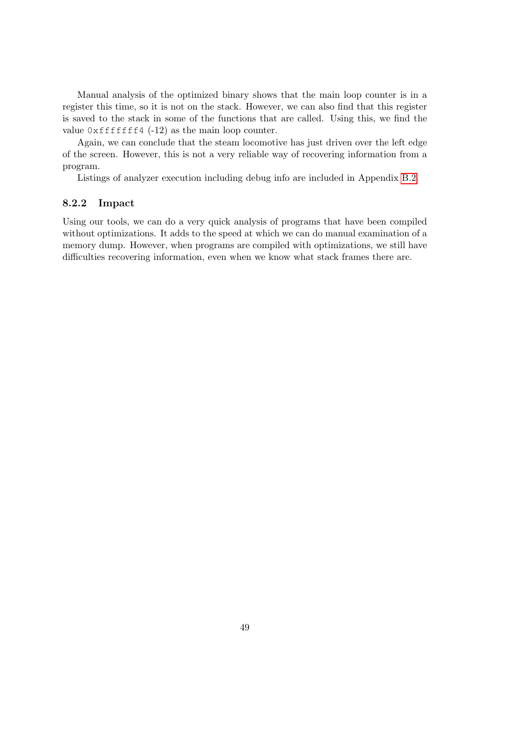Manual analysis of the optimized binary shows that the main loop counter is in a register this time, so it is not on the stack. However, we can also find that this register is saved to the stack in some of the functions that are called. Using this, we find the value  $0 \times$ fffffff4 (-12) as the main loop counter.

Again, we can conclude that the steam locomotive has just driven over the left edge of the screen. However, this is not a very reliable way of recovering information from a program.

Listings of analyzer execution including debug info are included in Appendix [B.2.](#page-76-0)

### 8.2.2 Impact

Using our tools, we can do a very quick analysis of programs that have been compiled without optimizations. It adds to the speed at which we can do manual examination of a memory dump. However, when programs are compiled with optimizations, we still have difficulties recovering information, even when we know what stack frames there are.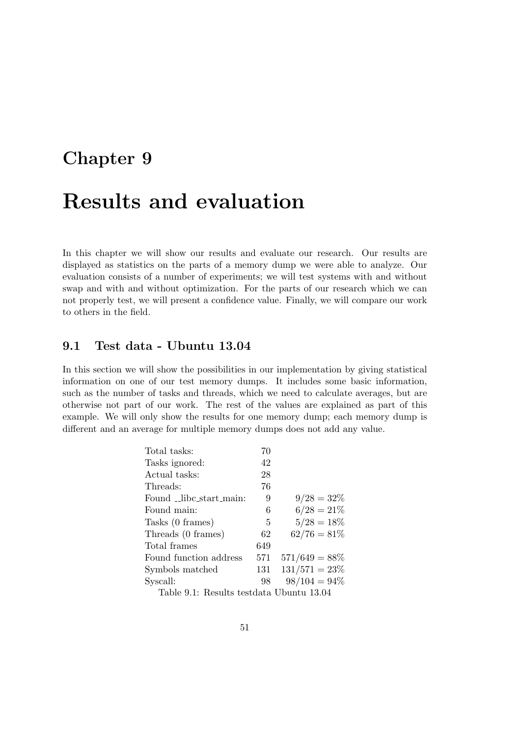# <span id="page-50-1"></span>Chapter 9

# Results and evaluation

In this chapter we will show our results and evaluate our research. Our results are displayed as statistics on the parts of a memory dump we were able to analyze. Our evaluation consists of a number of experiments; we will test systems with and without swap and with and without optimization. For the parts of our research which we can not properly test, we will present a confidence value. Finally, we will compare our work to others in the field.

# 9.1 Test data - Ubuntu 13.04

In this section we will show the possibilities in our implementation by giving statistical information on one of our test memory dumps. It includes some basic information, such as the number of tasks and threads, which we need to calculate averages, but are otherwise not part of our work. The rest of the values are explained as part of this example. We will only show the results for one memory dump; each memory dump is different and an average for multiple memory dumps does not add any value.

| Total tasks:                            | 70  |                  |
|-----------------------------------------|-----|------------------|
| Tasks ignored:                          | 42  |                  |
| Actual tasks:                           | 28  |                  |
| Threads:                                | 76  |                  |
| Found _libc_start_main:                 | 9   | $9/28 = 32\%$    |
| Found main:                             | 6   | $6/28 = 21\%$    |
| Tasks (0 frames)                        | 5   | $5/28 = 18\%$    |
| Threads (0 frames)                      | 62  | $62/76=81\%$     |
| Total frames                            | 649 |                  |
| Found function address                  | 571 | $571/649 = 88\%$ |
| Symbols matched                         | 131 | $131/571 = 23\%$ |
| Syscall:                                | 98  | $98/104 = 94\%$  |
| Table 0.1. Decute textdate Ubuntu 12.04 |     |                  |

<span id="page-50-0"></span>Table 9.1: Results testdata Ubuntu 13.04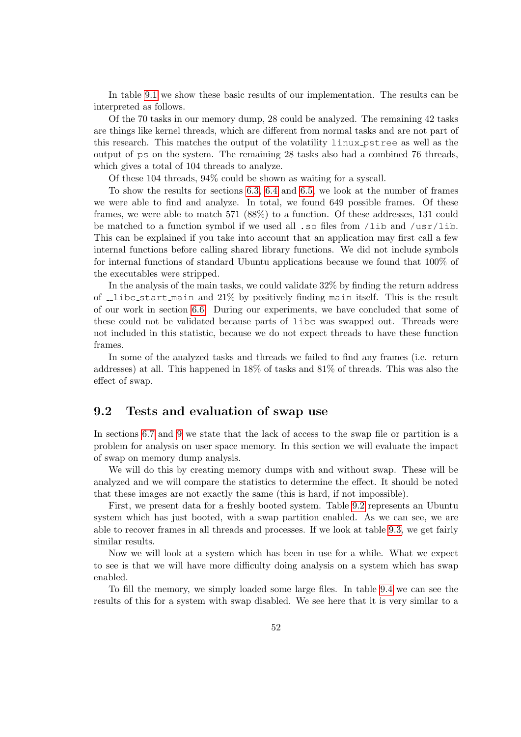In table [9.1](#page-50-0) we show these basic results of our implementation. The results can be interpreted as follows.

Of the 70 tasks in our memory dump, 28 could be analyzed. The remaining 42 tasks are things like kernel threads, which are different from normal tasks and are not part of this research. This matches the output of the volatility linux pstree as well as the output of ps on the system. The remaining 28 tasks also had a combined 76 threads, which gives a total of 104 threads to analyze.

Of these 104 threads, 94% could be shown as waiting for a syscall.

To show the results for sections [6.3,](#page-30-0) [6.4](#page-32-0) and [6.5,](#page-34-0) we look at the number of frames we were able to find and analyze. In total, we found 649 possible frames. Of these frames, we were able to match 571 (88%) to a function. Of these addresses, 131 could be matched to a function symbol if we used all .so files from /lib and /usr/lib. This can be explained if you take into account that an application may first call a few internal functions before calling shared library functions. We did not include symbols for internal functions of standard Ubuntu applications because we found that 100% of the executables were stripped.

In the analysis of the main tasks, we could validate 32% by finding the return address of libc start main and 21% by positively finding main itself. This is the result of our work in section [6.6.](#page-36-1) During our experiments, we have concluded that some of these could not be validated because parts of libc was swapped out. Threads were not included in this statistic, because we do not expect threads to have these function frames.

In some of the analyzed tasks and threads we failed to find any frames (i.e. return addresses) at all. This happened in 18% of tasks and 81% of threads. This was also the effect of swap.

### <span id="page-51-0"></span>9.2 Tests and evaluation of swap use

In sections [6.7](#page-38-0) and [9](#page-50-1) we state that the lack of access to the swap file or partition is a problem for analysis on user space memory. In this section we will evaluate the impact of swap on memory dump analysis.

We will do this by creating memory dumps with and without swap. These will be analyzed and we will compare the statistics to determine the effect. It should be noted that these images are not exactly the same (this is hard, if not impossible).

First, we present data for a freshly booted system. Table [9.2](#page-52-0) represents an Ubuntu system which has just booted, with a swap partition enabled. As we can see, we are able to recover frames in all threads and processes. If we look at table [9.3,](#page-52-1) we get fairly similar results.

Now we will look at a system which has been in use for a while. What we expect to see is that we will have more difficulty doing analysis on a system which has swap enabled.

To fill the memory, we simply loaded some large files. In table [9.4](#page-53-0) we can see the results of this for a system with swap disabled. We see here that it is very similar to a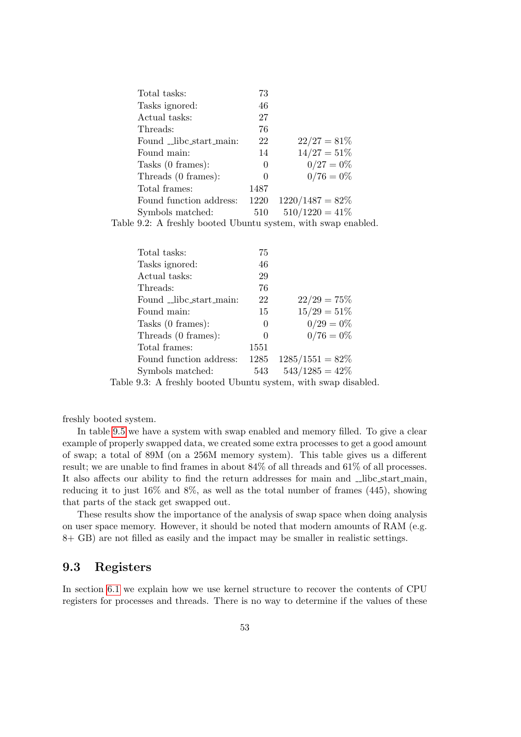| Total tasks:            | 73       |                    |
|-------------------------|----------|--------------------|
| Tasks ignored:          | 46       |                    |
| Actual tasks:           | 27       |                    |
| Threads:                | 76       |                    |
| Found libe start main:  | 22       | $22/27 = 81\%$     |
| Found main:             | 14       | $14/27 = 51\%$     |
| Tasks (0 frames):       | $\theta$ | $0/27 = 0\%$       |
| Threads (0 frames):     | 0        | $0/76 = 0\%$       |
| Total frames:           | 1487     |                    |
| Found function address: | 1220     | $1220/1487 = 82\%$ |
| Symbols matched:        | 510      | $510/1220 = 41\%$  |

<span id="page-52-0"></span>Table 9.2: A freshly booted Ubuntu system, with swap enabled.

| Total tasks:            | 75       |                    |  |
|-------------------------|----------|--------------------|--|
| Tasks ignored:          | 46       |                    |  |
| Actual tasks:           | 29       |                    |  |
| Threads:                | 76       |                    |  |
| Found _libc_start_main: | 22       | $22/29 = 75\%$     |  |
| Found main:             | 15       | $15/29 = 51\%$     |  |
| Tasks (0 frames):       | $\theta$ | $0/29=0%$          |  |
| Threads (0 frames):     | $\theta$ | $0/76 = 0\%$       |  |
| Total frames:           | 1551     |                    |  |
| Found function address: | 1285     | $1285/1551 = 82\%$ |  |
| Symbols matched:        | 543      | $543/1285 = 42\%$  |  |
|                         |          |                    |  |

<span id="page-52-1"></span>Table 9.3: A freshly booted Ubuntu system, with swap disabled.

freshly booted system.

In table [9.5](#page-53-1) we have a system with swap enabled and memory filled. To give a clear example of properly swapped data, we created some extra processes to get a good amount of swap; a total of 89M (on a 256M memory system). This table gives us a different result; we are unable to find frames in about 84% of all threads and 61% of all processes. It also affects our ability to find the return addresses for main and \_libc\_start\_main, reducing it to just 16% and 8%, as well as the total number of frames (445), showing that parts of the stack get swapped out.

These results show the importance of the analysis of swap space when doing analysis on user space memory. However, it should be noted that modern amounts of RAM (e.g. 8+ GB) are not filled as easily and the impact may be smaller in realistic settings.

# 9.3 Registers

In section [6.1](#page-28-0) we explain how we use kernel structure to recover the contents of CPU registers for processes and threads. There is no way to determine if the values of these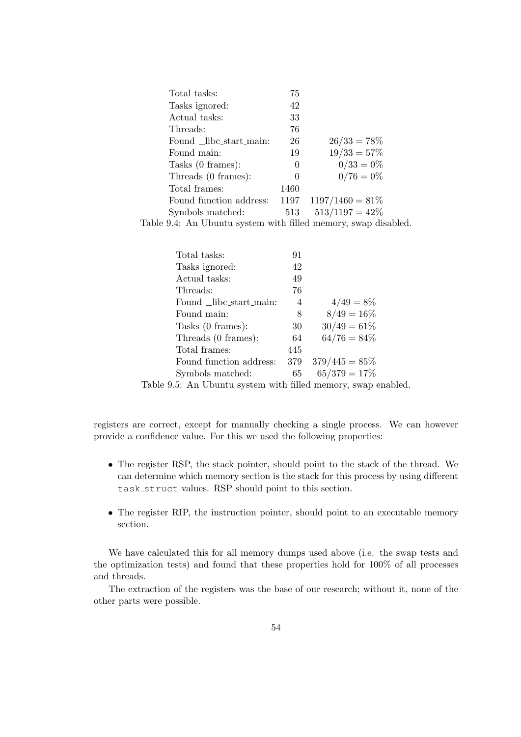| Total tasks:                                                                                                                                                                                                                                                                                                                                                                                                                                                                               | 75                |                    |  |
|--------------------------------------------------------------------------------------------------------------------------------------------------------------------------------------------------------------------------------------------------------------------------------------------------------------------------------------------------------------------------------------------------------------------------------------------------------------------------------------------|-------------------|--------------------|--|
| Tasks ignored:                                                                                                                                                                                                                                                                                                                                                                                                                                                                             | 42                |                    |  |
| Actual tasks:                                                                                                                                                                                                                                                                                                                                                                                                                                                                              | 33                |                    |  |
| Threads:                                                                                                                                                                                                                                                                                                                                                                                                                                                                                   | 76                |                    |  |
| Found _libc_start_main:                                                                                                                                                                                                                                                                                                                                                                                                                                                                    | 26                | $26/33 = 78\%$     |  |
| Found main:                                                                                                                                                                                                                                                                                                                                                                                                                                                                                | 19                | $19/33 = 57\%$     |  |
| Tasks (0 frames):                                                                                                                                                                                                                                                                                                                                                                                                                                                                          | $\theta$          | $0/33 = 0\%$       |  |
| Threads (0 frames):                                                                                                                                                                                                                                                                                                                                                                                                                                                                        | $\mathbf{0}$      | $0/76=0%$          |  |
| Total frames:                                                                                                                                                                                                                                                                                                                                                                                                                                                                              | 1460              |                    |  |
| Found function address:                                                                                                                                                                                                                                                                                                                                                                                                                                                                    | 1197              | $1197/1460 = 81\%$ |  |
| Symbols matched:                                                                                                                                                                                                                                                                                                                                                                                                                                                                           | 513               | $513/1197 = 42\%$  |  |
| $\blacksquare$ $\blacksquare$ $\blacksquare$ $\blacksquare$ $\blacksquare$ $\blacksquare$ $\blacksquare$ $\blacksquare$ $\blacksquare$ $\blacksquare$ $\blacksquare$ $\blacksquare$ $\blacksquare$ $\blacksquare$ $\blacksquare$ $\blacksquare$ $\blacksquare$ $\blacksquare$ $\blacksquare$ $\blacksquare$ $\blacksquare$ $\blacksquare$ $\blacksquare$ $\blacksquare$ $\blacksquare$ $\blacksquare$ $\blacksquare$ $\blacksquare$ $\blacksquare$ $\blacksquare$ $\blacksquare$ $\blacks$ | $\cdots$ $\cdots$ | $\mathbf{1}$       |  |

Table 9.4: An Ubuntu system with filled memory, swap disabled.

<span id="page-53-0"></span>

| Total tasks:                             | 91       |                  |  |
|------------------------------------------|----------|------------------|--|
| Tasks ignored:                           | 42       |                  |  |
| Actual tasks:                            | 49       |                  |  |
| Threads:                                 | 76       |                  |  |
| Found _libc_start_main:                  | 4        | $4/49=8%$        |  |
| Found main:                              | 8        | $8/49 = 16\%$    |  |
| Tasks (0 frames):                        | 30       | $30/49 = 61\%$   |  |
| Threads (0 frames):                      | 64       | $64/76 = 84\%$   |  |
| Total frames:                            | 445      |                  |  |
| Found function address:                  | 379      | $379/445 = 85\%$ |  |
| Symbols matched:                         | 65       | $65/379 = 17\%$  |  |
| $\alpha \vdash A$ in the set of $\alpha$ | 011<br>. | п.               |  |

<span id="page-53-1"></span>Table 9.5: An Ubuntu system with filled memory, swap enabled.

registers are correct, except for manually checking a single process. We can however provide a confidence value. For this we used the following properties:

- The register RSP, the stack pointer, should point to the stack of the thread. We can determine which memory section is the stack for this process by using different task struct values. RSP should point to this section.
- The register RIP, the instruction pointer, should point to an executable memory section.

We have calculated this for all memory dumps used above (i.e. the swap tests and the optimization tests) and found that these properties hold for 100% of all processes and threads.

The extraction of the registers was the base of our research; without it, none of the other parts were possible.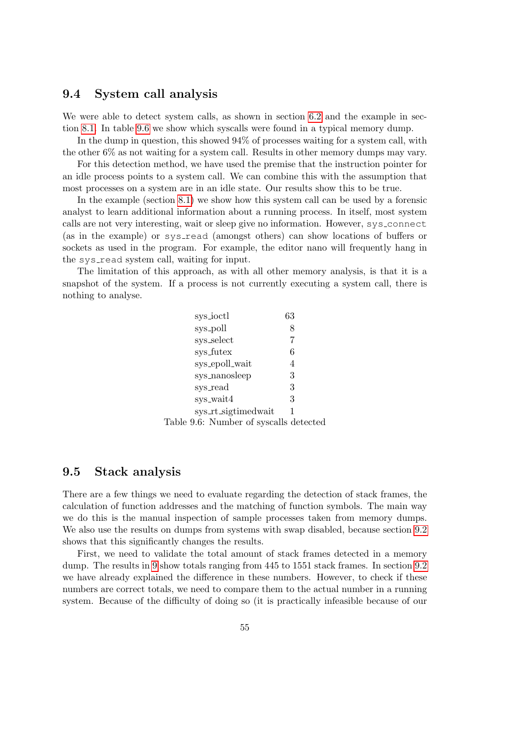# 9.4 System call analysis

We were able to detect system calls, as shown in section [6.2](#page-29-0) and the example in section [8.1.](#page-44-1) In table [9.6](#page-54-0) we show which syscalls were found in a typical memory dump.

In the dump in question, this showed 94% of processes waiting for a system call, with the other 6% as not waiting for a system call. Results in other memory dumps may vary.

For this detection method, we have used the premise that the instruction pointer for an idle process points to a system call. We can combine this with the assumption that most processes on a system are in an idle state. Our results show this to be true.

In the example (section [8.1\)](#page-44-1) we show how this system call can be used by a forensic analyst to learn additional information about a running process. In itself, most system calls are not very interesting, wait or sleep give no information. However, sys connect (as in the example) or sys read (amongst others) can show locations of buffers or sockets as used in the program. For example, the editor nano will frequently hang in the sys\_read system call, waiting for input.

The limitation of this approach, as with all other memory analysis, is that it is a snapshot of the system. If a process is not currently executing a system call, there is nothing to analyse.

<span id="page-54-0"></span>

| sys_ioctl                              | 63 |
|----------------------------------------|----|
| sys_poll                               | 8  |
| sys_select                             | 7  |
| sys_futex                              | 6  |
| sys_epoll_wait                         | 4  |
| sys_nanosleep                          | 3  |
| sys_read                               | 3  |
| sys_wait4                              | 3  |
| sys_rt_sigtimedwait                    |    |
| Table 9.6: Number of syscalls detected |    |

# 9.5 Stack analysis

There are a few things we need to evaluate regarding the detection of stack frames, the calculation of function addresses and the matching of function symbols. The main way we do this is the manual inspection of sample processes taken from memory dumps. We also use the results on dumps from systems with swap disabled, because section [9.2](#page-51-0) shows that this significantly changes the results.

First, we need to validate the total amount of stack frames detected in a memory dump. The results in [9](#page-50-1) show totals ranging from 445 to 1551 stack frames. In section [9.2](#page-51-0) we have already explained the difference in these numbers. However, to check if these numbers are correct totals, we need to compare them to the actual number in a running system. Because of the difficulty of doing so (it is practically infeasible because of our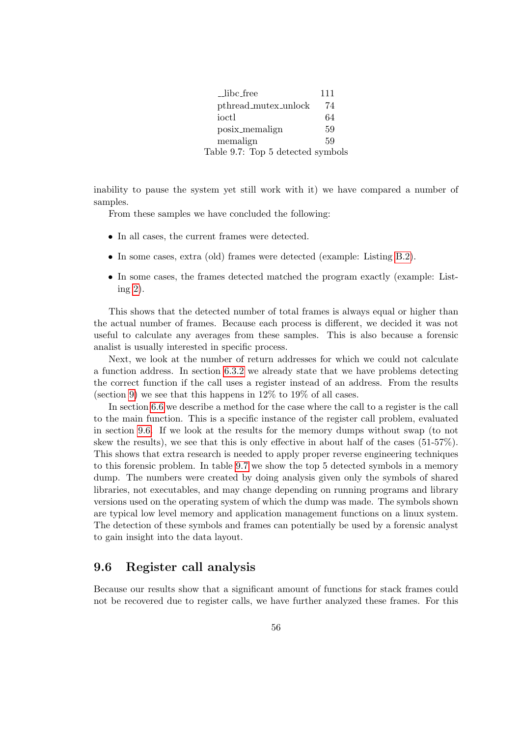<span id="page-55-1"></span>

| _libc_free                        | 111 |
|-----------------------------------|-----|
| pthread_mutex_unlock              | 74  |
| ioctl                             | 64  |
| posix_memalign                    | 59  |
| memalign                          | 59  |
| Table 9.7: Top 5 detected symbols |     |

inability to pause the system yet still work with it) we have compared a number of samples.

From these samples we have concluded the following:

- In all cases, the current frames were detected.
- In some cases, extra (old) frames were detected (example: Listing [B.2\)](#page-74-2).
- In some cases, the frames detected matched the program exactly (example: Listing [2\)](#page-35-1).

This shows that the detected number of total frames is always equal or higher than the actual number of frames. Because each process is different, we decided it was not useful to calculate any averages from these samples. This is also because a forensic analist is usually interested in specific process.

Next, we look at the number of return addresses for which we could not calculate a function address. In section [6.3.2](#page-32-1) we already state that we have problems detecting the correct function if the call uses a register instead of an address. From the results (section [9\)](#page-50-1) we see that this happens in  $12\%$  to  $19\%$  of all cases.

In section [6.6](#page-36-1) we describe a method for the case where the call to a register is the call to the main function. This is a specific instance of the register call problem, evaluated in section [9.6.](#page-55-0) If we look at the results for the memory dumps without swap (to not skew the results), we see that this is only effective in about half of the cases (51-57%). This shows that extra research is needed to apply proper reverse engineering techniques to this forensic problem. In table [9.7](#page-55-1) we show the top 5 detected symbols in a memory dump. The numbers were created by doing analysis given only the symbols of shared libraries, not executables, and may change depending on running programs and library versions used on the operating system of which the dump was made. The symbols shown are typical low level memory and application management functions on a linux system. The detection of these symbols and frames can potentially be used by a forensic analyst to gain insight into the data layout.

## <span id="page-55-0"></span>9.6 Register call analysis

Because our results show that a significant amount of functions for stack frames could not be recovered due to register calls, we have further analyzed these frames. For this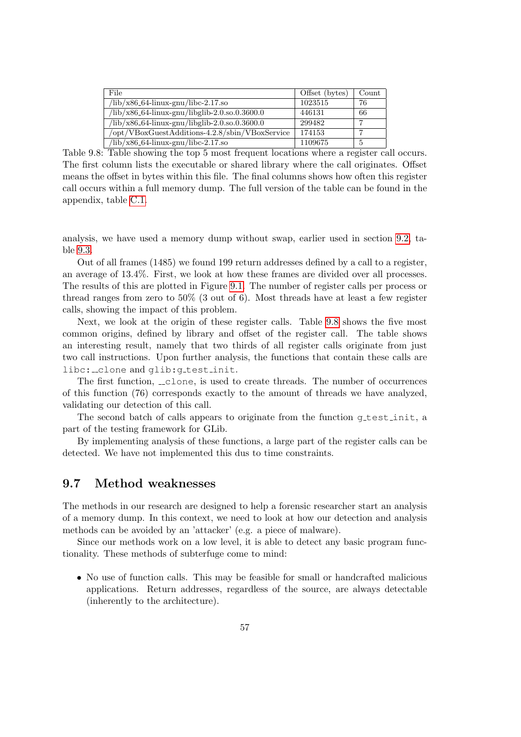| File                                                     | Offset (bytes) | Count |
|----------------------------------------------------------|----------------|-------|
| /lib/x86_64-linux-gnu/libc-2.17.so                       | 1023515        | 76    |
| /lib/x86_64-linux-gnu/libglib-2.0.so.0.3600.0            | 446131         | 66    |
| $\frac{1}{16}$ /x86_64-linux-gnu/libglib-2.0.so.0.3600.0 | 299482         |       |
| opt/VBoxGuestAdditions-4.2.8/sbin/VBoxService            | 174153         |       |
| /lib/x86_64-linux-gnu/libc-2.17.so                       | 1109675        | 5     |

<span id="page-56-0"></span>Table 9.8: Table showing the top 5 most frequent locations where a register call occurs. The first column lists the executable or shared library where the call originates. Offset means the offset in bytes within this file. The final columns shows how often this register call occurs within a full memory dump. The full version of the table can be found in the appendix, table [C.1.](#page-86-0)

analysis, we have used a memory dump without swap, earlier used in section [9.2,](#page-51-0) table [9.3.](#page-52-1)

Out of all frames (1485) we found 199 return addresses defined by a call to a register, an average of 13.4%. First, we look at how these frames are divided over all processes. The results of this are plotted in Figure [9.1.](#page-57-0) The number of register calls per process or thread ranges from zero to 50% (3 out of 6). Most threads have at least a few register calls, showing the impact of this problem.

Next, we look at the origin of these register calls. Table [9.8](#page-56-0) shows the five most common origins, defined by library and offset of the register call. The table shows an interesting result, namely that two thirds of all register calls originate from just two call instructions. Upon further analysis, the functions that contain these calls are libc: \_\_ clone and qlib: q\_test\_init.

The first function,  $\Box$ clone, is used to create threads. The number of occurrences of this function (76) corresponds exactly to the amount of threads we have analyzed, validating our detection of this call.

The second batch of calls appears to originate from the function  $q$  test init, a part of the testing framework for GLib.

By implementing analysis of these functions, a large part of the register calls can be detected. We have not implemented this dus to time constraints.

## 9.7 Method weaknesses

The methods in our research are designed to help a forensic researcher start an analysis of a memory dump. In this context, we need to look at how our detection and analysis methods can be avoided by an 'attacker' (e.g. a piece of malware).

Since our methods work on a low level, it is able to detect any basic program functionality. These methods of subterfuge come to mind:

• No use of function calls. This may be feasible for small or handcrafted malicious applications. Return addresses, regardless of the source, are always detectable (inherently to the architecture).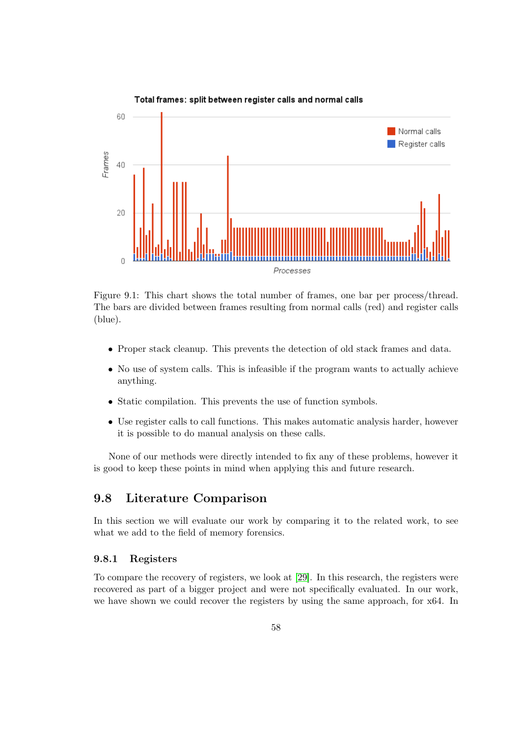

<span id="page-57-0"></span>Figure 9.1: This chart shows the total number of frames, one bar per process/thread. The bars are divided between frames resulting from normal calls (red) and register calls (blue).

- Proper stack cleanup. This prevents the detection of old stack frames and data.
- No use of system calls. This is infeasible if the program wants to actually achieve anything.
- Static compilation. This prevents the use of function symbols.
- Use register calls to call functions. This makes automatic analysis harder, however it is possible to do manual analysis on these calls.

None of our methods were directly intended to fix any of these problems, however it is good to keep these points in mind when applying this and future research.

# 9.8 Literature Comparison

In this section we will evaluate our work by comparing it to the related work, to see what we add to the field of memory forensics.

### 9.8.1 Registers

To compare the recovery of registers, we look at [\[29\]](#page-67-1). In this research, the registers were recovered as part of a bigger project and were not specifically evaluated. In our work, we have shown we could recover the registers by using the same approach, for x64. In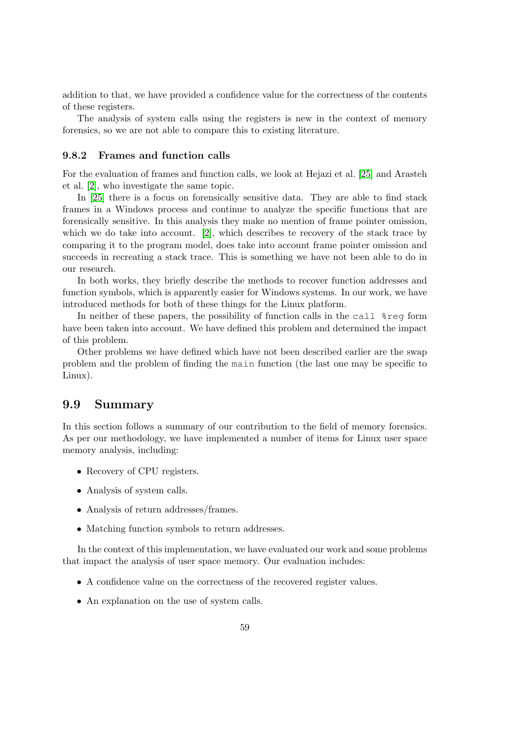addition to that, we have provided a confidence value for the correctness of the contents of these registers.

The analysis of system calls using the registers is new in the context of memory forensics, so we are not able to compare this to existing literature.

### 9.8.2 Frames and function calls

For the evaluation of frames and function calls, we look at Hejazi et al. [\[25\]](#page-67-2) and Arasteh et al. [\[2\]](#page-66-0), who investigate the same topic.

In [\[25\]](#page-67-2) there is a focus on forensically sensitive data. They are able to find stack frames in a Windows process and continue to analyze the specific functions that are forensically sensitive. In this analysis they make no mention of frame pointer omission, which we do take into account. [\[2\]](#page-66-0), which describes te recovery of the stack trace by comparing it to the program model, does take into account frame pointer omission and succeeds in recreating a stack trace. This is something we have not been able to do in our research.

In both works, they briefly describe the methods to recover function addresses and function symbols, which is apparently easier for Windows systems. In our work, we have introduced methods for both of these things for the Linux platform.

In neither of these papers, the possibility of function calls in the call %reg form have been taken into account. We have defined this problem and determined the impact of this problem.

Other problems we have defined which have not been described earlier are the swap problem and the problem of finding the main function (the last one may be specific to Linux).

# 9.9 Summary

In this section follows a summary of our contribution to the field of memory forensics. As per our methodology, we have implemented a number of items for Linux user space memory analysis, including:

- Recovery of CPU registers.
- Analysis of system calls.
- Analysis of return addresses/frames.
- Matching function symbols to return addresses.

In the context of this implementation, we have evaluated our work and some problems that impact the analysis of user space memory. Our evaluation includes:

- A confidence value on the correctness of the recovered register values.
- An explanation on the use of system calls.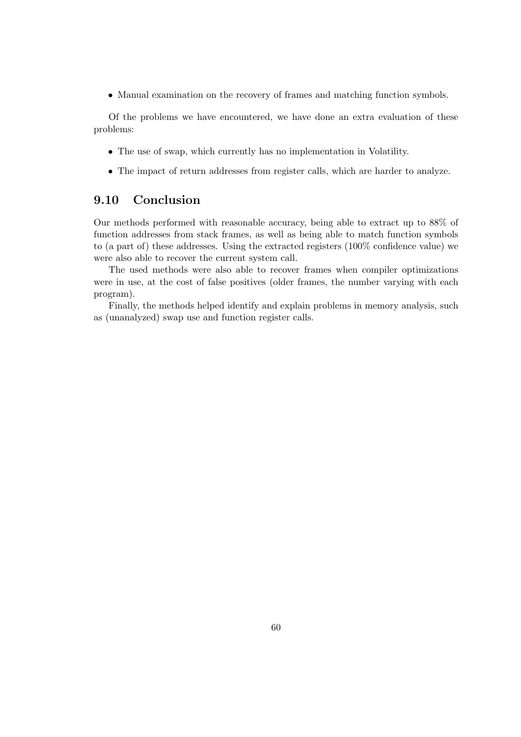• Manual examination on the recovery of frames and matching function symbols.

Of the problems we have encountered, we have done an extra evaluation of these problems:

- The use of swap, which currently has no implementation in Volatility.
- The impact of return addresses from register calls, which are harder to analyze.

# 9.10 Conclusion

Our methods performed with reasonable accuracy, being able to extract up to 88% of function addresses from stack frames, as well as being able to match function symbols to (a part of) these addresses. Using the extracted registers (100% confidence value) we were also able to recover the current system call.

The used methods were also able to recover frames when compiler optimizations were in use, at the cost of false positives (older frames, the number varying with each program).

Finally, the methods helped identify and explain problems in memory analysis, such as (unanalyzed) swap use and function register calls.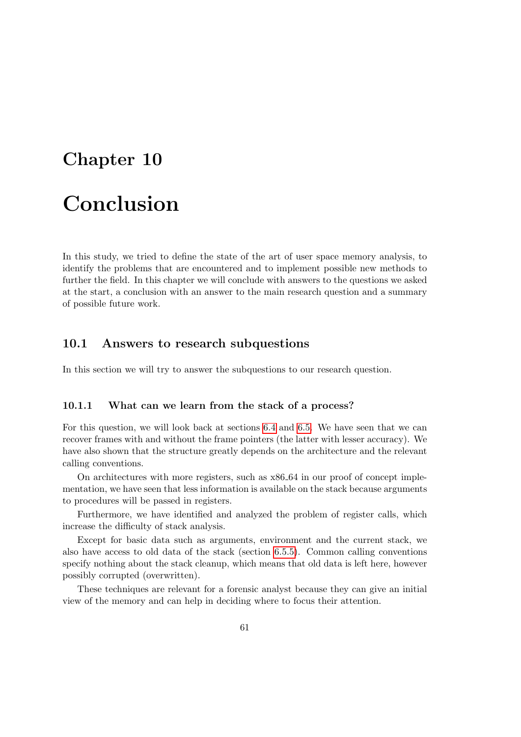# Chapter 10

# Conclusion

In this study, we tried to define the state of the art of user space memory analysis, to identify the problems that are encountered and to implement possible new methods to further the field. In this chapter we will conclude with answers to the questions we asked at the start, a conclusion with an answer to the main research question and a summary of possible future work.

# 10.1 Answers to research subquestions

In this section we will try to answer the subquestions to our research question.

### 10.1.1 What can we learn from the stack of a process?

For this question, we will look back at sections [6.4](#page-32-0) and [6.5.](#page-34-0) We have seen that we can recover frames with and without the frame pointers (the latter with lesser accuracy). We have also shown that the structure greatly depends on the architecture and the relevant calling conventions.

On architectures with more registers, such as x86 64 in our proof of concept implementation, we have seen that less information is available on the stack because arguments to procedures will be passed in registers.

Furthermore, we have identified and analyzed the problem of register calls, which increase the difficulty of stack analysis.

Except for basic data such as arguments, environment and the current stack, we also have access to old data of the stack (section [6.5.5\)](#page-36-2). Common calling conventions specify nothing about the stack cleanup, which means that old data is left here, however possibly corrupted (overwritten).

These techniques are relevant for a forensic analyst because they can give an initial view of the memory and can help in deciding where to focus their attention.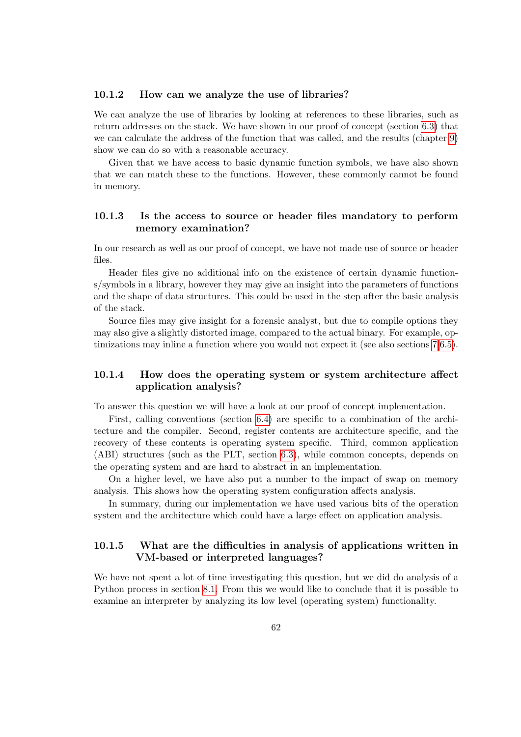### 10.1.2 How can we analyze the use of libraries?

We can analyze the use of libraries by looking at references to these libraries, such as return addresses on the stack. We have shown in our proof of concept (section [6.3\)](#page-30-0) that we can calculate the address of the function that was called, and the results (chapter [9\)](#page-50-1) show we can do so with a reasonable accuracy.

Given that we have access to basic dynamic function symbols, we have also shown that we can match these to the functions. However, these commonly cannot be found in memory.

### 10.1.3 Is the access to source or header files mandatory to perform memory examination?

In our research as well as our proof of concept, we have not made use of source or header files.

Header files give no additional info on the existence of certain dynamic functions/symbols in a library, however they may give an insight into the parameters of functions and the shape of data structures. This could be used in the step after the basic analysis of the stack.

Source files may give insight for a forensic analyst, but due to compile options they may also give a slightly distorted image, compared to the actual binary. For example, optimizations may inline a function where you would not expect it (see also sections [7,](#page-40-1)[6.5\)](#page-34-0).

### 10.1.4 How does the operating system or system architecture affect application analysis?

To answer this question we will have a look at our proof of concept implementation.

First, calling conventions (section [6.4\)](#page-32-0) are specific to a combination of the architecture and the compiler. Second, register contents are architecture specific, and the recovery of these contents is operating system specific. Third, common application (ABI) structures (such as the PLT, section [6.3\)](#page-30-0), while common concepts, depends on the operating system and are hard to abstract in an implementation.

On a higher level, we have also put a number to the impact of swap on memory analysis. This shows how the operating system configuration affects analysis.

In summary, during our implementation we have used various bits of the operation system and the architecture which could have a large effect on application analysis.

### 10.1.5 What are the difficulties in analysis of applications written in VM-based or interpreted languages?

We have not spent a lot of time investigating this question, but we did do analysis of a Python process in section [8.1.](#page-44-1) From this we would like to conclude that it is possible to examine an interpreter by analyzing its low level (operating system) functionality.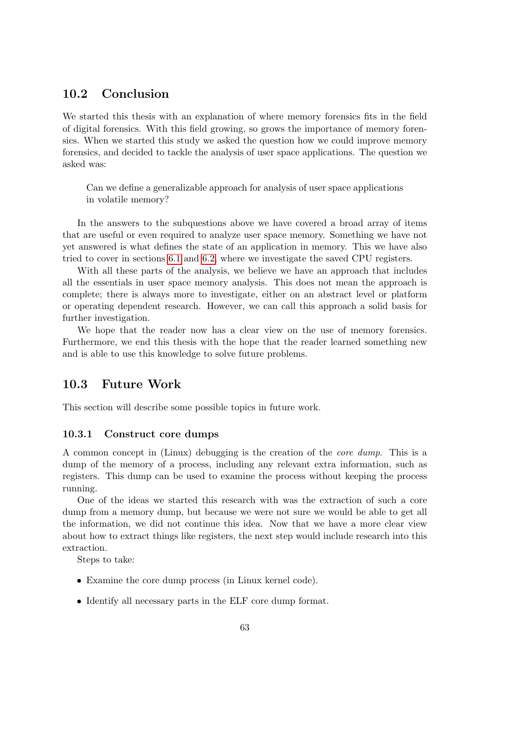# 10.2 Conclusion

We started this thesis with an explanation of where memory forensics fits in the field of digital forensics. With this field growing, so grows the importance of memory forensics. When we started this study we asked the question how we could improve memory forensics, and decided to tackle the analysis of user space applications. The question we asked was:

Can we define a generalizable approach for analysis of user space applications in volatile memory?

In the answers to the subquestions above we have covered a broad array of items that are useful or even required to analyze user space memory. Something we have not yet answered is what defines the state of an application in memory. This we have also tried to cover in sections [6.1](#page-28-0) and [6.2,](#page-29-0) where we investigate the saved CPU registers.

With all these parts of the analysis, we believe we have an approach that includes all the essentials in user space memory analysis. This does not mean the approach is complete; there is always more to investigate, either on an abstract level or platform or operating dependent research. However, we can call this approach a solid basis for further investigation.

We hope that the reader now has a clear view on the use of memory forensics. Furthermore, we end this thesis with the hope that the reader learned something new and is able to use this knowledge to solve future problems.

## 10.3 Future Work

This section will describe some possible topics in future work.

### 10.3.1 Construct core dumps

A common concept in (Linux) debugging is the creation of the core dump. This is a dump of the memory of a process, including any relevant extra information, such as registers. This dump can be used to examine the process without keeping the process running.

One of the ideas we started this research with was the extraction of such a core dump from a memory dump, but because we were not sure we would be able to get all the information, we did not continue this idea. Now that we have a more clear view about how to extract things like registers, the next step would include research into this extraction.

Steps to take:

- Examine the core dump process (in Linux kernel code).
- Identify all necessary parts in the ELF core dump format.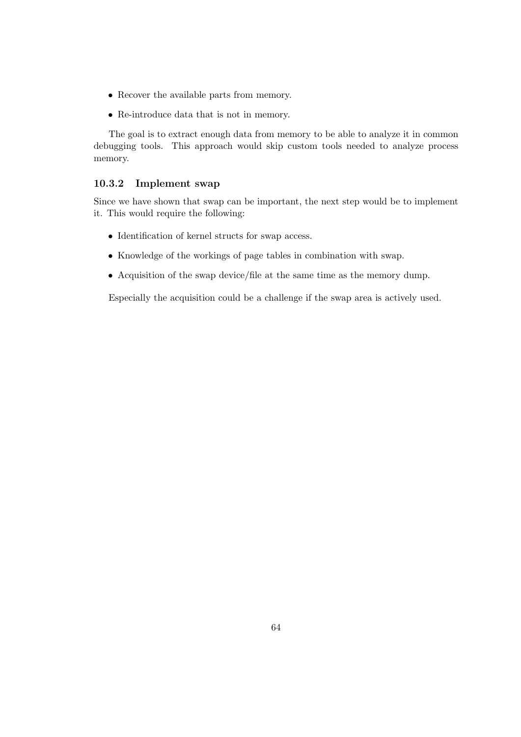- Recover the available parts from memory.
- Re-introduce data that is not in memory.

The goal is to extract enough data from memory to be able to analyze it in common debugging tools. This approach would skip custom tools needed to analyze process memory.

### 10.3.2 Implement swap

Since we have shown that swap can be important, the next step would be to implement it. This would require the following:

- Identification of kernel structs for swap access.
- Knowledge of the workings of page tables in combination with swap.
- Acquisition of the swap device/file at the same time as the memory dump.

Especially the acquisition could be a challenge if the swap area is actively used.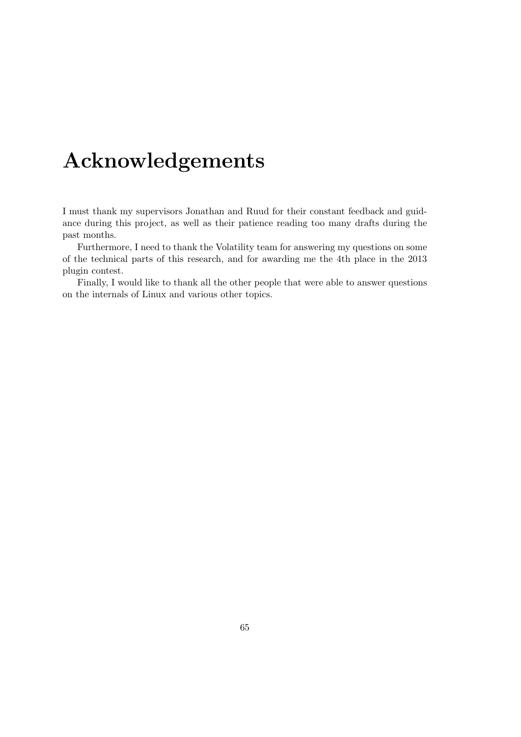# Acknowledgements

I must thank my supervisors Jonathan and Ruud for their constant feedback and guidance during this project, as well as their patience reading too many drafts during the past months.

Furthermore, I need to thank the Volatility team for answering my questions on some of the technical parts of this research, and for awarding me the 4th place in the 2013 plugin contest.

Finally, I would like to thank all the other people that were able to answer questions on the internals of Linux and various other topics.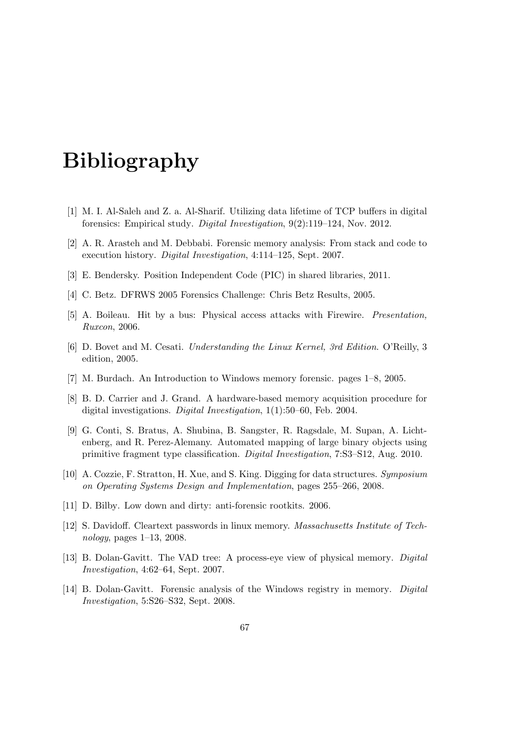# Bibliography

- [1] M. I. Al-Saleh and Z. a. Al-Sharif. Utilizing data lifetime of TCP buffers in digital forensics: Empirical study. Digital Investigation, 9(2):119–124, Nov. 2012.
- <span id="page-66-0"></span>[2] A. R. Arasteh and M. Debbabi. Forensic memory analysis: From stack and code to execution history. Digital Investigation, 4:114–125, Sept. 2007.
- [3] E. Bendersky. Position Independent Code (PIC) in shared libraries, 2011.
- [4] C. Betz. DFRWS 2005 Forensics Challenge: Chris Betz Results, 2005.
- [5] A. Boileau. Hit by a bus: Physical access attacks with Firewire. Presentation, Ruxcon, 2006.
- [6] D. Bovet and M. Cesati. Understanding the Linux Kernel, 3rd Edition. O'Reilly, 3 edition, 2005.
- [7] M. Burdach. An Introduction to Windows memory forensic. pages 1–8, 2005.
- [8] B. D. Carrier and J. Grand. A hardware-based memory acquisition procedure for digital investigations. Digital Investigation, 1(1):50–60, Feb. 2004.
- [9] G. Conti, S. Bratus, A. Shubina, B. Sangster, R. Ragsdale, M. Supan, A. Lichtenberg, and R. Perez-Alemany. Automated mapping of large binary objects using primitive fragment type classification. Digital Investigation, 7:S3–S12, Aug. 2010.
- [10] A. Cozzie, F. Stratton, H. Xue, and S. King. Digging for data structures. Symposium on Operating Systems Design and Implementation, pages 255–266, 2008.
- [11] D. Bilby. Low down and dirty: anti-forensic rootkits. 2006.
- [12] S. Davidoff. Cleartext passwords in linux memory. Massachusetts Institute of Technology, pages 1–13, 2008.
- [13] B. Dolan-Gavitt. The VAD tree: A process-eye view of physical memory. Digital Investigation, 4:62–64, Sept. 2007.
- [14] B. Dolan-Gavitt. Forensic analysis of the Windows registry in memory. Digital Investigation, 5:S26–S32, Sept. 2008.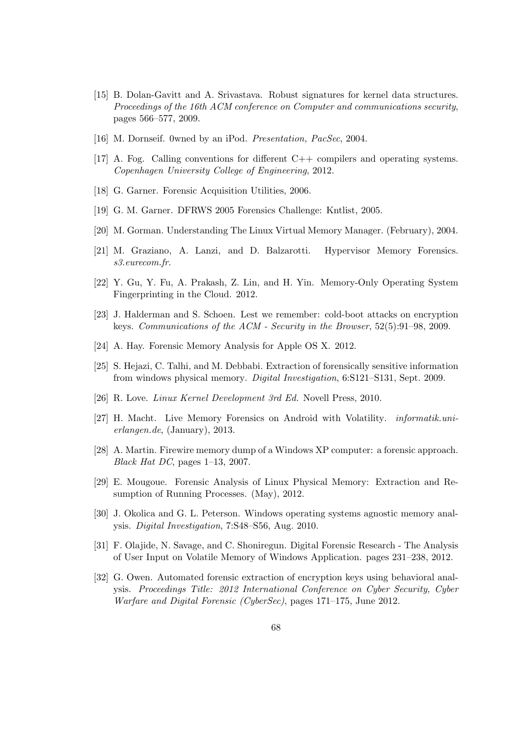- [15] B. Dolan-Gavitt and A. Srivastava. Robust signatures for kernel data structures. Proceedings of the 16th ACM conference on Computer and communications security, pages 566–577, 2009.
- [16] M. Dornseif. 0wned by an iPod. Presentation, PacSec, 2004.
- [17] A. Fog. Calling conventions for different C++ compilers and operating systems. Copenhagen University College of Engineering, 2012.
- [18] G. Garner. Forensic Acquisition Utilities, 2006.
- [19] G. M. Garner. DFRWS 2005 Forensics Challenge: Kntlist, 2005.
- <span id="page-67-0"></span>[20] M. Gorman. Understanding The Linux Virtual Memory Manager. (February), 2004.
- [21] M. Graziano, A. Lanzi, and D. Balzarotti. Hypervisor Memory Forensics. s3.eurecom.fr.
- [22] Y. Gu, Y. Fu, A. Prakash, Z. Lin, and H. Yin. Memory-Only Operating System Fingerprinting in the Cloud. 2012.
- [23] J. Halderman and S. Schoen. Lest we remember: cold-boot attacks on encryption keys. Communications of the ACM - Security in the Browser, 52(5):91–98, 2009.
- [24] A. Hay. Forensic Memory Analysis for Apple OS X. 2012.
- <span id="page-67-2"></span>[25] S. Hejazi, C. Talhi, and M. Debbabi. Extraction of forensically sensitive information from windows physical memory. Digital Investigation, 6:S121–S131, Sept. 2009.
- [26] R. Love. Linux Kernel Development 3rd Ed. Novell Press, 2010.
- [27] H. Macht. Live Memory Forensics on Android with Volatility. informatik.unierlangen.de, (January), 2013.
- [28] A. Martin. Firewire memory dump of a Windows XP computer: a forensic approach. Black Hat DC, pages 1–13, 2007.
- <span id="page-67-1"></span>[29] E. Mougoue. Forensic Analysis of Linux Physical Memory: Extraction and Resumption of Running Processes. (May), 2012.
- [30] J. Okolica and G. L. Peterson. Windows operating systems agnostic memory analysis. Digital Investigation, 7:S48–S56, Aug. 2010.
- [31] F. Olajide, N. Savage, and C. Shoniregun. Digital Forensic Research The Analysis of User Input on Volatile Memory of Windows Application. pages 231–238, 2012.
- [32] G. Owen. Automated forensic extraction of encryption keys using behavioral analysis. Proceedings Title: 2012 International Conference on Cyber Security, Cyber Warfare and Digital Forensic (CyberSec), pages 171–175, June 2012.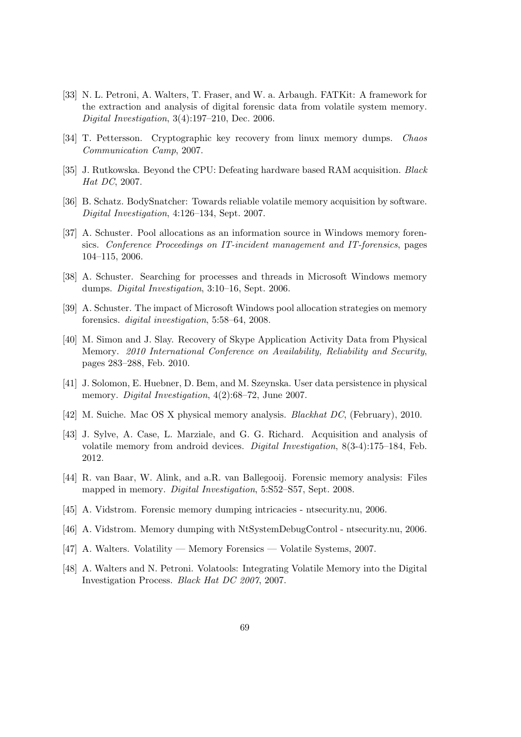- [33] N. L. Petroni, A. Walters, T. Fraser, and W. a. Arbaugh. FATKit: A framework for the extraction and analysis of digital forensic data from volatile system memory. Digital Investigation, 3(4):197–210, Dec. 2006.
- [34] T. Pettersson. Cryptographic key recovery from linux memory dumps. Chaos Communication Camp, 2007.
- [35] J. Rutkowska. Beyond the CPU: Defeating hardware based RAM acquisition. Black Hat DC, 2007.
- [36] B. Schatz. BodySnatcher: Towards reliable volatile memory acquisition by software. Digital Investigation, 4:126–134, Sept. 2007.
- [37] A. Schuster. Pool allocations as an information source in Windows memory forensics. Conference Proceedings on IT-incident management and IT-forensics, pages 104–115, 2006.
- [38] A. Schuster. Searching for processes and threads in Microsoft Windows memory dumps. Digital Investigation, 3:10–16, Sept. 2006.
- [39] A. Schuster. The impact of Microsoft Windows pool allocation strategies on memory forensics. digital investigation, 5:58–64, 2008.
- [40] M. Simon and J. Slay. Recovery of Skype Application Activity Data from Physical Memory. 2010 International Conference on Availability, Reliability and Security, pages 283–288, Feb. 2010.
- [41] J. Solomon, E. Huebner, D. Bem, and M. Szeynska. User data persistence in physical memory. Digital Investigation, 4(2):68–72, June 2007.
- [42] M. Suiche. Mac OS X physical memory analysis. Blackhat DC, (February), 2010.
- [43] J. Sylve, A. Case, L. Marziale, and G. G. Richard. Acquisition and analysis of volatile memory from android devices. Digital Investigation, 8(3-4):175–184, Feb. 2012.
- [44] R. van Baar, W. Alink, and a.R. van Ballegooij. Forensic memory analysis: Files mapped in memory. Digital Investigation, 5:S52–S57, Sept. 2008.
- [45] A. Vidstrom. Forensic memory dumping intricacies ntsecurity.nu, 2006.
- [46] A. Vidstrom. Memory dumping with NtSystemDebugControl ntsecurity.nu, 2006.
- [47] A. Walters. Volatility Memory Forensics Volatile Systems, 2007.
- [48] A. Walters and N. Petroni. Volatools: Integrating Volatile Memory into the Digital Investigation Process. Black Hat DC 2007, 2007.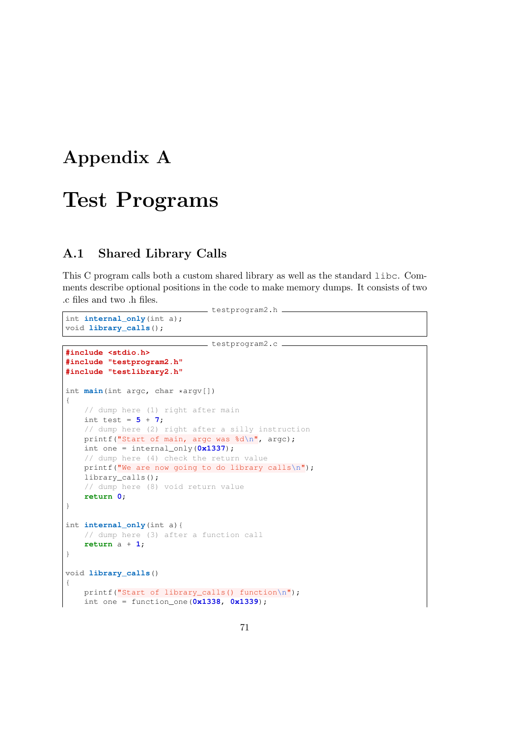# Appendix A

# Test Programs

# A.1 Shared Library Calls

This C program calls both a custom shared library as well as the standard libc. Comments describe optional positions in the code to make memory dumps. It consists of two .c files and two .h files.

testprogram2.h \_

```
int internal_only(int a);
void library_calls();
```
**#include <stdio.h>**

```
testprogram2.c
```

```
#include "testprogram2.h"
#include "testlibrary2.h"
int main(int argc, char *argv[])
{
    // dump here (1) right after main
   int test = 5 + 7;
   // dump here (2) right after a silly instruction
   printf("Start of main, argc was %d\n", argc);
    int one = internal_only(0x1337);
    // dump here (4) check the return value
    printf("We are now going to do library calls\n");
    library_calls();
    // dump here (8) void return value
    return 0;
}
int internal_only(int a){
    // dump here (3) after a function call
    return a + 1;
}
void library_calls()
{
    printf("Start of library calls() function\n");
    int one = function_one(0x1338, 0x1339);
```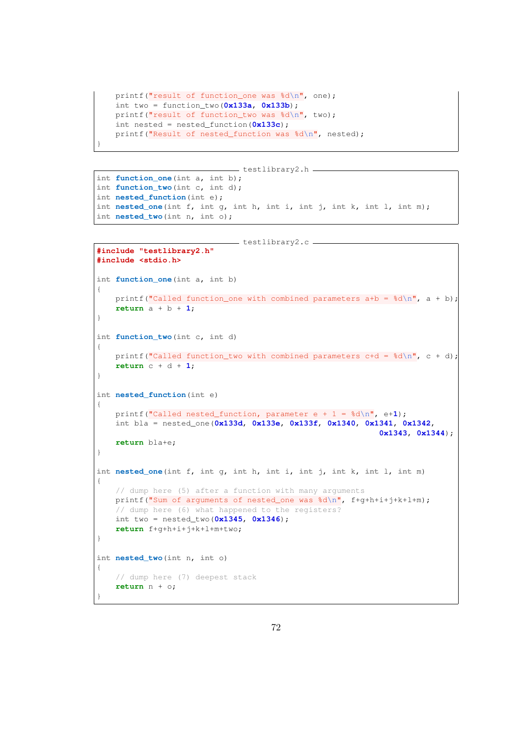```
printf("result of function_one was d\n\cdot", one);
int two = function_two(0x133a, 0x133b);
printf("result of function_two was %d\n", two);
int nested = nested_function(0x133c);
printf("Result of nested_function was %d\n", nested);
```
}

```
testlibrary2.h
int function_one(int a, int b);
int function_two(int c, int d);
int nested_function(int e);
int nested_one(int f, int g, int h, int i, int j, int k, int l, int m);
int nested_two(int n, int o);
```

```
testlibrary2.c
#include "testlibrary2.h"
#include <stdio.h>
int function_one(int a, int b)
{
    printf("Called function_one with combined parameters a+b = \frac{2}{3}d\pi, a + b);
   return a + b + 1;
}
int function_two(int c, int d)
{
   printf("Called function_two with combined parameters c+d = \frac{8d}{n}, c + d);
   return c + d + 1;
}
int nested_function(int e)
{
   printf("Called nested_function, parameter e + 1 = %d\n", e+1);
   int bla = nested_one(0x133d, 0x133e, 0x133f, 0x1340, 0x1341, 0x1342,
                                                            0x1343, 0x1344);
   return bla+e;
}
int nested_one(int f, int g, int h, int i, int j, int k, int l, int m)
{
    // dump here (5) after a function with many arguments
   printf("Sum of arguments of nested_one was \d n\// dump here (6) what happened to the registers?
   int two = nested_two(0x1345, 0x1346);
    return f+g+h+i+j+k+l+m+two;
}
int nested_two(int n, int o)
{
    // dump here (7) deepest stack
    return n + o;
}
```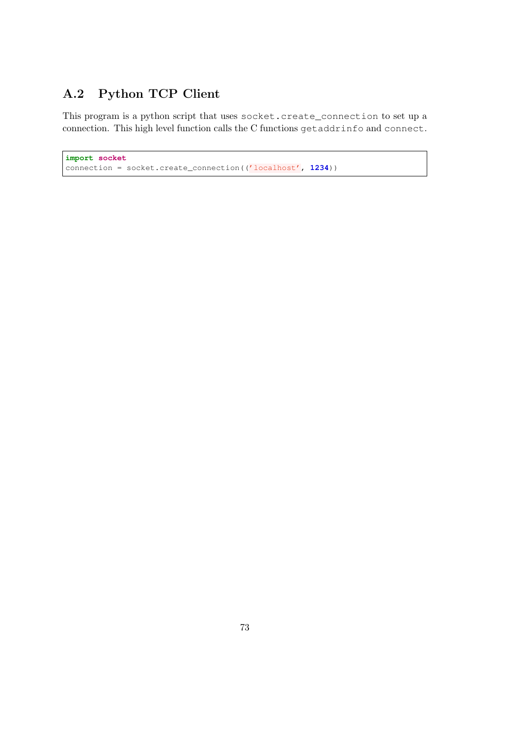### A.2 Python TCP Client

This program is a python script that uses socket.create\_connection to set up a connection. This high level function calls the C functions getaddrinfo and connect.

```
import socket
connection = socket.create_connection(('localhost', 1234))
```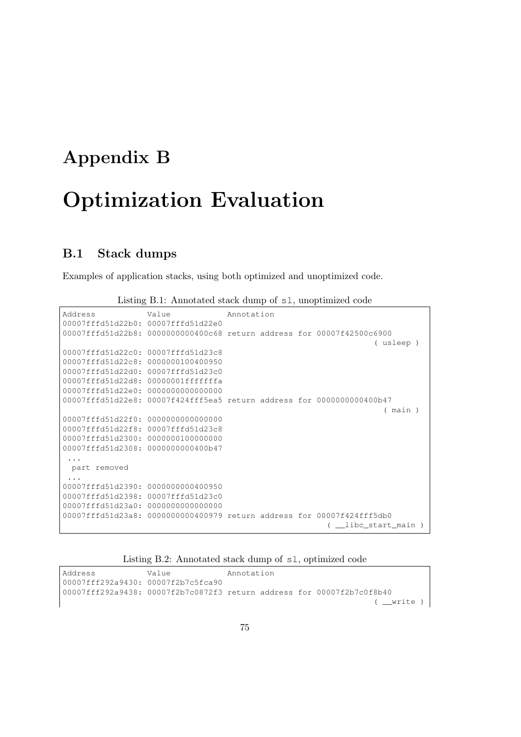# Appendix B Optimization Evaluation

#### B.1 Stack dumps

Examples of application stacks, using both optimized and unoptimized code.

| Address                                                                | Value             | Annotation |  |                   |
|------------------------------------------------------------------------|-------------------|------------|--|-------------------|
| 00007fffd51d22b0: 00007fffd51d22e0                                     |                   |            |  |                   |
| 00007fffd51d22b8: 0000000000400c68 return address for 00007f42500c6900 |                   |            |  |                   |
|                                                                        |                   |            |  | ( usleep )        |
| 00007fffd51d22c0:                                                      | 00007fffd51d23c8  |            |  |                   |
| 00007fffd51d22c8:                                                      | 0000000100400950  |            |  |                   |
| 00007fffd51d22d0:                                                      | 00007fffd51d23c0  |            |  |                   |
| 00007fffd51d22d8:                                                      | 00000001ffffffffa |            |  |                   |
| 00007fffd51d22e0:                                                      | 0000000000000000  |            |  |                   |
| 00007fffd51d22e8: 00007f424fff5ea5 return address for 0000000000400b47 |                   |            |  |                   |
|                                                                        |                   |            |  | ( main )          |
| 00007fffd51d22f0:                                                      | 0000000000000000  |            |  |                   |
| 00007fffd51d22f8:                                                      | 00007fffd51d23c8  |            |  |                   |
| 00007fffd51d2300:                                                      | 0000000100000000  |            |  |                   |
| 00007fffd51d2308:                                                      | 0000000000400b47  |            |  |                   |
|                                                                        |                   |            |  |                   |
| part removed                                                           |                   |            |  |                   |
|                                                                        |                   |            |  |                   |
| 00007fffd51d2390:                                                      | 0000000000400950  |            |  |                   |
| 00007fffd51d2398:                                                      | 00007fffd51d23c0  |            |  |                   |
| 00007fffd51d23a0:                                                      | 0000000000000000  |            |  |                   |
| 00007fffd51d23a8: 0000000000400979 return address for 00007f424fff5db0 |                   |            |  |                   |
|                                                                        |                   |            |  | libc start main ) |

Listing B.1: Annotated stack dump of sl, unoptimized code

#### Listing B.2: Annotated stack dump of sl, optimized code

Address **Value** Annotation 00007fff292a9430: 00007f2b7c5fca90 00007fff292a9438: 00007f2b7c0872f3 return address for 00007f2b7c0f8b40 ( \_\_write )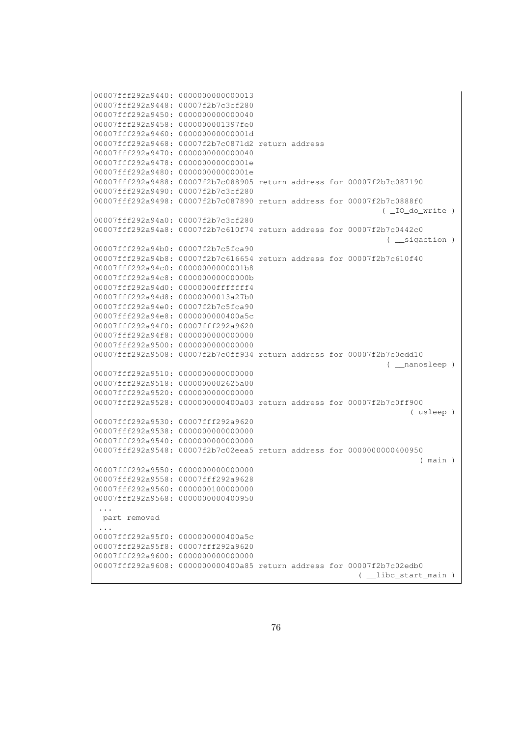```
00007fff292a9440: 0000000000000013
00007fff292a9448: 00007f2b7c3cf280
00007fff292a9450: 0000000000000040
00007fff292a9458: 0000000001397fe0
00007fff292a9460: 000000000000001d
00007fff292a9468: 00007f2b7c0871d2 return address
00007fff292a9470: 0000000000000040
00007fff292a9478: 000000000000001e
00007fff292a9480: 000000000000001e
00007fff292a9488: 00007f2b7c088905 return address for 00007f2b7c087190
00007fff292a9490: 00007f2b7c3cf280
00007fff292a9498: 00007f2b7c087890 return address for 00007f2b7c0888f0
                                                             ( _IO_do_write )
00007fff292a94a0: 00007f2b7c3cf280
00007fff292a94a8: 00007f2b7c610f74 return address for 00007f2b7c0442c0
                                                               ( __sigaction )
00007fff292a94b0: 00007f2b7c5fca90
00007fff292a94b8: 00007f2b7c616654 return address for 00007f2b7c610f40
00007fff292a94c0: 00000000000001b8
00007fff292a94c8: 000000000000000b
00007fff292a94d0: 00000000fffffff4
00007fff292a94d8: 00000000013a27b0
00007fff292a94e0: 00007f2b7c5fca90
00007fff292a94e8: 0000000000400a5c
00007fff292a94f0: 00007fff292a9620
00007fff292a94f8: 0000000000000000
00007fff292a9500: 0000000000000000
00007fff292a9508: 00007f2b7c0ff934 return address for 00007f2b7c0cdd10
                                                              ( __nanosleep )
00007fff292a9510: 0000000000000000
00007fff292a9518: 0000000002625a00
00007fff292a9520: 0000000000000000
00007fff292a9528: 0000000000400a03 return address for 00007f2b7c0ff900
                                                                    ( usleep )
00007fff292a9530: 00007fff292a9620
00007fff292a9538: 0000000000000000
00007fff292a9540: 0000000000000000
00007fff292a9548: 00007f2b7c02eea5 return address for 0000000000400950
                                                                      ( main )
00007fff292a9550: 0000000000000000
00007fff292a9558: 00007fff292a9628
00007fff292a9560: 0000000100000000
00007fff292a9568: 0000000000400950
...
 part removed
 ...
00007fff292a95f0: 0000000000400a5c
00007fff292a95f8: 00007fff292a9620
00007fff292a9600: 0000000000000000
00007fff292a9608: 0000000000400a85 return address for 00007f2b7c02edb0
                                                       ( __libc_start_main )
```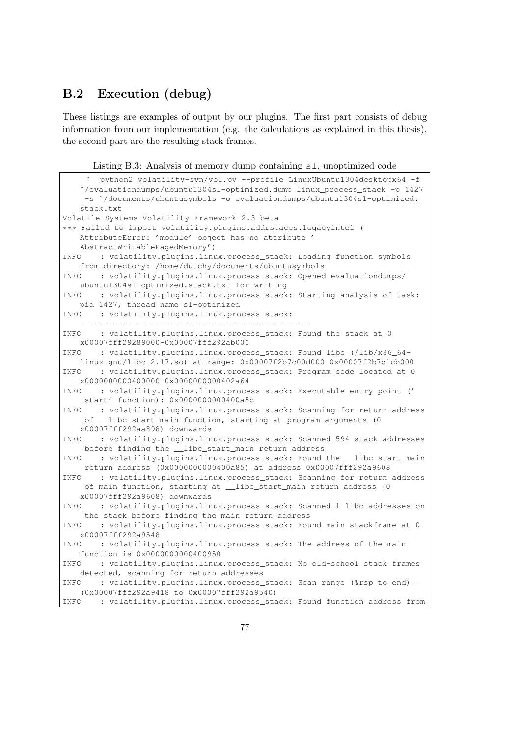#### B.2 Execution (debug)

These listings are examples of output by our plugins. The first part consists of debug information from our implementation (e.g. the calculations as explained in this thesis), the second part are the resulting stack frames.

Listing B.3: Analysis of memory dump containing sl, unoptimized code

```
˜ python2 volatility-svn/vol.py --profile LinuxUbuntu1304desktopx64 -f
   ˜/evaluationdumps/ubuntu1304sl-optimized.dump linux_process_stack -p 1427
    -s ˜/documents/ubuntusymbols -o evaluationdumps/ubuntu1304sl-optimized.
   stack.txt
Volatile Systems Volatility Framework 2.3_beta
*** Failed to import volatility.plugins.addrspaces.legacyintel (
   AttributeError: 'module' object has no attribute '
   AbstractWritablePagedMemory')
INFO : volatility.plugins.linux.process_stack: Loading function symbols
   from directory: /home/dutchy/documents/ubuntusymbols
INFO : volatility.plugins.linux.process_stack: Opened evaluationdumps/
   ubuntu1304sl-optimized.stack.txt for writing
INFO : volatility.plugins.linux.process stack: Starting analysis of task:
   pid 1427, thread name sl-optimized
INFO : volatility.plugins.linux.process_stack:
   =================================================
INFO : volatility.plugins.linux.process_stack: Found the stack at 0
   x00007fff29289000-0x00007fff292ab000
INFO : volatility.plugins.linux.process_stack: Found libc (/lib/x86_64-
   linux-gnu/libc-2.17.so) at range: 0x00007f2b7c00d000-0x00007f2b7c1cb000
INFO : volatility.plugins.linux.process_stack: Program code located at 0
   x0000000000400000-0x0000000000402a64
INFO : volatility.plugins.linux.process_stack: Executable entry point ('
    _start' function): 0x0000000000400a5c
INFO : volatility.plugins.linux.process_stack: Scanning for return address
    of __libc_start_main function, starting at program arguments (0
   x00007fff292aa898) downwards
INFO : volatility.plugins.linux.process_stack: Scanned 594 stack addresses
    before finding the __libc_start_main return address
INFO : volatility.plugins.linux.process_stack: Found the __libc_start_main
    return address (0x0000000000400a85) at address 0x00007fff292a9608
INFO : volatility.plugins.linux.process_stack: Scanning for return address
    of main function, starting at __libc_start_main return address (0
   x00007fff292a9608) downwards
INFO : volatility.plugins.linux.process_stack: Scanned 1 libc addresses on
    the stack before finding the main return address
INFO : volatility.plugins.linux.process_stack: Found main stackframe at 0
   x00007fff292a9548
INFO : volatility.plugins.linux.process_stack: The address of the main
   function is 0x0000000000400950
INFO : volatility.plugins.linux.process_stack: No old-school stack frames
   detected, scanning for return addresses
INFO : volatility.plugins.linux.process_stack: Scan range (%rsp to end) =
   (0x00007fff292a9418 to 0x00007fff292a9540)
INFO : volatility.plugins.linux.process_stack: Found function address from
```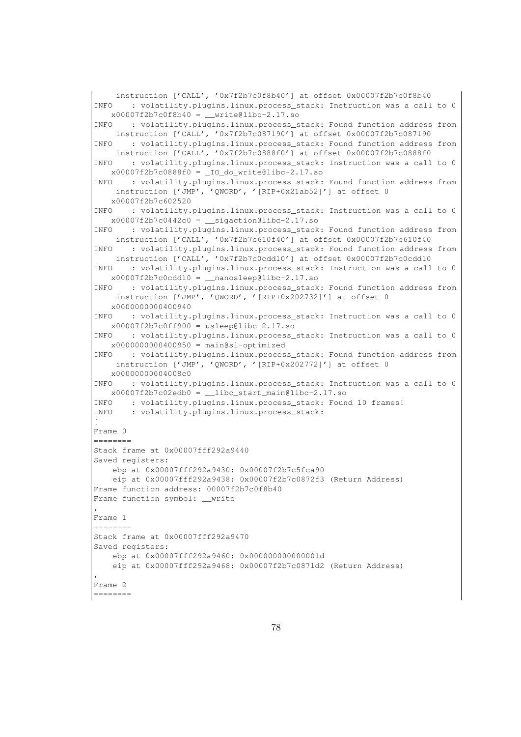```
instruction ['CALL', '0x7f2b7c0f8b40'] at offset 0x00007f2b7c0f8b40
INFO : volatility.plugins.linux.process_stack: Instruction was a call to 0
   x00007f2b7c0f8b40 = _write@libc-2.17.so
INFO : volatility.plugins.linux.process_stack: Found function address from
    instruction ['CALL', '0x7f2b7c087190'] at offset 0x00007f2b7c087190
INFO : volatility.plugins.linux.process_stack: Found function address from
    instruction ['CALL', '0x7f2b7c0888f0'] at offset 0x00007f2b7c0888f0
INFO : volatility.plugins.linux.process_stack: Instruction was a call to 0
   x00007f2b7c0888f0 = _IO_do_write@libc-2.17.so
INFO : volatility.plugins.linux.process_stack: Found function address from
    instruction ['JMP', 'QWORD', '[RIP+0x21ab52]'] at offset 0
   x00007f2b7c602520
INFO : volatility.plugins.linux.process_stack: Instruction was a call to 0
   x00007f2b7c0442c0 = __sigaction@libc-2.17.so
INFO : volatility.plugins.linux.process_stack: Found function address from
    instruction ['CALL', '0x7f2b7c610f40'] at offset 0x00007f2b7c610f40
INFO : volatility.plugins.linux.process_stack: Found function address from
    instruction ['CALL', '0x7f2b7c0cdd10'] at offset 0x00007f2b7c0cdd10
INFO : volatility.plugins.linux.process_stack: Instruction was a call to 0
   x00007f2b7c0cdd10 = _nanosleep@libc-2.17.soINFO : volatility.plugins.linux.process_stack: Found function address from
    instruction ['JMP', 'QWORD', '[RIP+0x202732]'] at offset 0
   x0000000000400940
INFO : volatility.plugins.linux.process_stack: Instruction was a call to 0
   x00007f2b7c0ff900 = usleep@libc-2.17.soINFO : volatility.plugins.linux.process_stack: Instruction was a call to 0
   x0000000000400950 = \text{main@sl-optimize}INFO : volatility.plugins.linux.process_stack: Found function address from
    instruction ['JMP', 'QWORD', '[RIP+0x202772]'] at offset 0
   x00000000004008c0
INFO : volatility.plugins.linux.process_stack: Instruction was a call to 0
   x00007f2b7c02edb0 = \_ \, 1abc_ \, start\_main@libc-2.17.soINFO : volatility.plugins.linux.process_stack: Found 10 frames!
INFO : volatility.plugins.linux.process_stack:
[
Frame 0
========
Stack frame at 0x00007fff292a9440
Saved registers:
   ebp at 0x00007fff292a9430: 0x00007f2b7c5fca90
   eip at 0x00007fff292a9438: 0x00007f2b7c0872f3 (Return Address)
Frame function address: 00007f2b7c0f8b40
Frame function symbol: __write
,
Frame 1
========
Stack frame at 0x00007fff292a9470
Saved registers:
   ebp at 0x00007fff292a9460: 0x000000000000001d
   eip at 0x00007fff292a9468: 0x00007f2b7c0871d2 (Return Address)
,
Frame 2
========
```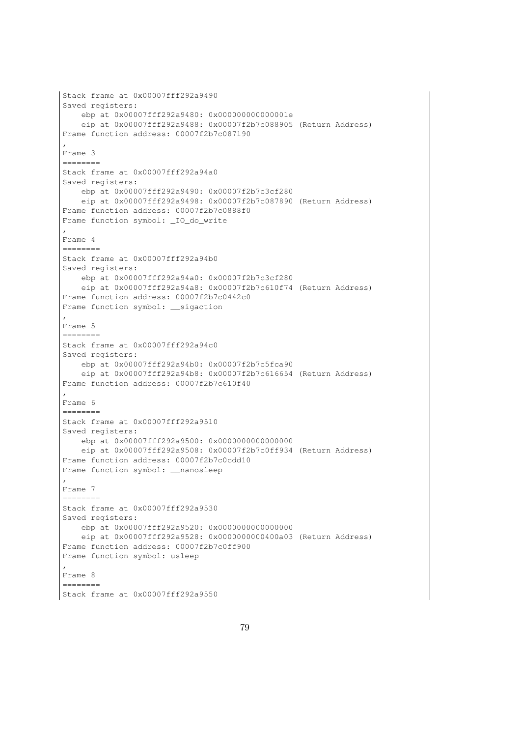```
Stack frame at 0x00007fff292a9490
Saved registers:
    ebp at 0x00007fff292a9480: 0x000000000000001e
    eip at 0x00007fff292a9488: 0x00007f2b7c088905 (Return Address)
Frame function address: 00007f2b7c087190
,
Frame 3
========
Stack frame at 0x00007fff292a94a0
Saved registers:
    ebp at 0x00007fff292a9490: 0x00007f2b7c3cf280
    eip at 0x00007fff292a9498: 0x00007f2b7c087890 (Return Address)
Frame function address: 00007f2b7c0888f0
Frame function symbol: _IO_do_write
,
Frame 4
========
Stack frame at 0x00007fff292a94b0
Saved registers:
   ebp at 0x00007fff292a94a0: 0x00007f2b7c3cf280
   eip at 0x00007fff292a94a8: 0x00007f2b7c610f74 (Return Address)
Frame function address: 00007f2b7c0442c0
Frame function symbol: __sigaction
,
Frame 5
========
Stack frame at 0x00007fff292a94c0
Saved registers:
   ebp at 0x00007fff292a94b0: 0x00007f2b7c5fca90
    eip at 0x00007fff292a94b8: 0x00007f2b7c616654 (Return Address)
Frame function address: 00007f2b7c610f40
,
Frame 6
 ========
Stack frame at 0x00007fff292a9510
Saved registers:
   ebp at 0x00007fff292a9500: 0x0000000000000000
   eip at 0x00007fff292a9508: 0x00007f2b7c0ff934 (Return Address)
Frame function address: 00007f2b7c0cdd10
Frame function symbol: __nanosleep
,
Frame 7
========
Stack frame at 0x00007fff292a9530
Saved registers:
   ebp at 0x00007fff292a9520: 0x0000000000000000
   eip at 0x00007fff292a9528: 0x0000000000400a03 (Return Address)
Frame function address: 00007f2b7c0ff900
Frame function symbol: usleep
,
Frame 8
========
Stack frame at 0x00007fff292a9550
```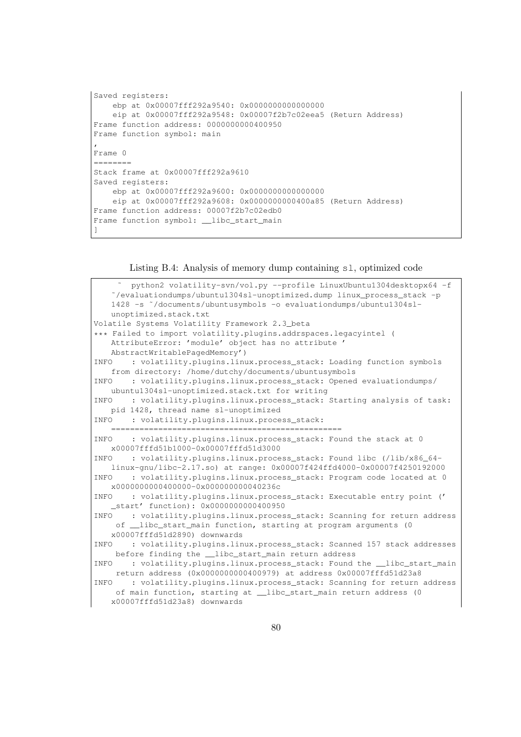```
Saved registers:
   ebp at 0x00007fff292a9540: 0x0000000000000000
   eip at 0x00007fff292a9548: 0x00007f2b7c02eea5 (Return Address)
Frame function address: 0000000000400950
Frame function symbol: main
,
Frame 0
========
Stack frame at 0x00007fff292a9610
Saved registers:
   ebp at 0x00007fff292a9600: 0x0000000000000000
   eip at 0x00007fff292a9608: 0x0000000000400a85 (Return Address)
Frame function address: 00007f2b7c02edb0
Frame function symbol: __libc_start_main
]
```
Listing B.4: Analysis of memory dump containing sl, optimized code

```
˜ python2 volatility-svn/vol.py --profile LinuxUbuntu1304desktopx64 -f
   ˜/evaluationdumps/ubuntu1304sl-unoptimized.dump linux_process_stack -p
   1428 -s ˜/documents/ubuntusymbols -o evaluationdumps/ubuntu1304sl-
   unoptimized.stack.txt
Volatile Systems Volatility Framework 2.3_beta
*** Failed to import volatility.plugins.addrspaces.legacyintel (
   AttributeError: 'module' object has no attribute '
   AbstractWritablePagedMemory')
INFO : volatility.plugins.linux.process_stack: Loading function symbols
   from directory: /home/dutchy/documents/ubuntusymbols
INFO : volatility.plugins.linux.process_stack: Opened evaluationdumps/
   ubuntu1304sl-unoptimized.stack.txt for writing
INFO : volatility.plugins.linux.process_stack: Starting analysis of task:
   pid 1428, thread name sl-unoptimized
INFO : volatility.plugins.linux.process_stack:
   =================================================
INFO : volatility.plugins.linux.process_stack: Found the stack at 0
   x00007fffd51b1000-0x00007fffd51d3000
INFO : volatility.plugins.linux.process_stack: Found libc (/lib/x86_64-
   linux-gnu/libc-2.17.so) at range: 0x00007f424ffd4000-0x00007f4250192000
INFO : volatility.plugins.linux.process_stack: Program code located at 0
   x0000000000400000-0x000000000040236c
INFO : volatility.plugins.linux.process_stack: Executable entry point ('
    _start' function): 0x0000000000400950
INFO : volatility.plugins.linux.process_stack: Scanning for return address
    of __libc_start_main function, starting at program arguments (0
   x00007fffd51d2890) downwards
INFO : volatility.plugins.linux.process_stack: Scanned 157 stack addresses
    before finding the __libc_start_main return address
INFO : volatility.plugins.linux.process_stack: Found the __libc_start_main
    return address (0x0000000000400979) at address 0x00007fffd51d23a8
INFO : volatility.plugins.linux.process_stack: Scanning for return address
    of main function, starting at __libc_start_main return address (0
   x00007fffd51d23a8) downwards
```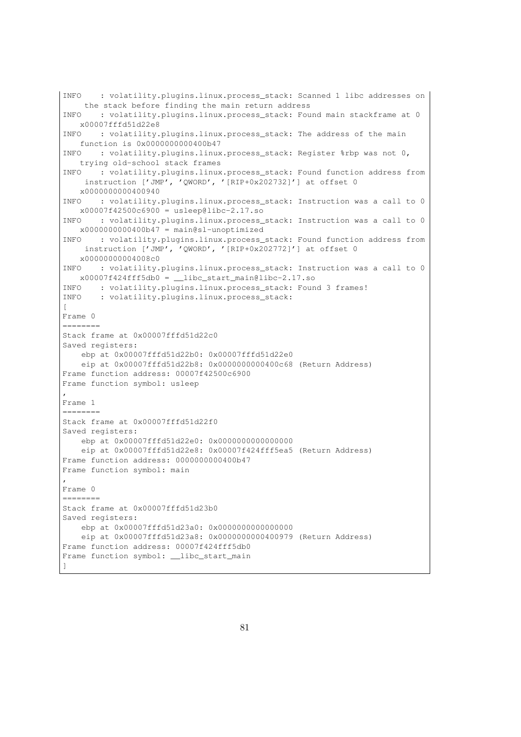```
INFO : volatility.plugins.linux.process_stack: Scanned 1 libc addresses on
    the stack before finding the main return address
INFO : volatility.plugins.linux.process_stack: Found main stackframe at 0
   x00007fffd51d22e8
INFO : volatility.plugins.linux.process_stack: The address of the main
   function is 0x0000000000400b47
INFO : volatility.plugins.linux.process_stack: Register %rbp was not 0,
   trying old-school stack frames
INFO : volatility.plugins.linux.process_stack: Found function address from
    instruction ['JMP', 'QWORD', '[RIP+0x202732]'] at offset 0
   x0000000000400940
INFO : volatility.plugins.linux.process_stack: Instruction was a call to 0
   x00007f42500c6900 = usleep@libc-2.17.soINFO : volatility.plugins.linux.process_stack: Instruction was a call to 0
   x00000000000400b47 = main@sl-unoptimize dINFO : volatility.plugins.linux.process_stack: Found function address from
    instruction ['JMP', 'QWORD', '[RIP+0x202772]'] at offset 0
   x00000000004008c0
INFO : volatility.plugins.linux.process_stack: Instruction was a call to 0
   x00007f424fff5db0 = \text{libc}_stat\_main@libc-2.17.soINFO : volatility.plugins.linux.process_stack: Found 3 frames!
INFO : volatility.plugins.linux.process_stack:
\sqrt{ }Frame 0
========
Stack frame at 0x00007fffd51d22c0
Saved registers:
   ebp at 0x00007fffd51d22b0: 0x00007fffd51d22e0
    eip at 0x00007fffd51d22b8: 0x0000000000400c68 (Return Address)
Frame function address: 00007f42500c6900
Frame function symbol: usleep
,
Frame 1
 ========
Stack frame at 0x00007fffd51d22f0
Saved registers:
   ebp at 0x00007fffd51d22e0: 0x0000000000000000
   eip at 0x00007fffd51d22e8: 0x00007f424fff5ea5 (Return Address)
Frame function address: 0000000000400b47
Frame function symbol: main
,
Frame 0
========
Stack frame at 0x00007fffd51d23b0
Saved registers:
   ebp at 0x00007fffd51d23a0: 0x0000000000000000
   eip at 0x00007fffd51d23a8: 0x0000000000400979 (Return Address)
Frame function address: 00007f424fff5db0
Frame function symbol: __libc_start_main
]
```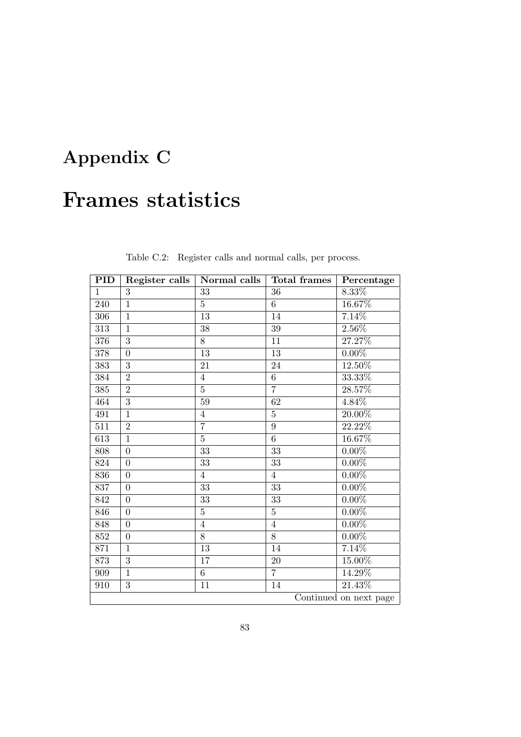## Appendix C

### Frames statistics

| PID                    | Register calls | Normal calls    | <b>Total frames</b> | Percentage |
|------------------------|----------------|-----------------|---------------------|------------|
| $\mathbf{1}$           | 3              | 33              | 36                  | $8.33\%$   |
| 240                    | $\mathbf{1}$   | $\overline{5}$  | 6                   | 16.67%     |
| 306                    | $\mathbf{1}$   | 13              | 14                  | 7.14%      |
| 313                    | $\mathbf{1}$   | 38              | 39                  | $2.56\%$   |
| 376                    | $\overline{3}$ | 8               | 11                  | 27.27%     |
| 378                    | $\theta$       | 13              | 13                  | $0.00\%$   |
| 383                    | 3              | 21              | 24                  | 12.50%     |
| 384                    | $\overline{2}$ | 4               | $\overline{6}$      | $33.33\%$  |
| 385                    | $\overline{2}$ | $\overline{5}$  | $\overline{7}$      | 28.57%     |
| 464                    | $\overline{3}$ | 59              | $62\,$              | $4.84\%$   |
| 491                    | $\mathbf{1}$   | 4               | $\bf 5$             | 20.00%     |
| 511                    | $\overline{2}$ | $\overline{7}$  | 9                   | 22.22%     |
| 613                    | $\mathbf{1}$   | $\overline{5}$  | $\overline{6}$      | 16.67%     |
| 808                    | $\overline{0}$ | 33              | 33                  | $0.00\%$   |
| $824\,$                | $\overline{0}$ | 33              | 33                  | $0.00\%$   |
| 836                    | $\overline{0}$ | 4               | $\overline{4}$      | $0.00\%$   |
| 837                    | $\overline{0}$ | 33              | 33                  | $0.00\%$   |
| 842                    | $\theta$       | 33              | 33                  | $0.00\%$   |
| 846                    | $\overline{0}$ | $\overline{5}$  | $\overline{5}$      | $0.00\%$   |
| 848                    | $\overline{0}$ | $\overline{4}$  | $\overline{4}$      | $0.00\%$   |
| $852\,$                | $\overline{0}$ | 8               | 8                   | $0.00\%$   |
| 871                    | $\mathbf{1}$   | 13              | 14                  | 7.14%      |
| 873                    | $\overline{3}$ | $\overline{17}$ | $\overline{20}$     | 15.00%     |
| $909\,$                | $\mathbf{1}$   | 6               | $\overline{7}$      | 14.29%     |
| 910                    | 3              | 11              | 14                  | 21.43%     |
| Continued on next page |                |                 |                     |            |

Table C.2: Register calls and normal calls, per process.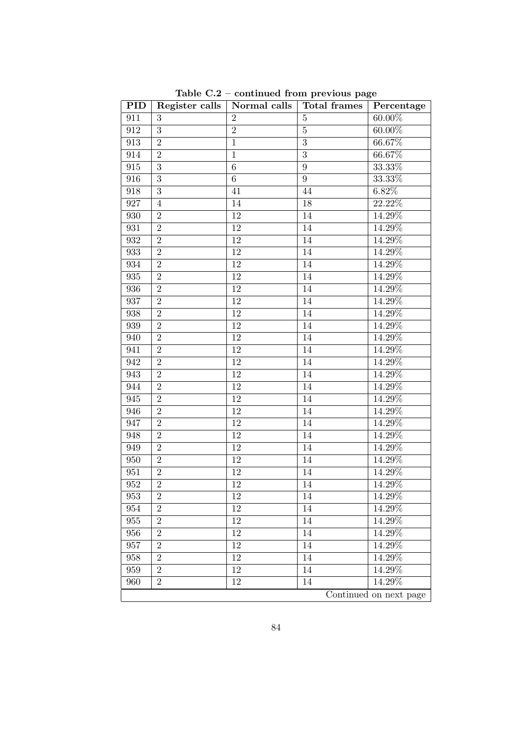| PID                    | Register calls | Normal calls    | <b>Total frames</b> | Percentage |
|------------------------|----------------|-----------------|---------------------|------------|
| 911                    | 3              | $\overline{2}$  | 5                   | $60.00\%$  |
| 912                    | $\overline{3}$ | $\overline{2}$  | $\overline{5}$      | $60.00\%$  |
| 913                    | $\overline{2}$ | $\mathbf{1}$    | $\overline{3}$      | 66.67%     |
| 914                    | $\sqrt{2}$     | $\mathbf{1}$    | $\overline{3}$      | 66.67%     |
| 915                    | $\overline{3}$ | 6               | 9                   | 33.33%     |
| 916                    | $\overline{3}$ | $6\phantom{.}6$ | 9                   | $33.33\%$  |
| 918                    | $\overline{3}$ | 41              | 44                  | $6.82\%$   |
| 927                    | 4              | 14              | 18                  | 22.22%     |
| 930                    | $\overline{2}$ | 12              | 14                  | $14.29\%$  |
| 931                    | $\overline{2}$ | 12              | 14                  | 14.29%     |
| 932                    | $\overline{2}$ | 12              | 14                  | 14.29%     |
| 933                    | $\overline{2}$ | 12              | 14                  | 14.29%     |
| 934                    | $\overline{2}$ | 12              | 14                  | 14.29%     |
| 935                    | $\overline{2}$ | 12              | 14                  | 14.29%     |
| 936                    | $\overline{2}$ | 12              | 14                  | 14.29%     |
| 937                    | $\overline{2}$ | 12              | 14                  | $14.29\%$  |
| 938                    | $\overline{2}$ | 12              | 14                  | 14.29%     |
| 939                    | $\overline{2}$ | $\overline{12}$ | 14                  | 14.29%     |
| 940                    | $\overline{2}$ | 12              | 14                  | 14.29%     |
| 941                    | $\overline{2}$ | 12              | 14                  | $14.29\%$  |
| 942                    | $\overline{2}$ | 12              | 14                  | 14.29%     |
| 943                    | $\overline{2}$ | 12              | 14                  | 14.29%     |
| 944                    | $\overline{2}$ | 12              | 14                  | 14.29%     |
| 945                    | $\overline{2}$ | 12              | 14                  | 14.29%     |
| 946                    | $\overline{2}$ | 12              | 14                  | 14.29%     |
| 947                    | $\overline{2}$ | 12              | 14                  | 14.29%     |
| 948                    | $\overline{2}$ | 12              | 14                  | 14.29%     |
| 949                    | $\overline{2}$ | 12              | 14                  | 14.29%     |
| 950                    | $\overline{2}$ | 12              | 14                  | 14.29%     |
| 951                    | $\overline{2}$ | 12              | 14                  | 14.29%     |
| $\boldsymbol{952}$     | $\overline{2}$ | 12              | $14\,$              | 14.29%     |
| 953                    | 2              | 12              | 14                  | 14.29%     |
| 954                    | $\overline{2}$ | 12              | 14                  | 14.29%     |
| 955                    | $\overline{2}$ | 12              | 14                  | 14.29%     |
| 956                    | $\overline{2}$ | 12              | 14                  | 14.29%     |
| 957                    | $\overline{2}$ | 12              | 14                  | 14.29%     |
| $958\,$                | $\overline{2}$ | 12              | 14                  | 14.29%     |
| 959                    | $\overline{2}$ | 12              | 14                  | $14.29\%$  |
| 960                    | $\overline{2}$ | 12              | 14                  | 14.29%     |
| Continued on next page |                |                 |                     |            |

Table C.2 – continued from previous page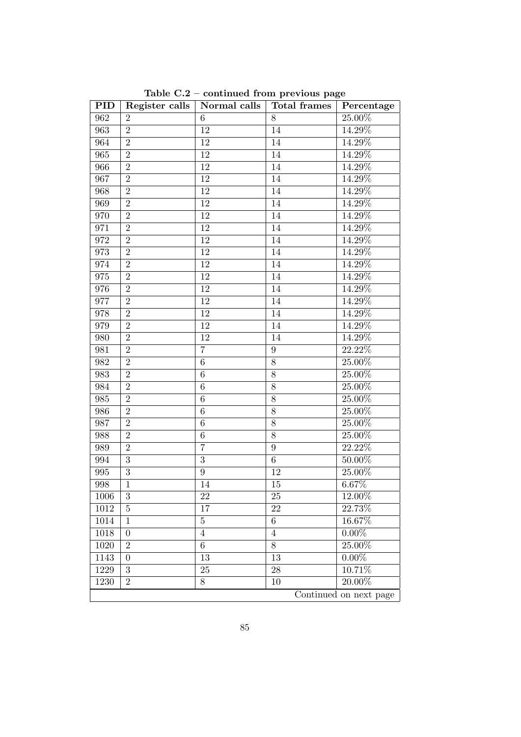| PID                    | Register calls | Normal calls     | <b>Total frames</b> | Percentage           |
|------------------------|----------------|------------------|---------------------|----------------------|
| 962                    | $\overline{2}$ | 6                | 8                   | 25.00%               |
| 963                    | $\overline{2}$ | $\overline{12}$  | $\overline{14}$     | 14.29%               |
| 964                    | $\sqrt{2}$     | 12               | 14                  | 14.29%               |
| 965                    | $\overline{2}$ | 12               | 14                  | 14.29%               |
| 966                    | $\overline{2}$ | 12               | 14                  | 14.29%               |
| 967                    | $\overline{2}$ | 12               | 14                  | 14.29%               |
| 968                    | $\overline{2}$ | 12               | 14                  | $14.29\%$            |
| 969                    | $\overline{2}$ | $\overline{12}$  | 14                  | 14.29%               |
| 970                    | $\overline{2}$ | 12               | $14\,$              | $14.29\%$            |
| 971                    | $\overline{2}$ | 12               | 14                  | 14.29%               |
| 972                    | $\overline{2}$ | 12               | 14                  | 14.29%               |
| 973                    | $\overline{2}$ | 12               | 14                  | 14.29%               |
| 974                    | $\overline{2}$ | 12               | 14                  | $14.29\%$            |
| 975                    | $\overline{2}$ | $\overline{12}$  | 14                  | 14.29%               |
| 976                    | $\overline{2}$ | 12               | 14                  | $14.29\%$            |
| 977                    | $\overline{2}$ | 12               | 14                  | 14.29%               |
| 978                    | $\overline{2}$ | 12               | 14                  | 14.29%               |
| 979                    | $\overline{2}$ | $12\,$           | 14                  | 14.29%               |
| 980                    | $\overline{2}$ | 12               | 14                  | 14.29%               |
| 981                    | $\overline{2}$ | $\overline{7}$   | $\boldsymbol{9}$    | 22.22%               |
| 982                    | $\overline{2}$ | $\overline{6}$   | $\overline{8}$      | $25.00\%$            |
| 983                    | $\overline{2}$ | $\,6$            | 8                   | $25.00\%$            |
| 984                    | $\overline{2}$ | 6                | 8                   | 25.00%               |
| 985                    | $\overline{2}$ | $\sqrt{6}$       | 8                   | $25.00\%$            |
| 986                    | $\overline{2}$ | $\,6$            | 8                   | 25.00%               |
| 987                    | $\overline{2}$ | 6                | $8\,$               | 25.00%               |
| 988                    | $\overline{2}$ | $\sqrt{6}$       | $\overline{8}$      | $25.00\%$            |
| 989                    | $\sqrt{2}$     | $\overline{7}$   | $\boldsymbol{9}$    | $22.\overline{22\%}$ |
| 994                    | $\overline{3}$ | $\overline{3}$   | $\sqrt{6}$          | 50.00%               |
| 995                    | $\overline{3}$ | $\boldsymbol{9}$ | 12                  | $25.00\%$            |
| 998                    | $\mathbf{1}$   | 14               | 15                  | 6.67%                |
| 1006                   | $\sqrt{3}$     | 22               | 25                  | 12.00%               |
| $1012\,$               | $\overline{5}$ | 17               | 22                  | $22.\overline{73\%}$ |
| 1014                   | $\mathbf{1}$   | $\overline{5}$   | 6                   | 16.67%               |
| 1018                   | $\theta$       | 4                | $\overline{4}$      | $0.00\%$             |
| 1020                   | $\overline{2}$ | $\overline{6}$   | 8                   | $25.00\%$            |
| 1143                   | $\overline{0}$ | 13               | 13                  | $0.00\%$             |
| 1229                   | 3              | 25               | 28                  | 10.71%               |
| 1230                   | $\overline{2}$ | 8                | 10                  | $20.00\%$            |
| Continued on next page |                |                  |                     |                      |

Table C.2 – continued from previous page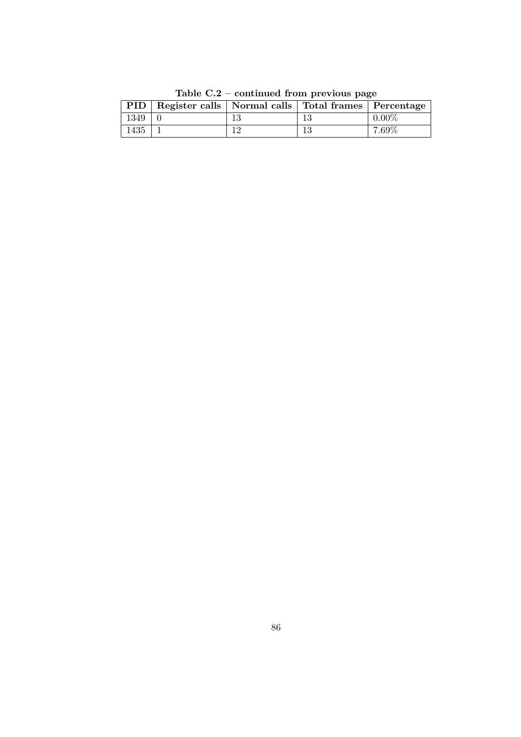|      | PID   Register calls   Normal calls   Total frames   Percentage |     |    |          |
|------|-----------------------------------------------------------------|-----|----|----------|
| 1349 |                                                                 | 13  |    | $0.00\%$ |
| 1435 |                                                                 | 1 ຕ | 13 | $7.69\%$ |

Table C.2 – continued from previous page